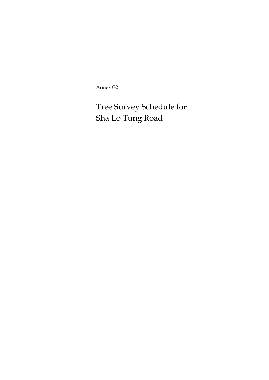Annex G2

Tree Survey Schedule for Sha Lo Tung Road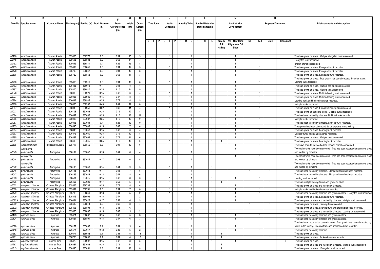|                | в                                |                                | C                | D                | E.                                      |               | G               | н                   | J.               |                                | J                            | к                    |                |    | L.                         |                |                   | М                               |              |                      | N                         |            | 0                                                                                                        |
|----------------|----------------------------------|--------------------------------|------------------|------------------|-----------------------------------------|---------------|-----------------|---------------------|------------------|--------------------------------|------------------------------|----------------------|----------------|----|----------------------------|----------------|-------------------|---------------------------------|--------------|----------------------|---------------------------|------------|----------------------------------------------------------------------------------------------------------|
|                | Tree No. Species Name            | <b>Common Name</b>             |                  |                  | Northing (m) Easting (m) Trunk Diameter | Trunk         | Height          | Crown               | <b>Tree Form</b> |                                | Health                       | <b>Amenity Value</b> |                |    | <b>Survival Rate after</b> |                |                   | <b>Conflict with</b>            |              |                      | <b>Proposed Treatment</b> |            | Brief comments and description                                                                           |
|                |                                  |                                |                  |                  | (m)                                     | Circumference | (m)             | Spread              |                  |                                | Condition                    |                      |                |    | Transplantation            |                |                   | Development                     |              |                      |                           |            |                                                                                                          |
|                |                                  |                                |                  |                  |                                         | (m)           |                 | (m)                 |                  |                                |                              |                      |                |    |                            |                |                   |                                 |              |                      |                           |            |                                                                                                          |
|                |                                  |                                |                  |                  |                                         |               |                 |                     |                  |                                |                              |                      |                |    |                            |                |                   |                                 |              |                      |                           |            |                                                                                                          |
|                |                                  |                                |                  |                  |                                         |               |                 |                     |                  |                                |                              |                      |                |    |                            |                |                   |                                 |              |                      |                           |            |                                                                                                          |
|                |                                  |                                |                  |                  |                                         |               |                 |                     | G                |                                | F   P   G   F   P   H        |                      | M L I          | Н. | M                          | L.             | Paritally<br>Soil | Yes - New Road<br>Alignment/ Cu | No           | Fell                 | Retain                    | Transplant |                                                                                                          |
|                |                                  |                                |                  |                  |                                         |               |                 |                     |                  |                                |                              |                      |                |    |                            |                | Nailing           | Slope                           |              |                      |                           |            |                                                                                                          |
|                |                                  |                                |                  |                  |                                         |               |                 |                     |                  |                                |                              |                      |                |    |                            |                |                   |                                 |              |                      |                           |            |                                                                                                          |
|                |                                  |                                |                  |                  |                                         |               |                 |                     |                  |                                |                              |                      |                |    |                            |                |                   |                                 |              |                      |                           |            |                                                                                                          |
| A0106<br>A0448 | Acacia confusa                   | Taiwan Acacia                  | 835600           | 836778           | 0.3                                     | 0.94          | 15              | $\overline{5}$<br>7 |                  | $\overline{1}$                 |                              |                      | $\overline{1}$ |    |                            | $\mathbf{1}$   |                   | $\overline{1}$                  |              | $\overline{1}$       |                           |            | Tree has grown on slope. Multiple elongated trunks recorded.                                             |
| A0452          | Acacia confusa<br>Acacia confusa | Taiwan Acacia<br>Taiwan Acacia | 835695<br>835696 | 836838<br>836841 | 0.2<br>0.4                              | 0.63<br>1.26  | 14<br>15        | 8                   |                  | $\mathbf{1}$<br>$\overline{1}$ | $\mathbf{1}$<br>$\mathbf{1}$ |                      |                |    |                            | $\overline{1}$ |                   | $\overline{1}$                  |              | $\overline{1}$<br>-1 |                           |            | Elongated trunk recorded.<br>Broken branches recorded                                                    |
| A0455          | Acacia confusa                   | Taiwan Acacia                  | 835699           | 836845           | 0.3                                     | 0.94          | 14              | 5                   |                  | $\mathbf{1}$                   | $\mathbf{1}$                 |                      |                |    |                            | $\mathbf{1}$   |                   | $\overline{1}$                  |              | $\mathbf{1}$         |                           |            | Tree has grown on slope. Elongated trunk recorded.                                                       |
| A0478          | Acacia confusa                   | Taiwan Acacia                  | 835703           | 836847           | 0.3                                     | 0.94          | 12              | 8                   |                  | $\overline{1}$                 | 1                            |                      |                |    |                            | $\mathbf{1}$   |                   | $\mathbf{1}$                    |              | $\mathbf{1}$         |                           |            | Free has grown on slope. Elongated trunk recorded.                                                       |
| A0506          | Acacia confusa                   | Taiwan Acacia                  | 835720           | 836853           | 0.2                                     | 0.63          | 11              | 3                   |                  | $\mathbf{1}$                   | -1                           |                      |                |    |                            | $\mathbf{1}$   |                   | $\mathbf{1}$                    |              | -1                   |                           |            | Tree has grown on slope. Elongated trunk recorded.                                                       |
|                |                                  |                                |                  |                  |                                         |               |                 |                     |                  |                                |                              |                      |                |    |                            |                |                   |                                 |              |                      |                           |            | Free has grown on slope. Tree growth has bee obstructed by other plants.                                 |
| A0790          | Acacia confusa                   | Taiwan Acacia                  | 835863           | 836911           | 0.3                                     | 0.94          | 10              | <b>R</b>            |                  |                                |                              |                      |                |    |                            |                |                   | $\mathbf{1}$                    |              |                      |                           |            | Leaning trunk recorded.                                                                                  |
| A0792          | Acacia confusa                   | Taiwan Acacia                  | 835865           | 836912           | 0.17                                    | 0.53          | 8               | $\overline{4}$      |                  | $\blacksquare$                 |                              |                      |                |    |                            | $\overline{1}$ |                   | $\mathbf{1}$                    |              | $\overline{1}$       |                           |            | Tree has grown on slope. Multiple broken trunks recorded.                                                |
| A0797          | Acacia confusa                   | Taiwan Acacia                  | 835870           | 836917           | 0.35                                    | 1.10          | 14              | -9                  |                  | $\mathbf{1}$                   | 1                            |                      |                |    |                            | -1             |                   | $\overline{1}$                  |              | $\mathbf{1}$         |                           |            | Tree has grown on slope. Multiple trunks recorded                                                        |
| A0976          | Acacia confusa                   | Taiwan Acacia                  | 836019           | 836929           | 0.15                                    | 0.47          | -6              | $\overline{4}$      |                  |                                |                              |                      |                |    |                            | $\mathbf{1}$   |                   | -1                              |              | -1                   |                           |            | Tree has grown on slope. Multiple leaning trunks recorded                                                |
| A0977          | Acacia confusa                   | Taiwan Acacia                  | 836025           | 836930           | 0.15                                    | 0.47          | 8               | $\overline{4}$      |                  | $\mathbf{1}$                   |                              |                      |                |    |                            |                |                   | $\mathbf{1}$                    |              | $\overline{1}$       |                           |            | Tree has grown on slope. Multiple leaning trunks recorded                                                |
| A0984          | Acacia confusa                   | Taiwan Acacia                  | 836047           | 836948           | 0.25                                    | 0.79          | 8               | 5                   |                  | $\overline{1}$                 | $\mathbf{1}$                 |                      | $\overline{1}$ |    |                            | -1             |                   | $\overline{1}$                  |              | -1                   |                           |            | Leaning trunk and broken branches recorded.                                                              |
| A0986          | Acacia confusa                   | Taiwan Acacia                  | 836050           | 836953           | 0.45                                    | 1.41          | 12              | 8                   |                  | $\overline{1}$                 | $\mathbf{1}$                 |                      |                |    |                            | -1             |                   | -1                              |              | -1                   |                           |            | Multiple trunks recorded                                                                                 |
| A0987          | Acacia confusa                   | Taiwan Acacia                  | 836049           | 836956           | 0.22                                    | 0.69          | 11              | $\overline{4}$      |                  | $\mathbf{1}$                   | $\mathbf{1}$                 |                      |                |    |                            | $\mathbf{1}$   |                   | $\overline{1}$                  |              | $\overline{1}$       |                           |            | Tree has grown on slope. Elongated leaning trunk recorded.                                               |
| A1077          | Acacia confusa                   | Taiwan Acacia                  | 836108           | 837038           | 0.25                                    | 0.79          | 12              | 8                   |                  | $\mathbf{1}$                   | $\mathbf{1}$                 |                      |                |    |                            | $\mathbf{1}$   |                   | $\overline{1}$                  |              | $\mathbf{1}$         |                           |            | Free has grown on concrete slope. Multiple trunks recorded.                                              |
| A1084          | Acacia confusa                   | Taiwan Acacia                  | 836099           | 837036           | 0.35                                    | 1.10          | 16              | 11                  |                  | $\overline{1}$                 | 1                            |                      |                |    |                            | $\overline{1}$ |                   | $\overline{1}$                  |              | -1                   |                           |            | Tree has been twisted by climbers. Multiple trunks recorded.                                             |
| A1085          | Acacia confusa                   | Taiwan Acacia                  | 836098           | 837037           | 0.35                                    | 1.10          | 13              | $\mathbf{q}$        |                  | $\mathbf{1}$                   |                              |                      |                |    |                            |                |                   | $\overline{1}$                  |              | $\overline{1}$       |                           |            | Multiple trunks recorded                                                                                 |
| A1087          | Acacia confusa                   | Taiwan Acacia                  | 836095           | 837034           | 0.4                                     | 1.26          | 13              | 9                   |                  | $\mathbf{1}$                   | $\mathbf{1}$                 |                      |                |    |                            | $\mathbf{1}$   |                   |                                 |              | $\overline{1}$       |                           |            | Free has been twisted by climbers. Leaning trunk recorded.                                               |
| A1233          | Acacia confusa                   | Taiwan Acacia                  | 836345           | 837049           | 0.15                                    | 0.47          | $\overline{7}$  | $\overline{4}$      |                  | $\mathbf{1}$                   | $\mathbf{1}$                 |                      |                |    |                            | $\mathbf{1}$   |                   | $\mathbf{1}$                    |              | -1                   |                           |            | Tree growth has been obstructed by other plants in the vicinity.                                         |
| A1234          | Acacia confusa                   | Taiwan Acacia                  | 836345           | 837048           | 0.15                                    | 0.47          | 6               | $\overline{a}$      |                  | $\mathbf{1}$                   | $\mathbf{1}$                 |                      |                |    |                            | $\mathbf{1}$   |                   | $\overline{1}$                  |              | $\mathbf{1}$         |                           |            | Free has grown on slope. Leaning trunk recorded                                                          |
| A1293          | Acacia confusa                   | Taiwan Acacia                  | 836375           | 837060           | 0.25                                    | 0.79          | 12              | $\mathbf{R}$        |                  | $\overline{1}$                 | 1                            |                      |                |    |                            | $\mathbf{1}$   |                   | -1                              |              | $\mathbf{1}$         |                           |            | Multiple trunks and dead branches recorded                                                               |
| A1295          | Acacia confusa                   | Taiwan Acacia                  | 836382           | 837062           | 0.25                                    | 0.79          | 11              | - 6                 |                  |                                | $\mathbf{1}$                 |                      |                |    |                            | -1             |                   | $\mathbf{1}$                    |              | $\mathbf{1}$         |                           |            | Tree has grown on slope. Multiple trunks recorded.                                                       |
| A1361          | Acacia confusa                   | Taiwan Acacia                  | 836409           | 837045           | 0.35                                    | 1.10          | 12              | 10                  |                  | $\mathbf{1}$                   | $\mathbf{1}$                 |                      | $\overline{1}$ |    |                            | $\mathbf{1}$   |                   |                                 |              |                      | -1                        |            | Tree has grown on slope. Leaning trunk recorded                                                          |
| A0505          | Acacia mangium                   | Big-leaved Acacia              | 835717           | 836850           | 0.3                                     | 0.94          | 13              | 6                   |                  | 1.                             |                              |                      |                |    |                            | -1             |                   |                                 |              | -1                   |                           |            | Tree have been found nearly dead. Broken branches recorded.                                              |
|                | Acronychia                       |                                |                  |                  |                                         |               |                 | $\overline{4}$      |                  |                                |                              |                      |                |    |                            |                |                   | $\mathbf{1}$                    |              |                      |                           |            | Two main trunks have been recorded. Tree has been recorded on concrete slope                             |
| A2043          | pedunculata                      | Acronychia                     | 836192           | 837042           | 0.13                                    | 0.41          | 8               |                     |                  |                                |                              |                      |                |    |                            |                |                   |                                 |              |                      |                           |            | and twisted by climbers.<br>Two main trunks have been recorded. Tree has been recorded on concrete slope |
| A2044          | Acronychia<br>pedunculata        | Acronychia                     | 836195           | 837044           | 0.17                                    | 0.53          | 6               | $\overline{5}$      |                  |                                |                              |                      |                |    |                            | $\overline{1}$ |                   | $\mathbf{1}$                    |              | $\overline{1}$       |                           |            | and twisted by climbers.                                                                                 |
|                | Acronychia                       |                                |                  |                  |                                         |               |                 |                     |                  |                                |                              |                      |                |    |                            |                |                   |                                 |              |                      |                           |            | Two main trunks have been recorded. Tree has been recorded on concrete slope                             |
| A2042          | pedunculata                      | Acronychia                     | 836193           | 837040           | 0.14                                    | 0.44          | 9               | 5                   |                  |                                |                              |                      |                |    |                            |                |                   |                                 |              |                      |                           |            | and twisted by climbers.                                                                                 |
| A2046          | nedunculata                      | Acronychia                     | 836198           | 837043           | 0.17                                    | 0.53          | $7^{\circ}$     | 5                   |                  | $\mathbf{1}$                   | $\mathbf{1}$                 |                      |                |    |                            | $\overline{1}$ |                   |                                 | $\mathbf{1}$ |                      | $\mathbf{1}$              |            | Tree has been twisted by climbers. Elongated trunk has been recorded.                                    |
| A2047          | pedunculata                      | Acronychia                     | 836199           | 837043           | 0.13                                    | 0.41          | 8               | 6                   |                  |                                | 1                            |                      |                |    |                            | $\overline{1}$ |                   |                                 | 1            |                      |                           |            | Tree has been twisted by climbers. Elongated trunk has been recorded.                                    |
| A1563          | pedunculata                      | Acronychia                     | 836584           | 837015           | 0.15                                    | 0.47          | 8               | 6                   |                  | $\blacksquare$                 | $\mathbf{1}$                 |                      |                |    |                            | $\overline{1}$ |                   | $\mathbf{1}$                    |              | $\mathbf{1}$         |                           |            | Leaning trunk recorded.                                                                                  |
| A1436          | pedunculata                      | Acronychia                     | 836456           | 837022           | 0.17                                    | 0.53          | 5               | 5                   |                  | $\blacksquare$                 | $\mathbf{1}$                 |                      | $\overline{1}$ |    |                            | $\mathbf{1}$   |                   |                                 |              |                      | $\mathbf{1}$              |            | Tree has multiple leaning trunks and grows on slope.                                                     |
| A0032          | Alangium chinense                | Chinese Alangium               | 835566           | 836739           | 0.25                                    | 0.79          | 8               | $\overline{4}$      |                  | -1                             | 1.                           |                      |                |    |                            | -1.            |                   | -1.                             |              | -1                   |                           |            | Tree has grown on slope and twisted by climbers.                                                         |
| A0060          | Alangium chinense                | Chinese Alangium               | 835591           | 836751           | 0.3                                     | 0.94          | $\overline{7}$  | 6                   |                  | $\overline{1}$                 | $\mathbf{1}$                 |                      |                |    |                            | $\overline{1}$ |                   | $\mathbf{1}$                    |              | $\overline{1}$       |                           |            | Multiple trunks and broken branches recorded.                                                            |
| A0479          | Alangium chinense                | Chinese Alangium               | 835705           | 836849           | 0.13                                    | 0.41          | 5               | $\overline{2}$      |                  | $\mathbf{1}$                   | $\mathbf{1}$                 |                      |                |    |                            | -1             |                   | -1                              |              |                      |                           |            | Free has been twisted by climbers and grown on slope. Elongated trunk recorded.                          |
| A0729          | Alangium chinense                | Chinese Alangium               | 835813           | 836906           | 0.15                                    | 0.47          | 7               | $\overline{2}$      |                  | -1                             | 1                            |                      |                |    |                            | $\mathbf{1}$   |                   | -1                              |              | -1                   |                           |            | Tree has grown on slope. Elongated trunk recorded.                                                       |
| A1062A         | Alangium chinense                | Chinese Alangium               | 836084           | 837022           | 0.17                                    | 0.53          | 6               | $\overline{5}$      |                  | $\overline{1}$                 | 1                            |                      |                |    |                            | $\overline{1}$ |                   | $\mathbf{1}$                    |              | $\mathbf{1}$         |                           |            | Tree has grown on slope and twisted by climbers. Multiple trunks recorded.                               |
| A0359          | Alangium chinense                | Chinese Alangium               | 835680           | 836814           | 0.2                                     | 0.63          | 8               | $\overline{4}$      |                  | $\mathbf{1}$                   | $\mathbf{1}$                 |                      |                |    |                            |                |                   |                                 |              |                      |                           |            | Tree has grown on slope. Leaning trunk recorded.                                                         |
| A0672          | Alangium chinense                | Chinese Alangium               | 835806           | 836894           | 0.13                                    | 0.41          | 6               | $\mathbf{1}$        |                  | $\mathbf{1}$                   | 1                            |                      |                |    |                            | $\overline{1}$ |                   |                                 | $\mathbf{1}$ |                      |                           |            | Tree has grown on slope. Leaning trunk and broken branches recorded.                                     |
| A0773          | Alangium chinense                | Chinese Alangium               | 835833           | 836887           | 0.15                                    | 0.47          | 5               | $\overline{2}$      |                  | $\overline{1}$                 | 1                            |                      |                |    |                            |                |                   |                                 |              |                      |                           |            | Free has grown on slope and twisted by climbers. Leaning trunk recorded.                                 |
| A0123          | Aporusa dioica                   | Aporusa                        | 835621           | 836802           | 0.15                                    | 0.47          | $5\overline{5}$ | 3                   |                  | $\mathbf{1}$                   | 1                            |                      |                |    |                            | $\mathbf{1}$   |                   |                                 |              |                      |                           |            | Tree has been twisted by climbers and grown on slope                                                     |
| A0124          | Aporusa dioica                   | Aporusa                        | 835621           | 836801           | 0.15                                    | 0.47          | 6               | 3                   |                  | $\mathbf{1}$                   | $\mathbf{1}$                 |                      | -1             |    |                            | -1             |                   | $\mathbf{1}$                    |              | $\mathbf{1}$         |                           |            | Tree has been twisted by climbers and grown on slope                                                     |
|                |                                  |                                |                  |                  |                                         |               |                 | $\overline{4}$      |                  |                                |                              |                      |                |    |                            |                |                   | $\mathbf{1}$                    |              |                      |                           |            | Free has been recorded on concrete slope. Tree growth has been obstructed by                             |
| A1098<br>A1548 | Aporusa dioica<br>Aporusa dioica | Aporusa                        | 836159<br>836574 | 837038<br>837017 | 0.1<br>0.12                             | 0.31<br>0.38  | 5               | $\overline{2}$      |                  | $\overline{1}$                 | $\mathbf{1}$                 |                      |                |    |                            | $\overline{1}$ |                   | $\mathbf{1}$                    |              | $\overline{1}$       |                           |            | plants in the vicinity. Leaning trunk and imbalanced root recorded.                                      |
| A1683          | Aporusa dioica                   | Aporusa<br>Aporusa             | 836671           | 836953           | 0.1                                     | 0.31          | 5<br>5          | 1.5                 |                  | $\mathbf{1}$                   | $\mathbf{1}$                 |                      | $\overline{1}$ |    |                            |                |                   |                                 |              |                      |                           |            | Tree has been twisted by climbers                                                                        |
| A1761          | Aporusa dioica                   | Aporusa                        | 836736           | 836893           | 0.1                                     | 0.31          | $\overline{4}$  | 1.5                 |                  |                                | 1.                           |                      |                |    |                            | -1             |                   |                                 |              |                      |                           |            | Free has grown on slope.<br>Tree has grown on slope. Broken branches recorded.                           |
| A0727          | Aquilaria sinensis               | <b>Incense Tree</b>            | 835822           | 836902           | 0.15                                    | 0.47          | 8               | -5                  |                  | $\overline{1}$                 | $\mathbf{1}$                 |                      |                |    |                            | $\mathbf{1}$   |                   | $\mathbf{1}$                    |              |                      |                           |            | Tree has grown on slope.                                                                                 |
| A1267          | Aquilaria sinensis               | <b>Incense Tree</b>            | 836331           | 837038           | 0.25                                    | 0.79          | 14              | 8                   |                  | $\overline{1}$                 | $\mathbf{1}$                 |                      | $\overline{1}$ |    |                            | $\mathbf{1}$   |                   |                                 |              |                      | $\mathbf{1}$              |            | Tree has grown on slope and twisted by climbers. Multiple trunks recorded.                               |
| A1313          | Aquilaria sinensis               | Incense Tree                   | 836390           | 837051           | 0.3                                     | 0.94          | 16              | 8                   |                  |                                |                              |                      |                |    |                            |                |                   |                                 |              |                      |                           |            | Tree has grown on slope. Elongated trunk recorded.                                                       |
|                |                                  |                                |                  |                  |                                         |               |                 |                     |                  |                                |                              |                      |                |    |                            |                |                   |                                 |              |                      |                           |            |                                                                                                          |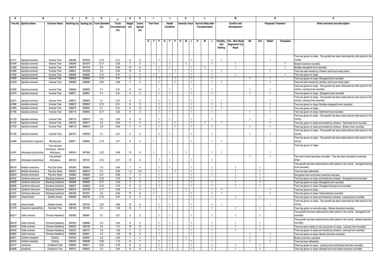|       | в                         |                          | C      | D      | E.                                      |               | G               | н              |                  |                              | J                            | К                    |                |   | L.                         |                                |           | М                    |                |                | -N                        |            | 0                                                                                |
|-------|---------------------------|--------------------------|--------|--------|-----------------------------------------|---------------|-----------------|----------------|------------------|------------------------------|------------------------------|----------------------|----------------|---|----------------------------|--------------------------------|-----------|----------------------|----------------|----------------|---------------------------|------------|----------------------------------------------------------------------------------|
|       | Tree No. Species Name     | <b>Common Name</b>       |        |        | Northing (m) Easting (m) Trunk Diameter | Trunk         | Height          | Crown          | <b>Tree Form</b> |                              | Health                       | <b>Amenity Value</b> |                |   | <b>Survival Rate after</b> |                                |           | <b>Conflict with</b> |                |                | <b>Proposed Treatment</b> |            | Brief comments and description                                                   |
|       |                           |                          |        |        | (m)                                     | Circumference | (m)             | Spread         |                  |                              | Condition                    |                      |                |   | Transplantation            |                                |           | Development          |                |                |                           |            |                                                                                  |
|       |                           |                          |        |        |                                         | (m)           |                 | (m)            |                  |                              |                              |                      |                |   |                            |                                |           |                      |                |                |                           |            |                                                                                  |
|       |                           |                          |        |        |                                         |               |                 |                |                  |                              |                              |                      |                |   |                            |                                |           |                      |                |                |                           |            |                                                                                  |
|       |                           |                          |        |        |                                         |               |                 |                |                  |                              |                              |                      |                |   |                            |                                |           |                      |                |                |                           |            |                                                                                  |
|       |                           |                          |        |        |                                         |               |                 |                | G<br>.F          | PGF                          | P                            | -н                   | MIL.           | H | М                          | L.                             | Paritally | Yes - New Road       | No             | Fell           | Retain                    | Transplant |                                                                                  |
|       |                           |                          |        |        |                                         |               |                 |                |                  |                              |                              |                      |                |   |                            |                                | Soil      | Alignment/ Cu        |                |                |                           |            |                                                                                  |
|       |                           |                          |        |        |                                         |               |                 |                |                  |                              |                              |                      |                |   |                            |                                | Nailing   | Slope                |                |                |                           |            |                                                                                  |
|       |                           |                          |        |        |                                         |               |                 |                |                  |                              |                              |                      |                |   |                            |                                |           |                      |                |                |                           |            |                                                                                  |
|       |                           |                          |        |        |                                         |               |                 |                |                  |                              |                              |                      |                |   |                            |                                |           |                      |                |                |                           |            | Tree has grown on slope. Tree growth has been obstructed by other plants in the  |
| A1471 | Aquilaria sinensis        | Incense Tree             | 836480 | 837004 | 0.13                                    | 0.41          | 6               | 3              |                  |                              |                              |                      |                |   |                            | 1                              |           |                      |                |                | $\mathbf{1}$              |            | vicinity.                                                                        |
| A1494 | Aquilaria sinensis        | <b>Incense Tree</b>      | 836548 | 837007 | 0.17                                    | 0.53          | $\overline{7}$  | $\mathcal{R}$  |                  |                              | 1.                           |                      |                |   |                            | -1                             |           |                      |                |                |                           |            | Broken branches recorded.                                                        |
| A1562 | Aquilaria sinensis        | Incense Tree             | 836578 | 837016 | 0.2                                     | 0.63          | 10              | 6              |                  | $\mathbf{1}$                 | $\mathbf{1}$                 |                      |                |   |                            |                                |           | $\mathbf{1}$         |                |                |                           |            | Multiple elongated trunk recorded.                                               |
| A1583 | Aquilaria sinensis        | Incense Tree             | 836601 | 837009 | 0.3                                     | 0.94          | 13              | 6              |                  | $\mathbf{1}$                 |                              |                      |                |   |                            |                                |           |                      |                |                |                           |            | Tree has been twisted by climbers and found nearly dead.                         |
| A1606 | Aquilaria sinensis        | Incense Tree             | 836628 | 836996 | 0.15                                    | 0.47          | $5\overline{5}$ | 3              |                  |                              |                              |                      |                |   |                            | -1                             |           | -1                   |                |                |                           | -1.        | Tree has grown on slope.                                                         |
| A1620 | Aquilaria sinensis        | Incense Tree             | 836645 | 836969 | 0.15                                    | 0.47          | 6               | $\overline{2}$ |                  | $\mathbf{1}$                 |                              |                      |                |   |                            |                                |           |                      |                |                |                           |            | Tree has grown on slope. Elongated trunk recorded.                               |
| A1643 | Aquilaria sinensis        | Incense Tree             | 836626 | 836985 | 0.22                                    | 0.69          |                 | 3              |                  | $\mathbf{1}$                 | $\overline{1}$               |                      | $\overline{1}$ |   |                            | $\mathbf{1}$                   |           |                      |                |                |                           |            | Free has been twisted by climbers and found nearly dead.                         |
|       |                           |                          |        |        |                                         |               |                 |                |                  |                              |                              |                      |                |   |                            |                                |           |                      |                |                |                           |            | Tree has grown on slope. Tree growth has been obstructed by other plants in the  |
| A1665 | Aquilaria sinensis        | Incense Tree             | 836658 | 836963 | 0.1                                     | 0.31          | 6               | 1.5            |                  |                              |                              |                      |                |   |                            |                                |           |                      | $\mathbf{1}$   |                |                           |            | vicinity. Leaning trunk recorded.                                                |
| A1675 | Aquilaria sinensis        | Incense Tree             | 836671 | 836951 | 0.1                                     | 0.31          | 6               | $\mathbf{3}$   |                  | $\mathbf{1}$                 | 1                            |                      |                |   |                            | $\overline{1}$                 |           |                      |                |                |                           |            | Tree has grown on slope. Elongated trunk recorded.                               |
|       |                           |                          |        |        |                                         |               |                 |                |                  |                              |                              |                      |                |   |                            |                                |           |                      |                |                |                           |            | Tree has grown on slope. Tree growth has been obstructed by other plants in the  |
| A1677 | Aquilaria sinensis        | Incense Tree             | 836674 | 836952 | 0.1                                     | 0.31          | 6               | $\mathcal{P}$  |                  |                              |                              |                      |                |   |                            |                                |           |                      |                |                |                           |            | vicinity. Leaning trunk recorded.                                                |
| A1680 | Aquilaria sinensis        | Incense Tree             | 836673 | 836952 | 0.13                                    | 0.41          | 6               | 3              |                  |                              | $\mathbf{1}$                 |                      |                |   |                            | $\mathbf{1}$                   |           |                      |                |                |                           |            | Tree has grown on slope. Multiple elongated trunks recorded.                     |
| A1684 | Aquilaria sinensis        | Incense Tree             | 836670 | 836952 | 0.1                                     | 0.31          | $5\overline{5}$ | 1.5            |                  | $\overline{1}$               | $\mathbf{1}$                 |                      |                |   |                            | $\overline{1}$                 |           |                      |                |                | $\overline{1}$            |            | Tree has grown on slope.                                                         |
| A1706 | Aquilaria sinensis        | Incense Tree             | 836710 | 836955 | 0.17                                    | 0.53          | 6               | $\overline{2}$ |                  | $\blacksquare$               | $\mathbf{1}$                 |                      |                |   |                            | -1                             |           |                      | -1             |                | -1                        |            | Tree has grown on slope. Deformed trunk recorded.                                |
|       |                           |                          |        |        |                                         |               |                 |                |                  |                              |                              |                      |                |   |                            |                                |           |                      |                |                |                           |            | Tree has grown on slope. Tree growth has been obstructed by other plants in the  |
| A1720 | Aquilaria sinensis        | Incense Tree             | 836714 | 836913 | 0.2                                     | 0.63          | 6               |                |                  |                              |                              |                      |                |   |                            |                                |           |                      |                |                |                           |            | vicinity.                                                                        |
| A1722 | Aquilaria sinensis        | <b>Incense Tree</b>      | 836722 | 836911 | 0.2                                     | 0.63          | 5               | 3              |                  | $\mathbf{1}$                 | $\mathbf{1}$                 |                      | -1.            |   | -1                         |                                |           |                      |                |                |                           |            | Free has grown on slope and twisted by climbers. Deformed trunk recorded.        |
| A1723 | Aquilaria sinensis        | <b>Incense Tree</b>      | 836719 | 836910 | 0.2                                     | 0.63          | 7               | $\overline{a}$ |                  | 1.                           |                              |                      |                |   |                            | -1                             |           |                      |                |                |                           |            | Tree has grown on slope and twisted by climbers. Broken trunk recorded.          |
|       |                           |                          |        |        |                                         |               |                 |                |                  |                              |                              |                      |                |   |                            |                                |           |                      |                |                |                           |            | Tree has grown on slope. Tree growth has been obstructed by other plants in the  |
| A1730 | Aquilaria sinensis        | Incense Tree             | 836724 | 836906 | 0.1                                     | 0.31          | 5               | $\overline{2}$ |                  |                              |                              |                      |                |   |                            |                                |           |                      |                |                |                           |            | vicinity.                                                                        |
|       |                           |                          |        |        |                                         |               |                 |                |                  |                              |                              |                      |                |   |                            |                                |           |                      |                |                |                           |            | Tree has grown on slope. Tree growth has been obstructed by other plants in the  |
| A1689 | Archidendron clypearia    | Monkey-pod               | 836671 | 836955 | 0.15                                    | 0.47          | 5               | $\Delta$       |                  |                              |                              |                      |                |   |                            | $\mathbf{1}$                   |           |                      |                |                |                           |            | vicinity.                                                                        |
|       |                           | Two-coloured             |        |        |                                         |               |                 |                |                  |                              |                              |                      |                |   |                            |                                |           |                      |                |                |                           |            | Tree has grown on slope.                                                         |
|       |                           | Artocarpus , Bicolo      |        |        |                                         |               |                 |                |                  |                              |                              |                      |                |   |                            |                                |           |                      |                |                |                           |            |                                                                                  |
| A1491 | Artocarpus styracifolius  | Artocarpus               | 836545 | 837004 | 0.22                                    | 0.69          | 13              | 6              |                  |                              |                              |                      |                |   |                            | $\mathbf{1}$                   |           |                      |                |                |                           |            |                                                                                  |
|       |                           | Two-colored              |        |        |                                         |               |                 |                |                  |                              |                              |                      |                |   |                            |                                |           |                      | $\overline{1}$ |                | $\overline{1}$            |            | Two main trunks have been recorded. Tree has been recorded on concrete           |
| A2021 | Artocarpus styracifolius  | Artocarpus               | 836159 | 837031 | 0.15                                    | 0.47          | 10              | $\overline{5}$ |                  |                              |                              |                      |                |   |                            |                                |           |                      |                |                |                           |            | slone.                                                                           |
|       |                           |                          |        |        |                                         |               |                 |                |                  |                              |                              |                      |                |   |                            |                                |           |                      |                |                |                           |            | Free growth has been obstructed by other plants in the vicinity. Damaged leaning |
| A0018 | <b>Bridelia</b> tomentosa | Pop Gun Seed             | 835560 | 836664 | 0.3                                     | 0.94          | $\overline{7}$  | $\overline{4}$ |                  |                              |                              |                      |                |   |                            |                                |           | -1                   |                |                |                           |            | trunk recorded                                                                   |
| A0021 | Bridelia tomentosa        | Pop Gun Seed             | 835557 | 836674 | 0.2                                     | 0.63          | 1.5             | 0.4            |                  | $\overline{1}$               |                              |                      |                |   |                            | ℸ                              |           | Ŧ                    |                | $\overline{1}$ |                           |            | Tree has been deheaded.                                                          |
| A0853 | Bridelia tomentosa        | Pop Gun Seed             | 835883 | 836926 | 0.21                                    | 0.66          |                 | -5             |                  | $\mathbf{1}$                 | 1                            |                      |                |   |                            | $\mathbf{1}$                   |           | $\mathbf{1}$         |                |                |                           |            | Elongated trunk and broken branches recorded.                                    |
| A0782 | Canthium dicoccum         | <b>Butulang Canthium</b> | 835854 | 836907 | 0.25                                    | 0.79          | 10              | 3              |                  | $\mathbf{1}$                 | 1                            |                      |                |   |                            |                                |           | $\mathbf{1}$         |                | -1             |                           |            | Tree has grown on slope and twisted by climbers. Elongated trunk recorded.       |
| A0828 | Canthium dicoccum         | <b>Butulang Canthium</b> | 835906 | 836929 | 0.17                                    | 0.53          | $\overline{7}$  | $\overline{2}$ |                  | $\mathbf{1}$                 | $\mathbf{1}$                 |                      |                |   |                            |                                |           | $\mathbf{1}$         |                | $\mathbf{1}$   |                           |            | Free has grown on slope. Elongated trunk recorded.                               |
| A0926 | Canthium dicoccum         | <b>Butulang Canthium</b> | 836007 | 836923 | 0.25                                    | 0.79          | 5               | -3             |                  |                              | 1                            |                      |                |   |                            |                                |           |                      |                |                |                           |            | Tree has grown on slope. Elongated leaning trunk recorded.                       |
| A1242 | Canthium dicoccum         | <b>Butulang Canthium</b> | 836318 | 837046 | 0.17                                    | 0.53          | 7               | $\overline{4}$ |                  |                              | 1.                           |                      |                |   |                            | $\overline{1}$                 |           |                      |                |                |                           |            | Tree has grows on slope                                                          |
| A1431 | Canthium dicoccum         | <b>Butulang Canthium</b> | 836449 | 837031 | 0.3                                     | 0.94          | 11              | $\kappa$       |                  |                              | $\mathbf{1}$                 |                      |                |   |                            | $\mathbf{1}$                   |           |                      |                |                |                           |            | Tree has grown on slope. Dead branches recorded                                  |
| A0037 | Cassia fistula            | Golden-shower            | 835580 | 836749 | 0.15                                    | 0.47          | 6               | 3              |                  |                              | 1                            |                      |                |   |                            | -1                             |           | 1.                   |                | -1             |                           |            | Tree has grown on slope and twisted by climbers. Leaning trunk recorded.         |
|       |                           |                          |        |        |                                         |               |                 |                |                  |                              |                              |                      |                |   |                            |                                |           |                      |                |                |                           |            | Tree has grown on slope. Tree growth has been obstructed by other plants in the  |
| A1382 | Cassia fistula            | Golden-shower            | 836439 | 837040 | 0.22                                    | 0.69          | 10              | -6             |                  |                              |                              |                      |                |   |                            |                                |           |                      |                |                |                           |            | vicinity                                                                         |
| A1079 | Casuarina equisetifolia   | <b>Horsetail Tree</b>    | 836108 | 837040 | 0.4                                     | 1.26          | 15              | 7              |                  | 1.                           | -1                           |                      |                |   |                            | $\mathbf{1}$                   |           | -1.                  |                | -1             |                           |            | Tree has grown on concrete slope. Broken branches recorded.                      |
|       |                           |                          |        |        |                                         |               |                 |                |                  |                              |                              |                      |                |   |                            |                                |           |                      |                |                |                           |            | Tree growth has been obstructed by other plants in the vicinity. Damaged trunk   |
| A0017 | Celtis sinensis           | Chinese Hackberry        | 835560 | 836661 | 0.1                                     | 0.31          | $\overline{4}$  | $\overline{2}$ |                  |                              |                              |                      |                |   |                            | $\overline{1}$                 |           | $\mathbf{1}$         |                |                |                           |            | recorded.                                                                        |
|       |                           |                          |        |        |                                         |               |                 |                |                  |                              |                              |                      |                |   |                            |                                |           |                      |                |                |                           |            | Tree growth has been obstructed by other plants in the vicinity. Broken branches |
| A0019 | Celtis sinensis           | Chinese Hackberry        | 835559 | 836666 | 0.3                                     | 0.94          | 8               |                |                  |                              |                              |                      |                |   |                            |                                |           | $\mathbf{1}$         |                |                |                           |            | recorded.                                                                        |
| A0029 | Celtis sinensis           | Chinese Hackbern         | 835553 | 836726 | 0.5                                     | 1.57          | 13              | 12             |                  | $\mathbf{1}$                 | $\mathbf{1}$                 |                      |                |   |                            | $\overline{1}$                 |           |                      |                | $\overline{1}$ |                           |            | Tree has been mature in size and grown on slope. Leaning trunk recorded.         |
| A0034 | Celtis sinensis           | Chinese Hackberry        | 835570 | 836741 | 0.4                                     | 1.26          | $\overline{7}$  | $\overline{4}$ |                  | $\mathbf{1}$                 | $\mathbf{1}$                 |                      |                |   |                            | $\overline{1}$                 |           | -1                   |                | -1             |                           |            | Tree has grown on slope and twisted by climbers. Leaning trunk recorded.         |
| A0860 | Celtis sinensis           | Chinese Hackberry        | 835960 | 836921 | 0.4                                     | 1.26          | 10              | 5              |                  | $\mathbf{1}$                 | $\mathbf{1}$                 |                      |                |   |                            | $\overline{1}$                 |           |                      | $\overline{1}$ |                |                           |            | Tree has grown on slope. Broken branches recorded.                               |
| A0001 | Cerbera manghas           | Cerbera                  | 835532 | 836587 | 0.2                                     | 0.63          |                 | $\overline{4}$ |                  |                              | 1                            |                      |                |   |                            | $\mathbf{1}$                   |           |                      |                |                |                           |            | Broken branches recorded.                                                        |
| A0002 | Cerbera manghas           | Cerbera                  | 835533 | 836588 | 0.35                                    | 1.10<br>0.79  | 9               | $\overline{7}$ |                  | $\mathbf{1}$<br>$\mathbf{1}$ | $\mathbf{1}$<br>$\mathbf{1}$ |                      |                |   |                            | $\overline{1}$<br>$\mathbf{1}$ |           |                      | $\overline{1}$ |                | $\overline{1}$            |            | Tree has been deheaded.                                                          |
| A0157 | camphora                  | Camphora Tree            | 835655 | 836811 | 0.25                                    |               | 8               | 6              |                  |                              |                              |                      |                |   |                            |                                |           | $\mathbf{1}$         |                | $\mathbf{1}$   |                           |            | Tree has grown on slope. Leaning trunk and broken branches recorded.             |
| A0806 | camphora                  | Camphora Tree            | 835910 | 836923 | 0.3                                     | 0.94          | 12              | 8              |                  |                              |                              |                      |                |   |                            |                                |           |                      |                |                |                           |            | Tree has grown on slope. Multiple trunk and broken branches recorded.            |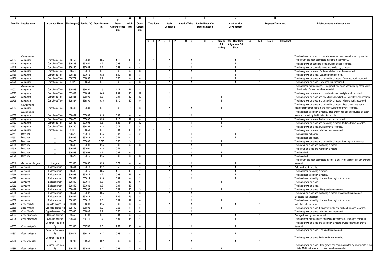|                | в                             |                        | C                | D                | E.                                      | Е             | G                    | н                    | J.                               | J                     |                    | К                    |                              |    | L                          |    |                   | М                                |                |      | N                         |            | 0                                                                                                                                                    |
|----------------|-------------------------------|------------------------|------------------|------------------|-----------------------------------------|---------------|----------------------|----------------------|----------------------------------|-----------------------|--------------------|----------------------|------------------------------|----|----------------------------|----|-------------------|----------------------------------|----------------|------|---------------------------|------------|------------------------------------------------------------------------------------------------------------------------------------------------------|
|                | Tree No. Species Name         | <b>Common Name</b>     |                  |                  | Northing (m) Easting (m) Trunk Diameter | <b>Trunk</b>  | Height               | Crown                | <b>Tree Form</b>                 | Health                |                    | <b>Amenity Value</b> |                              |    | <b>Survival Rate after</b> |    |                   | <b>Conflict with</b>             |                |      | <b>Proposed Treatment</b> |            | <b>Brief comments and description</b>                                                                                                                |
|                |                               |                        |                  |                  | (m)                                     | Circumference | (m)                  | Spread               |                                  | Condition             |                    |                      |                              |    | Transplantation            |    |                   | Development                      |                |      |                           |            |                                                                                                                                                      |
|                |                               |                        |                  |                  |                                         | (m)           |                      | (m)                  |                                  |                       |                    |                      |                              |    |                            |    |                   |                                  |                |      |                           |            |                                                                                                                                                      |
|                |                               |                        |                  |                  |                                         |               |                      |                      |                                  |                       |                    |                      |                              |    |                            |    |                   |                                  |                |      |                           |            |                                                                                                                                                      |
|                |                               |                        |                  |                  |                                         |               |                      |                      |                                  |                       |                    |                      |                              |    |                            |    |                   |                                  |                |      |                           |            |                                                                                                                                                      |
|                |                               |                        |                  |                  |                                         |               |                      |                      |                                  | G   F   P   G   F   P |                    | HIM                  | IL.                          | H. | M                          | L. | Paritally<br>Soil | Yes - New Road<br>Alignment/ Cut | No             | Fell | Retain                    | Transplant |                                                                                                                                                      |
|                |                               |                        |                  |                  |                                         |               |                      |                      |                                  |                       |                    |                      |                              |    |                            |    | Nailing           | Slope                            |                |      |                           |            |                                                                                                                                                      |
|                |                               |                        |                  |                  |                                         |               |                      |                      |                                  |                       |                    |                      |                              |    |                            |    |                   |                                  |                |      |                           |            |                                                                                                                                                      |
|                | Cinnamomum                    |                        |                  |                  |                                         |               |                      |                      |                                  |                       |                    |                      |                              |    |                            |    |                   |                                  |                |      |                           |            | Tree has been recorded on concrete slope and has been attacked by termites.                                                                          |
| A1097          | camphora                      | Camphora Tree          | 836159           | 837038           | 0.35                                    | 1.10          | 15                   | 10                   |                                  |                       |                    |                      |                              |    |                            |    |                   | $\overline{1}$                   |                |      |                           |            | Tree growth has been obstructed by plants in the vicinity.                                                                                           |
| A1416          | camphora                      | Camphora Tree          | 836428           | 837051           | 0.2                                     | 0.63          | 7                    | $\overline{a}$       |                                  | 1.                    |                    |                      | -1                           |    |                            |    |                   | -1                               |                |      |                           |            | Tree has grown on concrete slope. Multiple trunks recorded                                                                                           |
| A1418          | camphora                      | Camphora Tree          | 836430           | 837053           | 0.2                                     | 0.63          | 6                    | $\overline{a}$       |                                  | $\mathbf{1}$          |                    |                      |                              |    |                            |    |                   | $\overline{1}$                   |                |      |                           |            | Tree has grown on concrete slope and twisted by climbers.                                                                                            |
| A1478          | camphora                      | Camphora Tree          | 836519           | 837010           | 0.2                                     | 0.63          | 5                    | -3                   |                                  | $\mathbf{1}$          |                    |                      |                              |    |                            |    |                   |                                  |                |      |                           |            | Free has grown on slope. Broken and dead branches recorded.                                                                                          |
| A1480          | camphora                      | Camphora Tree          | 836526           | 837012           | 0.32                                    | 1.00          | 11                   | -3                   |                                  | 1.                    |                    |                      |                              |    |                            |    |                   |                                  |                |      |                           |            | Tree has grown on slope. Leaning trunk recorded                                                                                                      |
| A1766          | camphora                      | Camphora Tree          | 836771           | 836856           | 0.2                                     | 0.63          | -8                   | $\mathbf{4}$         |                                  | $\mathbf{1}$          |                    |                      |                              |    |                            |    |                   | -1                               |                |      |                           |            | Tree has grown on slope and twisted by climbers. Deformed trunk recorded.                                                                            |
| A1773          | camphora                      | Camphora Tree          | 837023           | 836859           | 0.2                                     | 0.63          | $\overline{4}$       | -3                   | $\overline{1}$                   | $\mathbf{1}$          |                    |                      | $\mathbf{1}$                 |    |                            |    |                   |                                  |                |      |                           |            | Tree has grown on slope. Deformed trunk recorded.                                                                                                    |
|                | Cinnamomum                    |                        |                  |                  |                                         |               |                      |                      |                                  |                       |                    |                      |                              |    |                            |    |                   |                                  |                |      |                           |            | Tree has been mature in size. Tree growth has been obstructed by other plants                                                                        |
| A0003          | camphora                      | Camphora Tree          | 835558           | 836591           | 1.5                                     | 4.71          | 11                   | -8                   |                                  |                       |                    |                      |                              |    |                            |    |                   |                                  |                |      | -1                        |            | in the vicinity. Broken branches recorded.                                                                                                           |
| A0673          | camphora                      | Camphora Tree          | 835807           | 836894           | 0.45                                    | 1.41          | 10                   | 12                   |                                  | $\mathbf{1}$          |                    |                      |                              |    |                            |    |                   |                                  |                |      |                           |            | Free has grown on slope and is mature in size. Multiple trunk recorded.                                                                              |
| A0674          | camphora                      | Camphora Tree          | 835821           | 836890           | 0.3                                     | 0.94          | 12                   | 10                   |                                  | 1                     |                    | -1                   |                              |    |                            |    |                   |                                  |                |      |                           |            | Tree has grown on slope and been twisted by climbers. Multiple trunks recorded.                                                                      |
| A0775          | camphora                      | Camphora Tree          | 835827           | 836890           | 0.35                                    | 1.10          | 10                   | -9                   | l 1                              | $\mathbf{1}$          |                    | $\overline{1}$       |                              |    |                            |    | -1                |                                  |                |      | -1                        |            | Tree has grown on slope and twisted by climbers. Multiple trunks recorded.                                                                           |
|                | Cinnamomum                    |                        |                  |                  |                                         |               |                      |                      |                                  |                       |                    |                      |                              |    |                            |    |                   |                                  |                |      |                           |            | Tree has grown on slope and twisted by climbers. Tree growth has been                                                                                |
| A1384          | camphora                      | Camphora Tree          | 836440           | 837039           | 0.2                                     | 0.63          | $\overline{7}$       |                      |                                  |                       |                    |                      |                              |    |                            |    |                   |                                  |                |      |                           |            | obstructed by other plants in the vicinity. Deformed trunk recorded.                                                                                 |
|                | Cinnamomum                    |                        |                  |                  |                                         |               |                      |                      |                                  |                       |                    |                      |                              |    |                            |    |                   |                                  |                |      |                           |            | Tree has been twisted by climbers. Tree growth has been obstructed by other                                                                          |
| A1389          | camphora                      | Camphora Tree          | 836431           | 837039           | 0.15                                    | 0.47          | 6                    | $\Delta$             |                                  |                       |                    |                      |                              |    |                            |    |                   |                                  | -1             |      | -1                        |            | plants in the vicinity. Multiple trunks recorded.                                                                                                    |
| A1462          | camphora                      | Camphora Tree          | 836470           | 837002           | 0.35                                    | 1.10          | 12                   | 8                    |                                  | $\mathbf{1}$          |                    |                      |                              |    |                            |    |                   |                                  |                |      |                           |            | Tree has grown on slope. Broken branches recorded.                                                                                                   |
| A1463          | camphora                      | Camphora Tree          | 836483           | 837004           | 0.6                                     | 1.88          | 14                   | 12                   |                                  | $\mathbf{1}$          |                    |                      |                              |    |                            |    | $\mathbf{1}$      |                                  |                |      |                           |            | ree has grown on slope and twisted by climbers. Multiple trunks recorded                                                                             |
| A1737          | camphora                      | Camphora Tree          | 836730           | 836895           | 0.23                                    | 0.72          |                      | $\Delta$             |                                  | 1.                    |                    |                      |                              |    |                            |    |                   |                                  |                |      |                           |            | Tree has grown on slope. Multiple trunks recorded                                                                                                    |
| A1772          | camphora                      | Camphora Tree          | 837013           | 836859           | 0.3                                     | 0.94          | 12                   | 9                    |                                  |                       |                    |                      |                              |    |                            |    |                   |                                  | $\overline{1}$ |      |                           |            | Tree has grown on slope. Multiple trunks recorded.                                                                                                   |
| A1551          | ead tree                      |                        | 836570           | 837015           | 0.15                                    | 0.47          | 4                    | $\overline{2}$<br>-1 |                                  |                       |                    |                      |                              |    |                            |    |                   |                                  |                |      |                           |            | Tree has been deheaded.                                                                                                                              |
| A1552<br>A1460 | Dead tree<br><b>Dead tree</b> |                        | 836569<br>836473 | 837015<br>837000 | 0.15<br>0.095                           | 0.47<br>0.30  | $\overline{4}$       | $\overline{2}$       | $\overline{1}$<br>$\blacksquare$ |                       | -1<br>$\mathbf{1}$ |                      | $\mathbf{1}$<br>$\mathbf{1}$ |    |                            |    | -1                | $\mathbf{1}$                     |                |      | $\overline{1}$            |            | Tree has been deheaded.                                                                                                                              |
| A1509          | ead tree                      |                        | 836542           | 837001           | 0.15                                    | 0.47          | 5<br>$5\overline{5}$ | 3                    |                                  |                       |                    |                      | $\mathbf{1}$                 |    |                            |    |                   |                                  |                |      |                           |            | Tree has grown on slope and twisted by climbers. Leaning trunk recorded.<br>Tree grown on slope and twisted by climbers.                             |
| A1516          | Dead tree                     |                        | 836531           | 837000           | 0.15                                    | 0.47          | 7                    | $\overline{2}$       | $\overline{1}$                   |                       | $\overline{1}$     |                      | $\mathbf{1}$                 |    |                            |    |                   |                                  | $\overline{1}$ |      |                           |            | Tree grown on slope and twisted by climbers.                                                                                                         |
| A1558          | Dead tree                     |                        | 836558           | 837008           | 0.1                                     | 0.31          | 6                    | $\overline{2}$       | $\blacksquare$                   |                       | $\overline{1}$     |                      | $\overline{1}$               |    |                            |    | $\mathbf{1}$      |                                  |                |      | $\mathbf{1}$              |            | Tree has died.                                                                                                                                       |
| A1573          | Dead tree                     |                        | 836577           | 837015           | 0.15                                    | 0.47          | 6                    | $\mathbf{3}$         | -1.                              |                       |                    |                      | $\mathbf{1}$                 |    |                            |    |                   |                                  |                |      |                           |            | Tree has died.                                                                                                                                       |
|                |                               |                        |                  |                  |                                         |               |                      |                      |                                  |                       |                    |                      |                              |    |                            |    |                   |                                  |                |      |                           |            | Tree growth has been obstructed by other plants in the vicinity. Broken branches                                                                     |
| A0016          | Dimocarpus longan             | Longan                 | 835560           | 836657           | 0.25                                    | 0.79          | $6^{\circ}$          |                      |                                  |                       |                    |                      |                              |    |                            |    |                   |                                  |                |      |                           |            | recorded.                                                                                                                                            |
| A1498          | chinense                      | Endospermum            | 836564           | 837013           | 0.17                                    | 0.53          | $\overline{7}$       | $\mathbf{4}$         |                                  |                       |                    |                      | 1                            |    |                            |    |                   | -1                               |                |      |                           |            | Deformed trunk recorded.                                                                                                                             |
| A1565          | chinense                      | Endospermum            | 836589           | 837015           | 0.35                                    | 1.10          | 15                   | $7\overline{ }$      | $\overline{1}$                   |                       |                    |                      |                              |    |                            |    |                   | $\overline{1}$                   |                |      |                           |            | Tree has been twisted by climbers                                                                                                                    |
| A1566          | chinense                      | Endospermum            | 836593           | 837014           | 0.2                                     | 0.63          | 11                   | -6                   | $\overline{1}$                   |                       |                    |                      |                              |    |                            |    |                   |                                  |                |      |                           |            | Tree has been twisted by climbers.                                                                                                                   |
| A1578          | chinense                      | Endospermum            | 836587           | 837014           | 0.13                                    | 0.41          | -6                   | $\overline{2}$       | -1.                              | 1.                    |                    |                      | $\mathbf{1}$                 |    |                            |    |                   | -1.                              |                |      |                           |            | Tree has been twisted by climbers. Leaning trunk recorded.                                                                                           |
| A1255          | chinense                      | Endospermum            | 836349           | 837041           | 0.3                                     | 0.94          | 13                   | 6                    |                                  |                       |                    |                      |                              |    |                            |    |                   |                                  |                |      |                           |            | Tree has grown on slope.                                                                                                                             |
| A1262          | chinense                      | Endospermum            | 836342           | 837036           | 0.3                                     | 0.94          | 13                   |                      |                                  | $\mathbf{1}$          |                    |                      |                              |    |                            |    |                   |                                  | $\overline{1}$ |      |                           |            | Tree has grown on slope                                                                                                                              |
| A1474          | chinense                      | Endospermum            | 836491           | 837003           | 0.3                                     | 0.94          | 16                   | -9                   |                                  | 1                     |                    |                      |                              |    |                            |    |                   |                                  |                |      |                           |            | Tree has grown on slope. Elongated trunk recorded.                                                                                                   |
| A1506          | chinense                      | Endospermum            | 836551           | 837002           | 0.25                                    | 0.79          | 12                   | -6                   |                                  |                       |                    |                      |                              |    |                            |    |                   |                                  |                |      |                           |            | Tree grown on slope and twisted by climbers. Deformed trunk recorded.                                                                                |
| A1577          | chinense                      | Endospermum            | 836584           | 837012           | 0.4                                     | 1.26          | 15                   | 8                    | $\overline{1}$                   |                       |                    |                      |                              |    |                            |    |                   |                                  |                |      |                           |            | Elongated trunk recorded.                                                                                                                            |
| A1582          | chinense                      | Endospermum            | 836596           | 837010           | 0.3                                     | 0.94          | 12                   | -6                   | $\overline{1}$                   |                       |                    |                      | $\mathbf{1}$                 |    |                            |    |                   |                                  |                |      |                           |            | Tree has been twisted by climbers. Leaning trunk recorded.                                                                                           |
| A0121          | Ficus hispida                 | Opposite-leaved Fir    | 835631           | 836803           | 0.15                                    | 0.47          | 6                    | $\overline{4}$       | $\overline{1}$                   |                       |                    |                      | $\overline{1}$               |    |                            |    |                   | -1.                              |                |      |                           |            | Multiple trunks recorded.                                                                                                                            |
| A0669          | Ficus hispida                 | Opposite-leaved Fi     | 835792           | 836892           | 0.2                                     | 0.63          | 8                    | 5                    |                                  |                       |                    |                      | 1.                           |    |                            |    |                   |                                  |                |      |                           |            | Tree has grown on slope. Elongated trunks and broken branches recorded.                                                                              |
| A1776          | Ficus hispida                 | Opposite-leaved Fig    | 837045           | 836849           | 0.2                                     | 0.63          | 4                    | 4<br>$\overline{4}$  |                                  | 1.                    |                    |                      |                              |    |                            |    |                   |                                  |                |      |                           |            | Tree has grown on slope. Multiple trunks recorded.                                                                                                   |
| A0024<br>A0028 | Ficus microcarpa              | Chinese Banyan         | 835552           | 836703           | 0.3                                     | 0.94          | 5                    |                      |                                  |                       |                    |                      |                              |    |                            |    |                   | -1                               |                |      |                           |            | Damaged leaning trunk recorded.                                                                                                                      |
|                | Ficus microcarpa              | Chinese Banyan         | 835554           | 836711           | 1.7                                     | 5.34          | 15                   | 20                   |                                  |                       |                    |                      |                              |    |                            |    |                   | -1                               |                |      |                           |            | Free has been mature in size and twisted by climbers. Damaged branches<br>Tree has grown on slope and twisted by climbers. Multiple elongated trunks |
| A0055          | Ficus variegata               | Common Red-stem        | 835590           | 836760           | 0.5                                     | 1.57          | 10                   | -6                   |                                  |                       |                    |                      |                              |    |                            |    |                   | $\overline{1}$                   |                |      |                           |            | recorded.                                                                                                                                            |
|                |                               | Fig                    |                  |                  |                                         |               |                      |                      |                                  |                       |                    |                      |                              |    |                            |    |                   |                                  |                |      |                           |            | Tree has grown on slope. Leaning trunk recorded.                                                                                                     |
| A0357          | Ficus variegata               | Common Red-sten<br>Fig | 835677           | 836819           | 0.17                                    | 0.53          | 8                    |                      |                                  |                       |                    |                      |                              |    |                            |    |                   |                                  |                |      |                           |            |                                                                                                                                                      |
|                |                               | Common Red-stem        |                  |                  |                                         |               |                      |                      |                                  |                       |                    |                      |                              |    |                            |    |                   |                                  |                |      |                           |            | Tree has grown on slope. Deformed trunk recorded.                                                                                                    |
| A1702          | Ficus variegata               | Fig                    | 836707           | 836953           | 0.22                                    | 0.69          | 6                    | $\Delta$             |                                  |                       |                    |                      |                              |    |                            |    |                   | -1                               |                |      |                           |            |                                                                                                                                                      |
|                |                               | Common Red-stem        |                  |                  |                                         |               |                      |                      |                                  |                       |                    |                      |                              |    |                            |    |                   |                                  |                |      |                           |            | Tree has grown on slope. Tree growth has been obstructed by other plants in the                                                                      |
| A1385          | Ficus variegata               | Fig                    | 836444           | 837036           | 0.17                                    | 0.53          |                      | $\overline{5}$       |                                  |                       |                    |                      |                              |    |                            |    |                   |                                  |                |      |                           |            | vicinity. Multiple trunks and broken branches recorded.                                                                                              |
|                |                               |                        |                  |                  |                                         |               |                      |                      |                                  |                       |                    |                      |                              |    |                            |    |                   |                                  |                |      |                           |            |                                                                                                                                                      |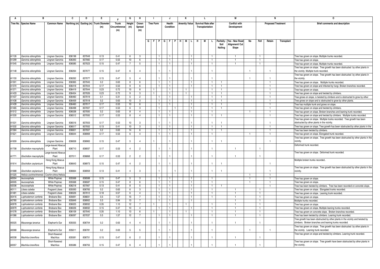|       | в                       |                      | C      | D      | Е.                                      |               | G                       | н              |                  |                           | J            | к                    |         | L |                            |                   | М                                |                |                | N                         |            | 0                                                                               |
|-------|-------------------------|----------------------|--------|--------|-----------------------------------------|---------------|-------------------------|----------------|------------------|---------------------------|--------------|----------------------|---------|---|----------------------------|-------------------|----------------------------------|----------------|----------------|---------------------------|------------|---------------------------------------------------------------------------------|
|       | Tree No. Species Name   | <b>Common Name</b>   |        |        | Northing (m) Easting (m) Trunk Diameter | <b>Trunk</b>  | Height                  | Crown          | <b>Tree Form</b> |                           | Health       | <b>Amenity Value</b> |         |   | <b>Survival Rate after</b> |                   | <b>Conflict with</b>             |                |                | <b>Proposed Treatment</b> |            | <b>Brief comments and description</b>                                           |
|       |                         |                      |        |        | (m)                                     | Circumference | (m)                     | Spread         |                  |                           | Condition    |                      |         |   | Transplantation            |                   | Development                      |                |                |                           |            |                                                                                 |
|       |                         |                      |        |        |                                         | (m)           |                         | (m)            |                  |                           |              |                      |         |   |                            |                   |                                  |                |                |                           |            |                                                                                 |
|       |                         |                      |        |        |                                         |               |                         |                |                  |                           |              |                      |         |   |                            |                   |                                  |                |                |                           |            |                                                                                 |
|       |                         |                      |        |        |                                         |               |                         |                |                  |                           |              |                      |         |   |                            |                   |                                  |                |                |                           |            |                                                                                 |
|       |                         |                      |        |        |                                         |               |                         |                |                  | G   F   P   G   F   P   H |              | M                    | ᆘᄔ<br>H | M | L.                         | Paritally<br>Soil | Yes - New Road<br>Alignment/ Cut | No             | Fell           | Retain                    | Transplant |                                                                                 |
|       |                         |                      |        |        |                                         |               |                         |                |                  |                           |              |                      |         |   |                            | Nailing           | Slope                            |                |                |                           |            |                                                                                 |
|       |                         |                      |        |        |                                         |               |                         |                |                  |                           |              |                      |         |   |                            |                   |                                  |                |                |                           |            |                                                                                 |
| A1126 | Garcinia oblongifolia   | Lingnan Garcinia     | 836198 | 837049 | 0.13                                    | 0.41          | 6                       | -3             |                  |                           | 1            | $\overline{1}$       |         |   |                            |                   |                                  |                |                |                           |            |                                                                                 |
| A1299 | Garcinia oblongifolia   | Lingnan Garcinia     | 836393 | 837060 | 0.17                                    | 0.53          | 10                      | 6              | -1               |                           | $\mathbf{1}$ | $\overline{1}$       |         |   | -1.                        |                   | -1                               |                | -1             |                           |            | Free has grown on slope. Multiple trunks recorded.<br>Tree has grown on slope.  |
| A1545 | Garcinia oblongifolia   | Lingnan Garcinia     | 836585 | 837023 | 0.15                                    | 0.47          | $\overline{7}$          | 5              |                  |                           | $\mathbf{1}$ | $\mathbf{1}$         |         |   |                            |                   | $\mathbf{1}$                     |                |                |                           |            | ree has grown on slope. Multiple trunks recorded                                |
|       |                         |                      |        |        |                                         |               |                         |                |                  |                           |              |                      |         |   |                            |                   |                                  |                |                |                           |            | Free has grown on slope. Tree growth has been obstructed by other plants in     |
| A1148 | Garcinia oblongifolia   | Lingnan Garcinia     | 836264 | 837077 | 0.15                                    | 0.47          | 6                       | $\Delta$       |                  |                           |              |                      |         |   |                            |                   |                                  |                |                | $\overline{1}$            |            | the vicinity. Multiple trunk recorded.                                          |
|       |                         |                      |        |        |                                         |               |                         |                |                  |                           |              |                      |         |   |                            |                   |                                  |                |                |                           |            | Free has grown on slope. Tree growth has been obstructed by other plants in     |
| A1150 | Garcinia oblongifolia   | Lingnan Garcinia     | 836262 | 837077 | 0.15                                    | 0.47          | -5                      | $\Delta$       |                  |                           |              |                      |         |   |                            |                   |                                  | -1             |                |                           |            | the vicinity.                                                                   |
| A1301 | Garcinia oblongifolia   | Lingnan Garcinia     | 836365 | 837045 | 0.2                                     | 0.63          | $\overline{\mathbf{8}}$ | 6              |                  |                           | $\mathbf{1}$ | $\mathbf{1}$         |         |   |                            |                   |                                  |                |                | $\overline{1}$            |            | Tree has grown on slope. Multiple trunks recorded                               |
| A1370 | Garcinia oblongifolia   | Lingnan Garcinia     | 836418 | 837044 | 0.17                                    | 0.53          | 9                       | -6             |                  |                           | $\mathbf{1}$ | 1                    |         |   |                            |                   |                                  |                |                |                           |            | Tree has grown on slope and infected by fungi. Broken branches recorded.        |
| A1371 | Garcinia oblongifolia   | Lingnan Garcinia     | 836419 | 837044 | 0.23                                    | 0.72          | 15                      | 8              |                  |                           | $\mathbf{1}$ | $\mathbf{1}$         |         |   |                            |                   |                                  |                |                |                           |            | Free has grown on slope                                                         |
| A1433 | Garcinia oblongifolia   | Lingnan Garcinia     | 836454 | 837026 | 0.23                                    | 0.72          | 9                       | 3              |                  |                           | $\mathbf{1}$ | 1                    |         |   |                            |                   |                                  |                |                |                           |            | Free has grown on slope and twisted by climbers.                                |
| A1437 | Garcinia oblongifolia   | Lingnan Garcinia     | 836460 | 837019 | 0.1                                     | 0.31          | 5                       | $\overline{c}$ |                  |                           | $\mathbf{1}$ | $\mathbf{1}$         |         |   |                            |                   |                                  |                |                |                           |            | Tree grows on slope, is twisted by climbers and is obstructed to grow by other  |
| A1438 | Garcinia oblongifolia   | Lingnan Garcinia     | 836459 | 837018 | 0.2                                     | 0.63          | 10                      | 3              | $\overline{1}$   |                           | T            | $\mathbf{1}$         |         |   |                            |                   |                                  |                |                |                           |            | Free grows on slope and is obstructed to grow by other plants                   |
| A1439 | Garcinia oblongifolia   | Lingnan Garcinia     | 836460 | 837017 | 0.17                                    | 0.53          | 10                      | 6              |                  |                           | $\mathbf{1}$ | $\overline{1}$       |         |   |                            |                   |                                  |                |                |                           |            | Free has multiple trunk and grows on slope.                                     |
| A1465 | Garcinia oblongifolia   | Lingnan Garcinia     | 836498 | 837007 | 0.17                                    | 0.53          | 6                       | 3              | $\overline{1}$   |                           |              | $\overline{1}$       |         |   |                            |                   |                                  |                |                |                           |            | Free has grown on slope and twisted by climbers                                 |
| A1512 | Garcinia oblongifolia   | Lingnan Garcinia     | 836538 | 837000 | 0.2                                     | 0.63          | 8                       | $\overline{4}$ | -1               |                           | 1            | $\mathbf{1}$         |         |   |                            |                   |                                  | $\mathbf{1}$   |                | -1                        |            | Tree has grown on slope. Broken branches and leaning trunk recorded.            |
| A1530 | Garcinia oblongifolia   | Lingnan Garcinia     | 836512 | 837000 | 0.17                                    | 0.53          | 8                       | $\overline{a}$ |                  |                           | $\mathbf{1}$ | $\mathbf{1}$         |         |   |                            |                   |                                  |                |                |                           |            | Tree has grown on slope and twisted by climbers. Multiple trunks recorded.      |
|       |                         |                      |        |        |                                         |               |                         |                |                  |                           |              |                      |         |   |                            |                   |                                  |                |                |                           |            | Free has grown on slope. Multiple trunks recorded. Tree growth has been         |
| A1531 | Garcinia oblongifolia   | Lingnan Garcinia     | 836516 | 837003 | 0.17                                    | 0.53          | 10                      |                |                  |                           |              |                      |         |   |                            |                   |                                  |                |                |                           |            | obstructed by other plants in the vicinity.                                     |
| A1532 | Garcinia oblongifolia   | Lingnan Garcinia     | 836517 | 837002 | 0.13                                    | 0.41          | 10                      | $\mathbf{3}$   | $\overline{1}$   |                           | $\mathbf{1}$ | $\overline{1}$       |         |   |                            |                   |                                  |                |                |                           |            | Free has grown on slope. Tree growth has been obstructed by other plants in the |
| A1584 | Garcinia oblongifolia   | Lingnan Garcinia     | 836601 | 837007 | 0.2                                     | 0.63          | 14                      | 6              | $\overline{1}$   |                           | $\mathbf{1}$ | $\mathbf{1}$         |         |   |                            | $\overline{1}$    |                                  |                |                | $\overline{1}$            |            | Free has been twisted by climbers.                                              |
| A1621 | Garcinia oblongifolia   | Lingnan Garcinia     | 836644 | 836969 | 0.17                                    | 0.53          | 6                       | $\overline{4}$ |                  |                           | 1            | $\mathbf{1}$         |         |   |                            |                   |                                  |                |                |                           |            | Free has grown on slope. Elongated trunk recorded.                              |
|       |                         |                      |        |        |                                         |               |                         |                |                  |                           |              |                      |         |   |                            |                   |                                  |                |                |                           |            | Tree has grown on slope. Tree growth has been obstructed by other plants in the |
| A1659 | Garcinia oblongifolia   | Lingnan Garcinia     | 836658 | 836965 | 0.15                                    | 0.47          | $\overline{5}$          | $\overline{a}$ |                  |                           |              |                      |         |   |                            |                   |                                  |                |                |                           |            | <i>r</i> icinitv                                                                |
|       |                         | arge-leaved Abacu    |        |        |                                         |               |                         |                |                  |                           |              |                      |         |   |                            |                   |                                  |                |                |                           |            | Deformed trunk recorded.                                                        |
| A1708 | Glochidion macrophylla  | Plant                | 836710 | 836937 | 0.17                                    | 0.53          | $\mathbf{\Lambda}$      | $\overline{2}$ |                  |                           |              |                      |         |   |                            |                   | $\mathbf{1}$                     |                |                |                           |            |                                                                                 |
|       |                         | arge-leaved Abacu    |        |        |                                         |               |                         |                |                  |                           |              |                      |         |   |                            |                   |                                  |                |                |                           |            | Tree has grown on slope. Deformed trunk recorded.                               |
| A1771 | Glochidion macrophylla  | Plant                | 837011 | 836868 | 0.17                                    | 0.53          | $\overline{2}$          | $\overline{2}$ |                  |                           |              |                      |         |   |                            |                   | $\mathbf{1}$                     |                |                |                           |            |                                                                                 |
|       |                         | Hong Kong Abacus     |        |        |                                         |               |                         |                |                  |                           |              |                      |         |   |                            |                   |                                  |                |                |                           |            | Multiple broken trunks recorded                                                 |
| A1614 | Glochidion zeylanicum   | Plant                | 836643 | 836973 | 0.15                                    | 0.47          | $\overline{a}$          | $\overline{2}$ |                  |                           |              |                      |         |   |                            |                   |                                  |                |                | $\overline{1}$            |            |                                                                                 |
|       |                         | Hong Kong Abacus     |        |        |                                         |               |                         |                |                  |                           |              |                      |         |   |                            |                   |                                  |                |                |                           |            | Tree has grown on slope. Tree growth has been obstructed by other plants in the |
| A1688 | Glochidion zeylanicum   | Plant                | 836664 | 836959 | 0.13                                    | 0.41          | $\overline{a}$          | $\mathbf{B}$   |                  |                           |              |                      |         |   |                            |                   |                                  |                |                |                           |            | vicinity                                                                        |
| A1025 | Helicia cochinchinensis | Cochin-china Helicia |        |        |                                         |               |                         |                |                  |                           |              |                      |         |   |                            |                   |                                  | $\overline{1}$ |                |                           |            |                                                                                 |
| A0004 | eucocephala             | White Popinac        | 835568 | 836588 | 0.15                                    | 0.47          | 5                       |                |                  |                           |              | $\overline{1}$       |         |   |                            |                   |                                  |                |                |                           |            | ree has grown on slope.                                                         |
| A0005 | leucocephala            | White Popinac        | 835568 | 836587 | 0.15                                    | 0.47          | 8                       | 6              |                  |                           | $\mathbf{1}$ | $\mathbf{1}$         |         |   |                            |                   |                                  | $\overline{1}$ |                |                           |            | ree has grown on slope.                                                         |
| A2036 | eucocephala             | White Popinac        | 836218 | 837067 | 0.13                                    | 0.41          | 8                       | 5              |                  |                           | $\mathbf{1}$ | $\mathbf{1}$         |         |   |                            |                   |                                  |                |                |                           |            | ree has been twisted by climbers. Tree has been recorded on concrete slope.     |
| A0111 | itsea cubeba            | Fragrant Litsea      | 835593 | 836765 | 0.2                                     | 0.63          | 6                       | $\mathbf{3}$   |                  |                           | 1            | -1.                  |         |   |                            |                   | -1                               |                |                |                           |            | Tree has grown on slope. Elongated trunks recorded.                             |
| A1481 | Litsea cubeba           | Fragrant Litsea      | 836526 | 837012 | 0.18                                    | 0.57          | 6                       | $\overline{4}$ |                  |                           | $\mathbf{1}$ | $\overline{1}$       |         |   |                            |                   | $\overline{1}$                   |                |                |                           |            | Tree has grown on slope. Leaning trunk recorded.                                |
| A0416 | ophostemon conferta.    | <b>Brisbane Box</b>  | 835691 | 836831 | 0.5                                     | 1.57          | 15                      |                |                  |                           | $\mathbf{1}$ | $\mathbf{1}$         |         |   |                            |                   |                                  |                |                |                           |            | Free has grown on slope.                                                        |
| A0780 | Lophostemon conferta    | <b>Brisbane Box</b>  | 835849 | 836902 | 0.3                                     | 0.94          | 13                      | 7              |                  |                           | $\mathbf{1}$ | $\mathbf{1}$         |         |   |                            |                   | $\mathbf{1}$                     |                |                |                           |            | Multiple trunks recorded.                                                       |
| A0978 | ophostemon conferta     | <b>Brisbane Box</b>  | 836025 | 836932 | 0.35                                    | 1.10          | 12                      |                |                  |                           | $\mathbf{1}$ |                      |         |   |                            |                   | -1                               |                |                |                           |            | Free has grown on slope.                                                        |
| A0979 | Lophostemon conferta    | <b>Brisbane Box</b>  | 836026 | 836932 | 0.15                                    | 0.47          | 10                      | $\overline{4}$ |                  |                           | $\mathbf{1}$ | -1.                  |         |   |                            |                   | -1                               |                |                |                           |            | ree has grown on slope. Multiple leaning trunks recorded.                       |
| A1078 | Lophostemon conferta    | <b>Brisbane Box</b>  | 836109 | 837040 | 0.35                                    | 1.10          | 13                      | -6             |                  |                           | $\mathbf{1}$ |                      |         |   |                            |                   | $\mathbf{1}$                     |                | $\overline{1}$ |                           |            | Tree has grown on concrete slope. Broken branches recorded.                     |
| A1086 | Lophostemon conferta    | <b>Brisbane Box</b>  | 836097 | 837037 | 0.5                                     | 1.57          | 12                      | $\overline{7}$ |                  |                           | $\mathbf{1}$ | 1                    |         |   |                            |                   | $\overline{1}$                   |                |                |                           |            | ree has been twisted by climbers. Leaning trunk recorded.                       |
|       |                         |                      |        |        |                                         |               |                         |                |                  |                           |              |                      |         |   |                            |                   |                                  |                |                |                           |            | Tree growth has been obstructed by other plants in the vicinity and twisted by  |
| A0025 | Macaranga tanarius      | Elephant's Ear       | 835555 | 836704 | 0.2                                     | 0.63          | $\overline{4}$          |                |                  |                           |              |                      |         |   |                            |                   | -1                               |                |                |                           |            | climbers. Broken branches and leaning trunks recorded.                          |
|       |                         |                      |        |        |                                         |               |                         |                |                  |                           |              |                      |         |   |                            |                   |                                  |                |                |                           |            | Free has grown on slope. Tree growth has been obstructed by other plants in     |
| A0068 | Macaranga tanarius      | Elephant's Ear       | 835611 | 836781 | 0.2                                     | 0.63          | $\overline{5}$          | -5             |                  |                           |              |                      |         |   |                            |                   |                                  | $\overline{1}$ |                |                           |            | the vicinity. Leaning trunk recorded.                                           |
|       |                         | Short-flowered       |        |        |                                         |               |                         |                |                  |                           |              |                      |         |   |                            |                   |                                  |                |                |                           |            | Free has grown on slope and twisted by climbers. Leaning trunk recorded.        |
| A0038 | Machilus breviflora     | Machilus             | 835581 | 836751 | 0.15                                    | 0.47          | 6                       | $\overline{2}$ |                  |                           |              |                      |         |   |                            |                   | $\overline{1}$                   |                |                |                           |            |                                                                                 |
|       |                         | Short-flowered       |        |        |                                         |               |                         |                |                  |                           |              |                      |         |   |                            |                   |                                  |                |                |                           |            | Tree has grown on slope. Tree growth have been obstructed by other plants in    |
| A0057 | Machilus breviflora     | Machilus             | 835586 | 836755 | 0.15                                    | 0.47          |                         |                |                  |                           |              |                      |         |   |                            |                   |                                  |                |                |                           |            | the vicinity.                                                                   |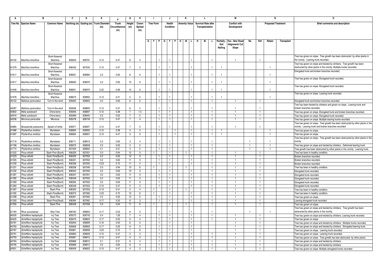|                | в                                          |                            | C                | D                | Е.                                      | Е             | G                   | н              | J.                    |                  | J            | к                    |                | L                          |    |                   | М                                |                |                | N                         |            | 0                                                                                                                                                         |
|----------------|--------------------------------------------|----------------------------|------------------|------------------|-----------------------------------------|---------------|---------------------|----------------|-----------------------|------------------|--------------|----------------------|----------------|----------------------------|----|-------------------|----------------------------------|----------------|----------------|---------------------------|------------|-----------------------------------------------------------------------------------------------------------------------------------------------------------|
|                | Tree No. Species Name                      | <b>Common Name</b>         |                  |                  | Northing (m) Easting (m) Trunk Diameter | <b>Trunk</b>  | Height              | Crown          |                       | <b>Tree Form</b> | Health       | <b>Amenity Value</b> |                | <b>Survival Rate after</b> |    |                   | <b>Conflict with</b>             |                |                | <b>Proposed Treatment</b> |            | <b>Brief comments and description</b>                                                                                                                     |
|                |                                            |                            |                  |                  | (m)                                     | Circumference | (m)                 | Spread         |                       |                  | Condition    |                      |                | Transplantation            |    |                   | Development                      |                |                |                           |            |                                                                                                                                                           |
|                |                                            |                            |                  |                  |                                         | (m)           |                     | (m)            |                       |                  |              |                      |                |                            |    |                   |                                  |                |                |                           |            |                                                                                                                                                           |
|                |                                            |                            |                  |                  |                                         |               |                     |                |                       |                  |              |                      |                |                            |    |                   |                                  |                |                |                           |            |                                                                                                                                                           |
|                |                                            |                            |                  |                  |                                         |               |                     |                |                       |                  |              |                      |                |                            |    |                   |                                  |                |                |                           |            |                                                                                                                                                           |
|                |                                            |                            |                  |                  |                                         |               |                     |                | G   F   P   G   F   P |                  |              | HIM                  | IL.<br>H.      | M                          | L. | Paritally<br>Soil | Yes - New Road<br>Alignment/ Cut | No             | Fell           | Retain                    | Transplant |                                                                                                                                                           |
|                |                                            |                            |                  |                  |                                         |               |                     |                |                       |                  |              |                      |                |                            |    | Nailing           | Slope                            |                |                |                           |            |                                                                                                                                                           |
|                |                                            |                            |                  |                  |                                         |               |                     |                |                       |                  |              |                      |                |                            |    |                   |                                  |                |                |                           |            |                                                                                                                                                           |
|                |                                            |                            |                  |                  |                                         |               |                     |                |                       |                  |              |                      |                |                            |    |                   |                                  |                |                |                           |            |                                                                                                                                                           |
| A0102          | Machilus breviflora                        | Short-flowered<br>Machilus | 835603           | 836781           | 0.15                                    | 0.47          | 6                   | $\mathbf{4}$   |                       |                  |              |                      |                |                            |    |                   | $\overline{1}$                   |                |                |                           |            | Tree has grown on slope. Tree growth has been obstructed by other plants in<br>the vicinity. Leaning trunk recorded.                                      |
|                |                                            | Short-flowered             |                  |                  |                                         |               |                     |                |                       |                  |              |                      |                |                            |    |                   |                                  |                |                |                           |            | Tree has grown on slope and twisted by climbers. Tree growth has been                                                                                     |
| A1379          | Machilus breviflora                        | Machilus                   | 836433           | 837040           | 0.15                                    | 0.47          | $\overline{7}$      | $\overline{2}$ |                       |                  |              |                      |                |                            |    | $\overline{1}$    |                                  |                |                | $\mathbf{1}$              |            | obstructed by other plants in the vicinity. Multiple trunks recorded.                                                                                     |
|                |                                            | Short-flowered             |                  |                  |                                         |               |                     |                |                       |                  |              |                      |                |                            |    |                   |                                  |                |                |                           |            | Elongated trunk and broken branches recorded                                                                                                              |
| A1611          | Machilus breviflora                        | Machilus                   | 836631           | 836984           | 0.2                                     | 0.63          | 8                   | -6             |                       |                  |              |                      |                |                            |    | -1                |                                  |                |                | -1                        |            |                                                                                                                                                           |
|                |                                            | Short-flowered             |                  |                  |                                         |               |                     |                |                       |                  |              |                      |                |                            |    |                   |                                  |                |                |                           |            | Tree has grown on slope. Elongated trunk recorded.                                                                                                        |
| A1617          | Machilus breviflora                        | Machilus                   | 836650           | 836970           | 0.2                                     | 0.63          | 10                  | -6             |                       |                  |              |                      |                |                            |    |                   |                                  |                |                |                           |            |                                                                                                                                                           |
|                |                                            | Short-flowered             |                  |                  |                                         |               |                     |                |                       |                  |              |                      |                |                            |    |                   |                                  |                |                |                           |            | Tree has grown on slope. Elongated trunk recorded.                                                                                                        |
| A1646          | Machilus breviflora                        | Machilus                   | 836651           | 836970           | 0.22                                    | 0.69          | 10                  | -6             |                       |                  |              |                      |                |                            |    |                   |                                  |                |                |                           |            |                                                                                                                                                           |
|                |                                            | Short-flowered             |                  |                  |                                         |               |                     |                |                       |                  |              |                      |                |                            |    |                   |                                  |                |                |                           |            | Tree has grown on slope. Leaning trunk recorded.                                                                                                          |
| A1678          | Machilus breviflora                        | Machilus                   | 836673           | 836952           | 0.13                                    | 0.41          | 5                   | $\overline{2}$ |                       |                  |              |                      |                |                            |    |                   |                                  |                |                | $\mathbf{1}$              |            |                                                                                                                                                           |
| A0122          | Mallotus paniculatus                       | Turn-in-the-wind           | 835630           | 836803           | 0.2                                     | 0.63          | 6                   | -5             |                       | -1               | 1            |                      | $\mathbf{1}$   |                            |    |                   |                                  |                |                |                           |            | Elongated trunk and broken branches recorded.                                                                                                             |
|                |                                            |                            |                  |                  |                                         |               |                     |                |                       |                  |              |                      |                |                            |    |                   |                                  |                |                |                           |            | Tree has been twisted by climbers and grown on slope. Leaning trunk and                                                                                   |
| A0287          | Mallotus paniculatus                       | Tum-in-the-wind            | 835636           | 836805           | 0.15                                    | 0.47          | 6                   | $\overline{a}$ |                       |                  |              |                      |                |                            |    |                   | $\overline{1}$                   |                |                |                           |            | broken branches recorded                                                                                                                                  |
| A0802          | Melia azedarach                            | China-berry                | 835846           | 836897           | 0.12                                    | 0.38          |                     | 1.5            |                       | $\overline{1}$   | $\mathbf{1}$ |                      | 1.             |                            |    |                   |                                  |                |                |                           |            | Free has grown on slope. Elongated trunk and broken branches recorded.                                                                                    |
| A0916          | Melia azedarach                            | China-berry                | 835996           | 836940           | 0.2                                     | 0.63          | 7                   | $\overline{2}$ |                       |                  | 1            |                      | $\mathbf{1}$   |                            |    |                   | -1                               |                |                |                           |            | Tree has grown on slope. Elongated trunk recorded.                                                                                                        |
| A0036          | Microcos paniculata                        | Microcos                   | 835578           | 836749           | 0.15                                    | 0.47          | $\overline{7}$      | $\overline{4}$ |                       | $\overline{1}$   | $\mathbf{1}$ |                      | $\mathbf{1}$   |                            |    |                   | $\overline{1}$                   |                |                |                           |            | Free has grown on slope. Multiple leaning trunks recorded                                                                                                 |
|                |                                            |                            |                  |                  |                                         |               |                     |                |                       |                  |              |                      |                |                            |    |                   |                                  |                |                |                           |            | Tree has grown on slope. Tree growth has been obstructed by other plants in the                                                                           |
| A0865          | Mussaenda pubescens                        | Splash-of-white            | 835971           | 836927           | 0.15                                    | 0.47          | $\overline{7}$      | $\overline{2}$ |                       |                  |              |                      |                |                            |    |                   | -1                               |                |                |                           |            | vicinity. Leaning trunk and broken branches recorded.                                                                                                     |
| A1686          | Phyllanthus emblica                        | Myrobalan                  | 836665           | 836955           | 0.12                                    | 0.38          | $5\overline{)}$     | $\overline{2}$ |                       | -1.              |              |                      | $\mathbf{1}$   |                            |    | -1                |                                  |                |                | -1                        |            | Tree has grown on slope.                                                                                                                                  |
| A1687          | Phyllanthus emblica                        | Myrobalan                  | 836664           | 836957           | 0.15                                    | 0.47          | $5\overline{5}$     | 3              |                       |                  |              |                      |                |                            |    |                   |                                  |                |                |                           |            | Free has grown on slope.                                                                                                                                  |
| A1719          |                                            |                            | 836711           | 836915           | 0.2                                     | 0.63          |                     | $\overline{a}$ |                       |                  |              |                      |                |                            |    |                   |                                  |                |                |                           |            | Tree has grown on slope. Tree growth has been obstructed by other plants in the<br>vicinit                                                                |
| A1768          | Phyllanthus emblica<br>Phyllanthus emblica | Myrobalan<br>Myrobalan     | 836975           | 836848           | 0.2                                     | 0.63          | 3<br>$\overline{c}$ | $\overline{2}$ |                       |                  |              |                      |                |                            |    |                   |                                  |                |                |                           |            |                                                                                                                                                           |
| A1774          | Phyllanthus emblica                        | Myrobalan                  | 837029           | 836852           | 0.1                                     | 0.31          | $\overline{4}$      | $\overline{2}$ |                       |                  | $\mathbf{1}$ |                      |                |                            |    |                   |                                  | $\overline{1}$ |                |                           |            | Tree has grown on slope and twisted by climbers. Deformed leaning trunk<br>Tree growth has been obstructed by other plants in the vicinity. Leaning trunk |
| A1222          | Pinus elliottii                            | Slash Pine (Burnt)         | 836329           | 837051           | 0.3                                     | 0.94          | 12                  | -5             |                       |                  | $\mathbf{1}$ |                      |                |                            |    |                   |                                  |                |                |                           |            | Tree has been in healthy condition.                                                                                                                       |
| A1223          | Pinus elliottii                            | Slash Pine(Burnt)          | 836329           | 837053           | 0.2                                     | 0.63          | 12                  | 3              |                       |                  | $\mathbf{1}$ |                      |                |                            |    |                   | $\overline{1}$                   |                |                |                           |            | Broken branches recorded                                                                                                                                  |
| A1225          | Pinus elliottii                            | Slash Pine(Burnt)          | 836331           | 837052           | 0.2                                     | 0.63          | 11                  | $\mathbf{3}$   |                       | $\overline{1}$   |              |                      |                |                            |    |                   | $\overline{1}$                   |                |                |                           |            | Broken branches recorded                                                                                                                                  |
| A1230          | Pinus elliottii                            | Slash Pine(Burnt)          | 836338           | 837050           | 0.23                                    | 0.72          | 11                  | $\overline{4}$ |                       |                  | $\mathbf{1}$ |                      |                |                            |    |                   |                                  |                |                |                           |            | Broken branches recorded.                                                                                                                                 |
| A1231          | Pinus elliottii                            | Slash Pine(Burnt)          | 836338           | 837049           | 0.3                                     | 0.94          | 13                  | -6             |                       |                  | 1            |                      |                |                            |    |                   | -1.                              |                |                |                           |            | Tree has been in healthy condition.                                                                                                                       |
| A1232          | Pinus elliottii                            | Slash Pine(Burnt)          | 836342           | 837050           | 0.2                                     | 0.63          | 10                  | $\mathcal{R}$  |                       |                  | $\mathbf{1}$ |                      |                |                            |    |                   | $\overline{1}$                   |                |                |                           |            | Elongated trunk recorded.                                                                                                                                 |
| A1281          | Pinus elliottii                            | Slash Pine(Burnt)          | 836347           | 837051           | 0.2                                     | 0.63          | 11                  | $\mathcal{R}$  |                       |                  |              |                      |                |                            |    |                   |                                  |                |                |                           |            | Elongated trunk recorded.                                                                                                                                 |
| A1282          | Pinus elliottii                            | Slash Pine(Burnt)          | 836348           | 837050           | 0.2                                     | 0.63          | 11                  | 3              |                       | $\overline{1}$   | 1.           |                      | $\mathbf{1}$   |                            |    |                   | -1.                              |                |                |                           |            | Elongated trunk recorded.                                                                                                                                 |
| A1283          | Pinus elliottii                            | Slash Pine(Burnt)          | 836350           | 837053           | 0.2                                     | 0.63          | 11                  | $\mathcal{R}$  |                       | $\overline{1}$   | $\mathbf{1}$ |                      | $\overline{1}$ |                            |    |                   | $\overline{1}$                   |                |                |                           |            | Elongated trunk recorded.                                                                                                                                 |
| A1284          | Pinus elliottii                            | Slash Pine(Burnt)          | 836348           | 837053           | 0.15                                    | 0.47          | 11                  | $\overline{2}$ |                       |                  | $\mathbf{1}$ |                      | 1              |                            |    |                   |                                  |                |                |                           |            | Elongated trunk recorded.                                                                                                                                 |
| A1287          | Pinus elliottii                            | Slash Pine                 | 836355           | 837053           | 0.13                                    | 0.41          | $5\overline{5}$     | $\overline{4}$ | $\mathbf{1}$          |                  | $\mathbf{1}$ |                      |                |                            |    |                   | $\overline{1}$                   |                |                |                           |            | Tree has been in healthy condition.                                                                                                                       |
| A1292          | Pinus elliottii                            | Slash Pine(Burnt)          | 836373           | 837060           | 0.23                                    | 0.72          | 10                  | -6             |                       |                  | $\mathbf{1}$ |                      |                |                            |    |                   | $\overline{1}$                   |                |                |                           |            | Tree has been in healthy condition.                                                                                                                       |
| A1298          | Pinus elliottii                            | Slash Pine                 | 836391           | 837062           | 0.2                                     | 0.63          | 12                  | -5             |                       |                  | $\mathbf{1}$ |                      | 1              |                            |    |                   |                                  |                |                |                           |            | Tree has grown on slope                                                                                                                                   |
| A1350          | Pinus elliottii                            | Slash Pine(Dead)           | 836394           | 837062           | 0.17                                    | 0.53          | 8                   | $\mathbf{3}$   |                       | $\overline{1}$   | $\mathbf{1}$ |                      | $\mathbf{1}$   |                            |    |                   | $\overline{1}$                   |                | $\overline{1}$ |                           |            | Leaning elongated trunk recorded.                                                                                                                         |
| A1355          | Pinus elliottii                            | Slash Pine                 | 836409           | 837058           | 0.3                                     | 0.94          | 11                  | 6              |                       |                  | $\mathbf{1}$ |                      |                |                            |    |                   | $\overline{1}$                   |                |                |                           |            | Free has grown on slope                                                                                                                                   |
|                |                                            |                            |                  |                  | 0.17                                    |               | 6                   | $\mathcal{R}$  |                       |                  |              |                      |                |                            |    |                   |                                  |                |                | $\mathbf{1}$              |            | Tree has grown on slope and twisted by climbers. Tree growth has been                                                                                     |
| A1764<br>A0035 | Rhus succedanea<br>Schefflera heptaphylla  | Wax Tree                   | 836762<br>835573 | 836853<br>836743 | 0.4                                     | 0.53<br>1.26  | 7                   | $\overline{4}$ |                       | -1               | 1            |                      | 1.             |                            |    |                   | -1                               |                |                |                           |            | obstructed by other plants in the vicinity.                                                                                                               |
| A0405          | Schefflera heptaphylla                     | lvy Tree<br>lvy Tree       | 835679           | 836823           | 0.17                                    | 0.53          | -5                  | $\overline{a}$ |                       |                  |              |                      | $\mathbf{1}$   |                            |    |                   |                                  |                |                |                           |            | Free has grown on slope and twisted by climbers. Leaning trunk recorded.<br>Tree has grown on slope.                                                      |
| A0781          | Schefflera heptaphylla                     | Ivy Tree                   | 835849           | 836899           | 0.16                                    | 0.50          | 6                   | $\overline{5}$ |                       |                  |              |                      |                |                            |    |                   |                                  |                |                |                           |            | Tree has grown on slope and twisted by climbers. Multiple trunks recorded.                                                                                |
| A0783          | Schefflera heptaphylla                     | lvy Tree                   | 835858           | 836905           | 0.17                                    | 0.53          | -6                  | -3             |                       | $\overline{1}$   | $\mathbf{1}$ |                      | $\mathbf{1}$   |                            |    |                   |                                  |                |                |                           |            | Tree has grown on slope and twisted by climbers. Elongated leaning trunk                                                                                  |
| A0787          | Schefflera heptaphylla                     | lvy Tree                   | 835861           | 836908           | 0.23                                    | 0.72          | 7                   | -6             |                       | -1               | 1            |                      | $\mathbf{1}$   |                            |    |                   | -1                               |                |                |                           |            | Tree has grown on slope. Leaning trunk recorded                                                                                                           |
| A0791          | Schefflera heptaphylla                     | <b>Ivy Tree</b>            | 835863           | 836909           | 0.15                                    | 0.47          | 5                   | $\overline{4}$ |                       | $\overline{1}$   | T            |                      | $\overline{1}$ |                            |    |                   | $\overline{1}$                   |                |                |                           |            | Tree has grown on slope. Leaning trunk recorded.                                                                                                          |
| A0793          | Schefflera heptaphylla                     | lvy Tree                   | 835867           | 836912           | 0.15                                    | 0.47          | $\overline{4}$      | 3              |                       |                  | $\mathbf{1}$ |                      |                |                            |    |                   |                                  |                |                |                           |            | Tree has grown on slope. Tree growth has bee obstructed by other plants.                                                                                  |
| A0794          | Schefflera heptaphylla                     | lvy Tree                   | 835868           | 836912           | 0.1                                     | 0.31          | 6                   | $\overline{4}$ |                       | $\overline{1}$   | 1            |                      | $\mathbf{1}$   |                            |    |                   | $\overline{1}$                   |                | $\mathbf{1}$   |                           |            | Free has grown on slope and twisted by climbers                                                                                                           |
| A0795          | Schefflera heptaphylla                     | lvy Tree                   | 835868           | 836912           | 0.2                                     | 0.63          | 6                   | $\overline{4}$ |                       | $\overline{1}$   | $\mathbf{1}$ |                      | $\mathbf{1}$   |                            |    |                   | $\overline{1}$                   |                |                |                           |            | Free has grown on slope and twisted by climbers.                                                                                                          |
| A0931          | Schefflera heptaphylla                     | lvy Tree                   | 836009           | 836922           | 0.15                                    | 0.47          | $\overline{4}$      | $\overline{2}$ |                       |                  |              |                      |                |                            |    |                   |                                  |                |                |                           |            | Tree has grown on slope. Multiple elongated trunks recorded.                                                                                              |
|                |                                            |                            |                  |                  |                                         |               |                     |                |                       |                  |              |                      |                |                            |    |                   |                                  |                |                |                           |            |                                                                                                                                                           |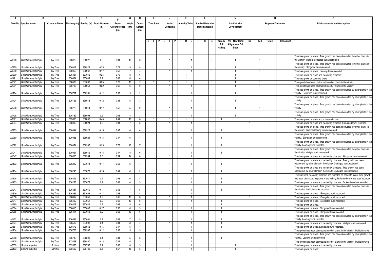|       | в                      |                    | C            | D      | Е.                         |               | G                | н                |                  |                | J            |               | Κ                    |                |    | L.                         |                |                   | М                    |                |              | N                         |                   | 0                                                                                                                                            |
|-------|------------------------|--------------------|--------------|--------|----------------------------|---------------|------------------|------------------|------------------|----------------|--------------|---------------|----------------------|----------------|----|----------------------------|----------------|-------------------|----------------------|----------------|--------------|---------------------------|-------------------|----------------------------------------------------------------------------------------------------------------------------------------------|
|       | Tree No. Species Name  | <b>Common Name</b> | Northing (m) |        | Easting (m) Trunk Diameter | <b>Trunk</b>  | Height           | Crown            | <b>Tree Form</b> |                | Health       |               | <b>Amenity Value</b> |                |    | <b>Survival Rate after</b> |                |                   | <b>Conflict with</b> |                |              | <b>Proposed Treatment</b> |                   | <b>Brief comments and description</b>                                                                                                        |
|       |                        |                    |              |        | (m)                        | Circumference | (m)              | Spread           |                  |                | Condition    |               |                      |                |    | Transplantation            |                |                   | Development          |                |              |                           |                   |                                                                                                                                              |
|       |                        |                    |              |        |                            | (m)           |                  | (m)              |                  |                |              |               |                      |                |    |                            |                |                   |                      |                |              |                           |                   |                                                                                                                                              |
|       |                        |                    |              |        |                            |               |                  |                  |                  |                |              |               |                      |                |    |                            |                |                   |                      |                |              |                           |                   |                                                                                                                                              |
|       |                        |                    |              |        |                            |               |                  |                  | GFP              |                |              |               | MIL                  |                | Н. |                            |                |                   | Yes - New Road       |                | Fell         |                           |                   |                                                                                                                                              |
|       |                        |                    |              |        |                            |               |                  |                  |                  |                |              | G   F   P   H |                      |                |    |                            |                | Paritally<br>Soil | Alignment/ Cut       | No             |              | Retain                    | <b>Transplant</b> |                                                                                                                                              |
|       |                        |                    |              |        |                            |               |                  |                  |                  |                |              |               |                      |                |    |                            |                | Nailing           | Slope                |                |              |                           |                   |                                                                                                                                              |
|       |                        |                    |              |        |                            |               |                  |                  |                  |                |              |               |                      |                |    |                            |                |                   |                      |                |              |                           |                   |                                                                                                                                              |
|       |                        |                    |              |        |                            |               |                  |                  |                  |                |              |               |                      |                |    |                            |                |                   |                      |                |              |                           |                   | Tree has grown on slope. Tree growth has been obstructed by other plants in                                                                  |
| A0968 | Schefflera heptaphylla | lvy Tree           | 836022       | 836922 | 0.3                        | 0.94          | 10 <sub>1</sub>  | - 6              |                  |                |              |               |                      |                |    |                            |                |                   | $\mathbf{1}$         |                |              |                           |                   | the vicinity. Multiple elongated trunks recorded.                                                                                            |
|       |                        |                    |              |        |                            |               |                  |                  |                  |                |              |               |                      |                |    |                            |                |                   |                      |                |              |                           |                   | Tree has grown on slope. Tree growth has been obstructed by other plants in                                                                  |
| A0970 | Schefflera heptaphylla | lvy Tree           | 836018       | 836922 | 0.25                       | 0.79          |                  |                  |                  |                |              |               |                      |                |    |                            |                |                   | $\overline{1}$       |                |              |                           |                   | the vicinity. Elongated trunk recorded.                                                                                                      |
| A0990 | Schefflera heptaphylla | lvy Tree           | 836053       | 836962 | 0.17                       | 0.53          | $\overline{7}$   | 4                |                  |                | $\mathbf{1}$ |               |                      | $\mathbf{1}$   |    |                            | -1             |                   | $\mathbf{1}$         |                | $\mathbf{1}$ |                           |                   | Tree has grown on slope. Leaning trunk recorded.                                                                                             |
| A1300 | Schefflera heptaphylla | lvy Tree           | 836357       | 837045 | 0.25                       | 0.79          | 8                | -6               |                  |                | $\mathbf{1}$ |               |                      |                |    |                            |                |                   | -1                   |                |              |                           |                   | Free has grown on slope and twisted by climbers.                                                                                             |
| A1421 | Schefflera heptaphylla | lvy Tree           | 836434       | 837049 | 0.2                        | 0.63          | 6                | $\overline{4}$   |                  |                | $\mathbf{1}$ |               | $\mathbf{1}$         |                |    |                            |                |                   | $\overline{1}$       |                |              |                           |                   | Free has grown on concrete slope.                                                                                                            |
| A1571 | Schefflera heptaphylla | lvy Tree           | 836609       | 837007 | 0.25                       | 0.79          | 13               | $\overline{7}$   |                  |                | $\mathbf{1}$ |               | $\mathbf{1}$         |                |    |                            |                |                   | $\overline{1}$       |                |              |                           |                   | ree growth has been obstructed by other plants in the vicinity.                                                                              |
| A1701 | Schefflera heptaphylla | lvy Tree           | 836707       | 836953 | 0.22                       | 0.69          | 6                | -6               |                  |                | $\mathbf{1}$ |               |                      | 1              |    |                            |                |                   | -1                   |                |              |                           |                   | Tree growth has been obstructed by other plants in the vicinity                                                                              |
|       |                        |                    |              |        |                            |               |                  |                  |                  |                |              |               |                      |                |    |                            |                |                   |                      |                |              |                           |                   | Tree has grown on slope. Tree growth has been obstructed by other plants in the                                                              |
| A1704 | Schefflera heptaphylla | lvy Tree           | 836709       | 836951 | 0.12                       | 0.38          | $5\overline{5}$  | $\overline{2}$   |                  |                |              |               |                      |                |    |                            |                |                   |                      |                |              |                           |                   | vicinity. Deformed trunk recorded.                                                                                                           |
|       |                        |                    |              |        |                            |               |                  |                  |                  |                |              |               |                      |                |    |                            |                |                   |                      |                |              |                           |                   | Tree has grown on slope. Tree growth has been obstructed by other plants in the                                                              |
| A1724 | Schefflera heptaphylla | lvy Tree           | 836725       | 836918 | 0.12                       | 0.38          | $\overline{5}$   | -3               |                  |                |              |               |                      |                |    |                            |                |                   | $\overline{1}$       |                |              |                           |                   | vicinitv                                                                                                                                     |
|       |                        |                    |              |        |                            |               |                  |                  |                  |                |              |               |                      |                |    |                            |                |                   |                      |                |              |                           |                   | Free has grown on slope. Tree growth has been obstructed by other plants in the                                                              |
| A1726 | Schefflera heptaphylla | lvy Tree           | 836729       | 836914 | 0.17                       | 0.53          | $5\overline{5}$  | $\overline{2}$   |                  |                |              |               |                      |                |    |                            |                |                   | $\mathbf{1}$         |                |              |                           |                   | vicinitv                                                                                                                                     |
|       |                        |                    |              |        |                            |               |                  |                  |                  |                |              |               |                      |                |    |                            |                |                   |                      |                |              |                           |                   | Tree has grown on slope. Tree growth has been obstructed by other plants in the                                                              |
| A1738 | Schefflera heptaphylla | lvy Tree           | 836732       | 836908 | 0.2                        | 0.63          | $\overline{a}$   | $\mathbf{B}$     |                  |                |              |               |                      |                |    |                            |                |                   | -1                   |                |              |                           |                   | vicinity.                                                                                                                                    |
| A0671 | Schefflera heptaphylla | lvy Tree           | 835806       | 836896 | 0.45                       | 1.41          | 10               | - 6              |                  |                | $\mathbf{1}$ |               |                      |                |    |                            |                |                   |                      |                |              |                           |                   | Free has grown on slope and is mature in size.                                                                                               |
| A0924 | Schefflera heptaphylla | lvy Tree           | 836002       | 836924 | 0.3                        | 0.94          | $\overline{7}$   | 5                |                  |                | $\mathbf{1}$ |               |                      | $\mathbf{1}$   |    |                            |                |                   |                      | $\mathbf{1}$   |              | $\overline{1}$            |                   | Free has grown on slope and twisted by climbers. Elongated trunk recorded.                                                                   |
|       |                        |                    |              |        |                            |               |                  |                  |                  |                |              |               |                      |                |    |                            |                |                   |                      |                |              |                           |                   | Tree has grows on slope. Tree growth has been obstructed by other plants in                                                                  |
| A0953 | Schefflera heptaphylla | lvy Tree           | 836044       | 836926 | 0.15                       | 0.47          | $\overline{a}$   |                  |                  |                |              |               |                      |                |    |                            |                |                   |                      |                |              |                           |                   | the vicinity. Multiple leaning trunks recorded.                                                                                              |
|       |                        |                    |              |        |                            |               |                  |                  |                  |                |              |               |                      |                |    |                            |                |                   |                      |                |              |                           |                   | Free has grown on slope. Tree growth has been obstructed by other plants in the                                                              |
| A0960 | Schefflera heptaphylla | lvy Tree           | 836038       | 836924 | 0.15                       | 0.47          | 6                | $\Delta$         |                  |                |              |               |                      |                |    |                            |                |                   |                      |                |              |                           |                   | vicinity. Elongated trunk recorded.                                                                                                          |
|       |                        |                    |              |        |                            |               |                  |                  |                  |                |              |               |                      |                |    |                            |                |                   |                      |                |              |                           |                   | Free has grown on slope. Tree growth has been obstructed by other plants in the                                                              |
| A1022 | Schefflera heptaphylla | lvy Tree           | 836054       | 836937 | 0.23                       | 0.72          | 10 <sup>10</sup> | $\overline{7}$   |                  |                |              |               |                      |                |    |                            |                |                   |                      |                |              |                           |                   | vicinity. Leaning trunk recorded.                                                                                                            |
|       |                        |                    |              |        |                            |               |                  |                  |                  |                |              |               |                      |                |    |                            |                |                   |                      |                |              |                           |                   | Free has grown on slope. Tree growth has been obstructed by other plants in                                                                  |
| A1041 | Schefflera heptaphylla | lvy Tree           | 836061       | 836946 | 0.15                       | 0.47          | $\mathbf{R}$     | - 6              |                  |                |              |               |                      |                |    |                            |                |                   |                      |                |              | -1                        |                   | the vicinity. Multiple trunks recorded.                                                                                                      |
| A1047 | Schefflera heptaphylla | lvy Tree           | 836065       | 836964 | 0.3                        | 0.94          | 14               | 8                |                  |                | $\mathbf{1}$ |               |                      | $\overline{1}$ |    |                            | -1.            |                   |                      | -1             |              | 1                         |                   | Tree has grown on slope and twisted by climbers. Elongated trunk recorded.                                                                   |
|       |                        |                    |              |        |                            |               | 6                | $\Delta$         |                  |                |              |               |                      |                |    |                            |                |                   |                      |                |              |                           |                   | Tree has grown on slope and twisted by climbers. Tree growth has been                                                                        |
| A1133 | Schefflera heptaphylla | lvy Tree           | 836242       | 837074 | 0.17                       | 0.53          |                  |                  |                  |                |              |               |                      |                |    |                            |                |                   |                      |                |              |                           |                   | obstructed by other plants in the vicinity. Damaged trunk recorded.                                                                          |
| A1134 | Schefflera heptaphylla | lvy Tree           | 836245       | 837078 | 0.13                       | 0.41          | 6                | $\overline{2}$   |                  |                |              |               |                      |                |    |                            |                |                   |                      |                |              | $\mathbf{1}$              |                   | Tree has grown on slope and twisted by climbers. Tree growth has been<br>obstructed by other plants in the vicinity. Damaged trunk recorded. |
|       |                        |                    |              |        |                            |               |                  |                  |                  |                |              |               |                      |                |    |                            |                |                   |                      |                |              |                           |                   | Tree has been twisted by climbers and recorded on concrete slope. Tree growth                                                                |
| A1135 | Schefflera heptaphylla | lvy Tree           | 836245       | 837077 | 0.2                        | 0.63          | 6                |                  |                  |                |              |               |                      |                |    |                            |                |                   |                      |                |              |                           |                   | has been obstructed by plants in the vicinity. Deformed trunk has been recorded.                                                             |
| A1153 | Schefflera heptaphylla | lvy Tree           | 836255       | 837078 | 0.2                        | 0.63          | $\overline{4}$   | $\mathbf{3}$     |                  |                | $\mathbf{1}$ |               |                      | $\mathbf{1}$   |    |                            |                |                   |                      |                |              |                           |                   | Tree has grown on slope and twisted by climbers. Broken branches recorded.                                                                   |
|       |                        |                    |              |        |                            |               |                  |                  |                  |                |              |               |                      |                |    |                            |                |                   |                      |                |              |                           |                   | ree has grown on slope. Tree growth has been obstructed by other plants in                                                                   |
| A1247 | Schefflera heptaphylla | lvy Tree           | 836331       | 837040 | 0.17                       | 0.53          | $\overline{7}$   | -5               |                  |                |              |               |                      |                |    |                            |                | -1                |                      |                |              | -1                        |                   | the vicinity. Multiple trunks recorded.                                                                                                      |
| A1309 | Schefflera heptaphylla | lvy Tree           | 836386       | 837052 | 0.17                       | 0.53          | $\overline{7}$   | $\overline{4}$   |                  | -1             | T            |               |                      | $\mathbf{1}$   |    |                            |                |                   |                      | $\mathbf{1}$   |              | $\overline{1}$            |                   | Tree has grown on slope. Elongated trunk recorded.                                                                                           |
| A1316 | Schefflera heptaphylla | lvy Tree           | 836397       | 837051 | 0.2                        | 0.63          | 10               | $6 \overline{6}$ |                  |                | $\mathbf{1}$ |               |                      | $\overline{1}$ |    |                            |                |                   |                      |                |              |                           |                   | Free has grown on slope. Elongated trunk recorded.                                                                                           |
| A1317 | Schefflera heptaphylla | lvy Tree           | 836400       | 837051 | 0.2                        | 0.63          | 10               | 6                |                  |                | $\mathbf{1}$ |               |                      | $\mathbf{1}$   |    |                            |                |                   |                      |                |              |                           |                   | Free has grown on slope. Elongated trunk recorded.                                                                                           |
| A1360 | Schefflera heptaphylla | lvy Tree           | 836408       | 837045 | 0.2                        | 0.63          | 8                | 6                |                  |                | $\mathbf{1}$ |               |                      |                |    |                            |                |                   |                      |                |              |                           |                   | Free has grown on slope.                                                                                                                     |
| A1364 | Schefflera heptaphylla | lvy Tree           | 836413       | 837043 | 0.17                       | 0.53          | 6                | 5                |                  |                | $\mathbf{1}$ |               |                      | $\overline{1}$ |    |                            |                |                   |                      |                |              |                           |                   | Free has grown on slope. Elongated trunk recorded.                                                                                           |
| A1365 | Schefflera heptaphylla | lvy Tree           | 836414       | 837042 | 0.2                        | 0.63          | 10               | 6                |                  | $\overline{1}$ | $\mathbf{1}$ |               |                      | $\mathbf{1}$   |    |                            | $\mathbf{1}$   | $\mathbf{1}$      |                      |                |              |                           |                   | Tree has grown on slope. Elongated trunk recorded.                                                                                           |
|       |                        |                    |              |        |                            |               |                  |                  |                  |                |              |               |                      |                |    |                            |                |                   |                      |                |              |                           |                   | Tree has grown on slope. Tree growth has been obstructed by other plants in the                                                              |
| A1472 | Schefflera heptaphylla | lvy Tree           | 836481       | 837001 | 0.2                        | 0.63          | $\overline{7}$   | 5                |                  |                |              |               |                      |                |    |                            |                |                   |                      |                |              | -1                        |                   | vicinity. Leaning trunk recorded.                                                                                                            |
| A1524 | Schefflera heptaphylla | lvy Tree           | 836517       | 837001 | 0.1                        | 0.31          | $\mathsf{R}$     | $\overline{4}$   |                  | $\overline{1}$ | $\mathbf{1}$ |               |                      | $\overline{1}$ |    |                            |                |                   |                      |                |              |                           |                   | Tree has grown on slope and twisted by climbers. Multiple trunks recorded.                                                                   |
| A1681 | Schefflera heptaphylla | lvy Tree           | 836673       | 836953 | 0.15                       | 0.47          | 5                | $\overline{4}$   |                  |                | $\mathbf{1}$ |               |                      | -1             |    |                            |                | -1                |                      |                |              | -1                        |                   | ree has grown on slope. Elongated trunk recorded                                                                                             |
| A1734 | Schefflera heptaphylla | lvy Tree           | 836726       | 836902 | 0.12                       | 0.38          | $5\overline{5}$  | 3                |                  |                | $\mathbf{1}$ |               |                      | $\mathbf{1}$   |    |                            | -1.            |                   |                      | -1             |              | -1                        |                   | Tree growth has been obstructed by other plants in the vicinity. Multiple trunks                                                             |
|       |                        |                    |              |        |                            |               |                  |                  |                  |                |              |               |                      |                |    |                            |                |                   |                      |                |              |                           |                   | Tree has grown on slope. Tree growth has been obstructed by other plants in the                                                              |
| A1758 | Schefflera heptaphylla | lvy Tree           | 836742       | 836890 | 0.1                        | 0.31          | 5                | $\mathbf{B}$     |                  |                |              |               |                      |                |    |                            |                |                   |                      |                |              |                           |                   | vicinity. Leaning trunk recorded                                                                                                             |
| A1775 | Schefflera heptaphylla | lvy Tree           | 837028       | 836850 | 0.13                       | 0.41          | $5\overline{)}$  | 3                |                  |                | $\mathbf{1}$ |               |                      | $\mathbf{1}$   |    |                            | $\overline{1}$ |                   |                      | $\overline{1}$ |              | $\overline{1}$            |                   | Free growth has been obstructed by other plants in the vicinity. Multiple trunks                                                             |
| A0059 | Schima superba         | Schima             | 835583       | 836752 | 0.2                        | 0.63          | 8                | 5                |                  |                | $\mathbf{1}$ |               |                      | $\mathbf{1}$   |    |                            |                |                   | $\mathbf{1}$         |                |              |                           |                   | Free has grown on slope and twisted by climbers.                                                                                             |
| A0103 | Schima superba         | Schima             | 835603       | 836780 | 0.5                        | 1.57          | 18               | 8                |                  |                | $\mathbf{1}$ |               |                      |                |    |                            |                |                   |                      |                |              |                           |                   | Tree has grown on slope.                                                                                                                     |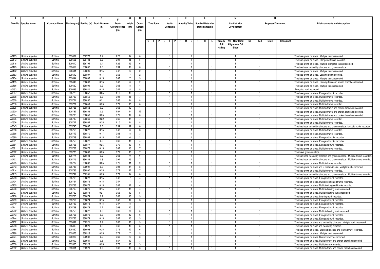|                | в                                |                    | C                | D                | Е.                                      |               | G                | н                                | -1                      |                | J                            | К                    |   | L.                         |                |           | М                    |    |                                  |                           |            | $\Omega$                                                                                                |
|----------------|----------------------------------|--------------------|------------------|------------------|-----------------------------------------|---------------|------------------|----------------------------------|-------------------------|----------------|------------------------------|----------------------|---|----------------------------|----------------|-----------|----------------------|----|----------------------------------|---------------------------|------------|---------------------------------------------------------------------------------------------------------|
|                | Tree No. Species Name            | <b>Common Name</b> |                  |                  | Northing (m) Easting (m) Trunk Diameter | <b>Trunk</b>  | Height           | Crown                            | <b>Tree Form</b>        |                | Health                       | <b>Amenity Value</b> |   | <b>Survival Rate after</b> |                |           | <b>Conflict with</b> |    |                                  | <b>Proposed Treatment</b> |            | <b>Brief comments and description</b>                                                                   |
|                |                                  |                    |                  |                  | (m)                                     | Circumference | (m)              | Spread                           |                         |                | Condition                    |                      |   | Transplantation            |                |           | Development          |    |                                  |                           |            |                                                                                                         |
|                |                                  |                    |                  |                  |                                         | (m)           |                  | (m)                              |                         |                |                              |                      |   |                            |                |           |                      |    |                                  |                           |            |                                                                                                         |
|                |                                  |                    |                  |                  |                                         |               |                  |                                  |                         |                |                              |                      |   |                            |                |           |                      |    |                                  |                           |            |                                                                                                         |
|                |                                  |                    |                  |                  |                                         |               |                  |                                  |                         |                |                              |                      |   |                            |                |           |                      |    |                                  |                           |            |                                                                                                         |
|                |                                  |                    |                  |                  |                                         |               |                  |                                  | $G$ $F$ $P$ $G$ $F$ $P$ |                |                              | M I<br>I H I         | н | М                          | п.             | Paritally | Yes - New Road       | No | Fell                             | Retain                    | Transplant |                                                                                                         |
|                |                                  |                    |                  |                  |                                         |               |                  |                                  |                         |                |                              |                      |   |                            |                | Soil      | <b>Nignment/ Cut</b> |    |                                  |                           |            |                                                                                                         |
|                |                                  |                    |                  |                  |                                         |               |                  |                                  |                         |                |                              |                      |   |                            |                | Nailing   | Slope                |    |                                  |                           |            |                                                                                                         |
|                |                                  |                    |                  |                  |                                         |               |                  |                                  |                         |                |                              |                      |   |                            |                |           |                      |    |                                  |                           |            |                                                                                                         |
| A0105          | Schima superba                   | Schima             | 835601           | 836778           | 0.4                                     | 1.26          | 14               | 8                                |                         |                | $\mathbf{1}$                 |                      |   |                            |                |           |                      |    | $\overline{1}$                   |                           |            | Tree has grown on slope. Multiple trunks recorded.                                                      |
| A0113          | Schima superba                   | Schima             | 835608           | 836788           | 0.3                                     | 0.94          | 15               | 5                                |                         |                | $\mathbf{1}$                 |                      |   |                            |                |           |                      |    | $\overline{1}$                   |                           |            | Tree has grown on slope. Elongated trunks recorded.                                                     |
| A0118          | Schima superba                   | Schima             | 835610           | 836794           | 0.4                                     | 1.26          | 13               | 6                                |                         |                | $\mathbf{1}$                 |                      |   |                            |                |           |                      |    | $\overline{1}$                   |                           |            | Tree has grown on slope. Multiple elongated trunks recorded.                                            |
| A0125          | Schima superba                   | Schima             | 835619           | 836802           | 0.3                                     | 0.94          | 10               | 6                                |                         |                | $\mathbf{1}$                 |                      |   |                            | $\mathbf{1}$   |           |                      |    | $\overline{1}$                   |                           |            | Tree has been twisted by climbers and grown on slope.                                                   |
| A0152          | Schima superba                   | Schima             | 835641           | 836806           | 0.15                                    | 0.47          | 6                | $\overline{2}$                   |                         |                | $\mathbf{1}$                 |                      |   |                            | $\mathbf{1}$   |           |                      |    | $\overline{1}$                   |                           |            | Tree has grown on slope. Multiple trunks recorded.                                                      |
| A0153          | Schima superba                   | Schima             | 835642           | 836807           | 0.17                                    | 0.53          |                  | $\overline{c}$                   |                         |                | 1.                           |                      |   |                            |                |           |                      |    | $\overline{1}$                   |                           |            | Tree has grown on slope. Leaning trunk recorded                                                         |
| A0154<br>A0155 | Schima superba                   | Schima             | 835644           | 836808           | 0.15                                    | 0.47          | $\overline{7}$   | $\mathbf{3}$                     |                         |                | $\mathbf{1}$                 |                      |   |                            | $\mathbf{1}$   |           |                      |    | $\overline{1}$                   |                           |            | Tree has grown on slope. Multiple trunks recorded.                                                      |
| A0156          | Schima superba                   | Schima<br>Schima   | 835649<br>835650 | 836808<br>836809 | 0.15<br>0.2                             | 0.47<br>0.63  | 6<br>8           | $\overline{2}$<br>$\overline{4}$ |                         |                | $\mathbf{1}$<br>$\mathbf{1}$ |                      |   |                            |                |           |                      |    | $\mathbf{1}$<br>$\overline{1}$   |                           |            | Tree has grown on slope. Leaning trunk and broken branches recorded.                                    |
| A0453          | Schima superba<br>Schima superba | Schima             | 835696           | 836841           | 0.15                                    | 0.47          |                  | 5                                |                         |                | $\overline{1}$               |                      |   |                            | $\mathbf{1}$   |           |                      |    | $\overline{1}$                   |                           |            | Tree has grown on slope. Multiple trunks recorded.                                                      |
| A0507          | Schima superba                   | Schima             | 835725           | 836852           | 0.35                                    | 1.10          | 8<br>13          | $\overline{7}$                   |                         |                | -1                           |                      |   |                            | -1.            |           |                      |    | $\overline{1}$                   |                           |            | Elongated trunk recorded.                                                                               |
| A0508          | Schima superba                   | Schima             | 835723           | 836852           | 0.3                                     | 0.94          | 15               | $\overline{7}$                   |                         |                | $\mathbf{1}$                 |                      |   |                            |                |           |                      |    | $\overline{1}$                   |                           |            | Tree has grown on slope. Elongated trunk recorded.                                                      |
| A0509          | Schima superba                   | Schima             | 835721           | 836850           | 0.21                                    | 0.66          | 14               | 8                                |                         |                | $\mathbf{1}$                 |                      |   |                            |                |           |                      |    | $\overline{1}$                   |                           |            | Tree has grown on slope. Multiple trunks recorded<br>Tree has grown on slope. Multiple trunks recorded. |
| A0510          | Schima superba                   | Schima             | 835721           | 836849           | 0.25                                    | 0.79          | 13               | -8                               |                         |                | -1                           |                      |   |                            |                |           |                      |    | -1                               |                           |            | Tree has grown on slope. Multiple trunks recorded                                                       |
| A0625          | Schima superba                   | Schima             | 835726           | 836853           | 0.2                                     | 0.63          | 12               | $\overline{4}$                   |                         |                | $\mathbf{1}$                 |                      |   |                            |                |           |                      |    | $\overline{1}$                   |                           |            | Tree has grown on slope. Multiple trunks and broken branches recorded.                                  |
| A0630          | Schima superba                   | Schima             | 835732           | 836855           | 0.5                                     | 1.57          | 14               | 12                               |                         |                | $\mathbf{1}$                 |                      |   |                            |                |           |                      |    | $\overline{1}$                   |                           |            | Tree has grown on slope. Multiple trunks and broken branches recorded.                                  |
| A0634          | Schima superba                   | Schima             | 835735           | 836858           | 0.25                                    | 0.79          | 12               | 8                                | -1                      |                | 1                            |                      |   |                            | $\mathbf{1}$   |           |                      |    | $\overline{1}$                   |                           |            | Tree has grown on slope. Multiple trunks and broken branches recorded.                                  |
| A0635          | Schima superba                   | Schima             | 835739           | 836860           | 0.22                                    | 0.69          | 14               | $\overline{7}$                   |                         |                | $\mathbf{1}$                 |                      |   |                            | $\mathbf{1}$   |           |                      |    | $\overline{1}$                   |                           |            | Tree has grown on slope. Multiple trunks recorded                                                       |
| A0636          | Schima superba                   | Schima             | 835742           | 836862           | 0.35                                    | 1.10          | 14               | 8                                |                         |                | $\mathbf{1}$                 |                      |   |                            |                |           |                      |    | $\overline{1}$                   |                           |            | Tree has grown on slope. Multiple trunks recorded.                                                      |
| A0645          | Schima superba                   | Schima             | 835745           | 836867           | 0.3                                     | 0.94          | 12               | 6                                |                         | $\blacksquare$ | $\mathbf{1}$                 |                      |   |                            | $\mathbf{1}$   |           |                      |    | $\overline{1}$                   |                           |            | Tree has been twisted by climbers and grown on slope. Multiple trunks recorded.                         |
| A0656          | Schima superba                   | Schima             | 835750           | 836872           | 0.15                                    | 0.47          | 6                | $\mathbf{3}$                     |                         |                | $\mathbf{1}$                 |                      |   |                            | $\mathbf{1}$   |           |                      |    | $\overline{1}$                   |                           |            | Tree has grown on slope. Multiple trunks recorded                                                       |
| A0658          | Schima superba                   | Schima             | 835749           | 836870           | 0.17                                    | 0.53          | 8                | $\mathbf{3}$                     |                         |                | -1                           |                      |   |                            | -1.            |           |                      |    | $\mathbf{1}$                     |                           |            | Tree has grown on slope. Multiple trunks recorded.                                                      |
| A0660          | Schima superba                   | Schima             | 835748           | 836869           | 0.15                                    | 0.47          | 6                | $\overline{2}$                   |                         | $\blacksquare$ | $\mathbf{1}$                 |                      |   |                            | $\mathbf{1}$   |           |                      |    | $\overline{1}$                   |                           |            | Tree has grown on slope. Elongated trunks recorded.                                                     |
| A0661          | Schima superba                   | Schima             | 835753           | 836872           | 0.2                                     | 0.63          | 14               | $\overline{4}$                   |                         |                | $\overline{1}$               |                      |   |                            | -1.            |           |                      |    | $\overline{1}$                   |                           |            | Tree has grown on slope. Elongated trunks recorded.                                                     |
| A0684          | Schima superba                   | Schima             | 835766           | 836877           | 0.25                                    | 0.79          | 13               | 6                                |                         |                | -1                           |                      |   |                            |                |           |                      |    | $\overline{1}$                   |                           |            | Tree has grown on slope. Elongated trunk recorded.                                                      |
| A0691          | Schima superba                   | Schima             | 835768           | 836878           | 0.15                                    | 0.47          | 13               | $\overline{7}$                   |                         |                | $\mathbf{1}$                 |                      |   |                            | $\overline{1}$ |           |                      |    | $\overline{1}$                   |                           |            | Tree has grown on slope. Multiple trunks recorded.                                                      |
| A0692          | Schima superba                   | Schima             | 835770           | 836880           | 0.25                                    | 0.79          | 13               |                                  |                         |                | $\mathbf{1}$                 |                      |   |                            |                |           |                      |    | $\overline{1}$                   |                           |            | Tree have grown on slope.                                                                               |
| A0701          | Schima superba                   | Schima             | 835774           | 836883           | 0.2                                     | 0.63          | 9                | 6                                |                         |                | $\mathbf{1}$                 |                      |   |                            | $\mathbf{1}$   |           |                      |    | $\overline{1}$                   |                           |            | Tree has been twisted by climbers and grown on slope. Multiple trunks recorded.                         |
| A0702          | Schima superba                   | Schima             | 835775           | 836885           | 0.3                                     | 0.94          | 13               | $\overline{7}$                   |                         |                | $\mathbf{1}$                 |                      |   |                            | $\mathbf{1}$   |           |                      |    | $\overline{1}$                   |                           |            | Tree has been twisted by climbers and grown on slope. Multiple trunks recorded.                         |
| A0705          | Schima superba                   | Schima             | 835777           | 836887           | 0.25                                    | 0.79          | 11               | 9                                |                         |                | $\mathbf{1}$                 |                      |   |                            |                |           |                      |    | $\overline{1}$                   |                           |            | Tree has grown on slope. Multiple trunks recorded.                                                      |
| A0713          | Schima superba                   | Schima             | 835786           | 836901           | 0.3                                     | 0.94          | 14               | 8                                |                         |                | $\mathbf{1}$                 |                      |   |                            |                |           |                      |    | $\overline{1}$                   |                           |            | Tree has grown on slope and is mature in size. Multiple trunks recorded.                                |
| A0714          | Schima superba                   | Schima             | 835786           | 836900           | 0.25                                    | 0.79          | 12               | $\overline{7}$                   |                         |                | $\mathbf{1}$                 |                      |   |                            |                |           |                      |    | $\overline{1}$                   |                           |            | Tree has grown on slope. Multiple trunks recorded                                                       |
| A0715          | Schima superba                   | Schima             | 835791           | 836901           | 0.25                                    | 0.79          | 14               | 8                                |                         |                | $\mathbf{1}$                 |                      |   |                            | $\mathbf{1}$   |           |                      |    | $\overline{1}$                   |                           |            | Tree has been twisted by climbers and grown on slope. Multiple trunks recorded.                         |
| A0733          | Schima superba                   | Schima             | 835765           | 836877           | 0.15                                    | 0.47          | $7\overline{ }$  | $\overline{4}$                   |                         | $\overline{1}$ | $\mathbf{1}$                 |                      |   |                            | $\mathbf{1}$   |           |                      |    | $\overline{1}$                   |                           |            | Tree has grown on slope. Elongated trunk recorded.                                                      |
| A0734          | Schima superba                   | Schima             | 835764           | 836876           | 0.15                                    | 0.47          | 7                | $\mathbf{3}$                     |                         |                | $\mathbf{1}$                 |                      |   |                            | -1             |           |                      |    | $\overline{1}$                   |                           |            | Tree has grown on slope. Multiple elongated trunks recorded.                                            |
| A0735          | Schima superba                   | Schima             | 835763           | 836875           | 0.15                                    | 0.47          | 12               | $\overline{4}$                   |                         | $\mathbf{1}$   | $\mathbf{1}$                 |                      |   |                            | $\mathbf{1}$   |           |                      |    | $\mathbf{1}$                     |                           |            | Tree has grown on slope. Multiple elongated trunks recorded.                                            |
| A0736          | Schima superba                   | Schima             | 835762           | 836876           | 0.15                                    | 0.47          | 14               | $\overline{4}$                   |                         |                | $\mathbf{1}$                 |                      |   |                            |                |           |                      |    | $\overline{1}$                   |                           |            | Tree has grown on slope. Multiple leaning trunks recorded.                                              |
| A0737          | Schima superba                   | Schima             | 835762           | 836874           | 0.21                                    | 0.66          | 13               | 5                                |                         |                | $\mathbf{1}$                 |                      |   |                            | $\mathbf{1}$   |           |                      |    | $\overline{1}$                   |                           |            | Tree has grown on slope. Multiple leaning trunks recorded.                                              |
| A0738          | Schima superba                   | Schima             | 835760           | 836874           | 0.2                                     | 0.63          | 13               | 3                                |                         |                | -1                           |                      |   |                            | $\mathbf{1}$   |           |                      |    | $\overline{1}$<br>$\overline{1}$ |                           |            | Tree has grown on slope. Leaning trunk recorded.                                                        |
| A0739<br>A0740 | Schima superba<br>Schima superba | Schima<br>Schima   | 835759<br>835759 | 836874<br>836875 | 0.15<br>0.15                            | 0.47<br>0.47  | 12<br>8          | $\mathbf{3}$<br>$\mathbf{1}$     |                         |                | $\mathbf{1}$<br>$\mathbf{1}$ |                      |   |                            |                |           |                      |    | $\overline{1}$                   |                           |            | Tree has grown on slope. Elongated trunk recorded.                                                      |
| A0741          |                                  |                    |                  |                  |                                         |               |                  |                                  |                         |                | $\mathbf{1}$                 |                      |   |                            |                |           |                      |    | $\overline{1}$                   |                           |            | Tree has grown on slope. Elongated trunk recorded.                                                      |
| A0742          | Schima superba<br>Schima superba | Schima<br>Schima   | 835758<br>835758 | 836873<br>836872 | 0.2<br>0.2                              | 0.63<br>0.63  | 10<br>9          | $\overline{2}$<br>5              |                         |                | $\mathbf{1}$                 |                      |   |                            | -1             |           |                      |    | $\overline{1}$                   |                           |            | Tree has grown on slope. Elongated trunk recorded                                                       |
| A0743          | Schima superba                   | Schima             | 835756           | 836872           | 0.3                                     | 0.94          | 12               | 6                                |                         |                | $\mathbf{1}$                 |                      |   |                            |                |           |                      |    |                                  |                           |            | Tree has grown on slope. Multiple leaning trunk recorded.                                               |
| A0744          | Schima superba                   | Schima             | 835755           | 836874           | 0.15                                    | 0.47          | 10 <sup>10</sup> | $\mathbf{3}$                     |                         |                | 1.                           |                      |   |                            |                |           |                      |    | $\overline{1}$                   |                           |            | Tree has grown on slope. Elongated trunk recorded<br>Tree has grown on slope. Elongated trunk recorded. |
| A0752          | Schima superba                   | Schima             | 835891           | 836921           | 0.2                                     | 0.63          | 10               | 5                                |                         |                | $\mathbf{1}$                 |                      |   |                            |                |           |                      |    | $\overline{1}$                   |                           |            | Tree has grown on slope and twisted by climbers. Multiple trunks recorded.                              |
| A0753          | Schima superba                   | Schima             | 835892           | 836920           | 0.2                                     | 0.63          | 10 <sup>1</sup>  | -5                               |                         |                | $\mathbf{1}$                 |                      |   |                            |                |           |                      |    | $\mathbf{1}$                     |                           |            | Tree has grown on slope and twisted by climbers.                                                        |
| A0786          | Schima superba                   | Schima             | 835860           | 836908           | 0.25                                    | 0.79          | 12               | 6                                |                         |                | $\mathbf{1}$                 |                      |   |                            |                |           |                      |    | $\overline{1}$                   |                           |            | Tree has grown on slope. Broken branches and leaning trunk recorded.                                    |
| A0798          | Schima superba                   | Schima             | 835873           | 836918           | 0.25                                    | 0.79          |                  | $5\phantom{.0}$                  |                         |                | $\mathbf{1}$                 |                      |   |                            |                |           |                      |    | $\overline{1}$                   |                           |            | Tree has grown on slope. Multiple trunks recorded.                                                      |
| A0824          | Schima superba                   | Schima             | 835916           | 836931           | 0.2                                     | 0.63          | 6                | $\mathbf{3}$                     |                         |                | -1                           |                      |   |                            |                |           |                      |    | $\overline{1}$                   |                           |            | Tree has grown on slope. Broken branches recorded                                                       |
| A0827          | Schima superba                   | Schima             | 835909           | 836931           | 0.5                                     | 1.57          | 10               | $\overline{7}$                   |                         |                | $\mathbf{1}$                 |                      |   |                            |                |           |                      |    | $\overline{1}$                   |                           |            | Tree has grown on slope. Multiple trunk and broken branches recorded.                                   |
| A0830          | Schima superba                   | Schima             | 835903           | 836929           | 0.23                                    | 0.72          | 10               | 5                                |                         |                | -1                           |                      |   |                            |                |           |                      |    | $\overline{1}$                   |                           |            | Tree has grown on slope. Multiple trunk recorded.                                                       |
| A0832          | Schima superba                   | Schima             | 835901           | 836929           | 0.2                                     | 0.63          | 10               | - 6                              |                         |                |                              |                      |   |                            |                |           |                      |    | $\overline{1}$                   |                           |            | Tree has grown on slope. Multiple trunk and broken branches recorded.                                   |
|                |                                  |                    |                  |                  |                                         |               |                  |                                  |                         |                |                              |                      |   |                            |                |           |                      |    |                                  |                           |            |                                                                                                         |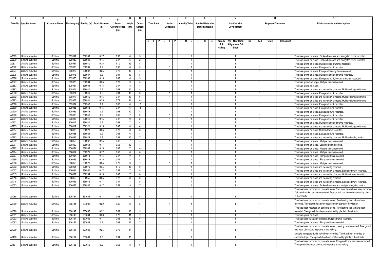|                | в                                |                    | C                | D                | Е.                                      |               | G                      | н                                |                             |                                   | J                            | К                    |                              | L. |                            |           | M                                |    |                                  | N                         |            | 0                                                                                                                                                        |
|----------------|----------------------------------|--------------------|------------------|------------------|-----------------------------------------|---------------|------------------------|----------------------------------|-----------------------------|-----------------------------------|------------------------------|----------------------|------------------------------|----|----------------------------|-----------|----------------------------------|----|----------------------------------|---------------------------|------------|----------------------------------------------------------------------------------------------------------------------------------------------------------|
|                | <b>Tree No. Species Name</b>     | <b>Common Name</b> |                  |                  | Northing (m) Easting (m) Trunk Diameter | <b>Trunk</b>  | Height                 | Crown                            | Tree Form                   |                                   | Health                       | <b>Amenity Value</b> |                              |    | <b>Survival Rate after</b> |           | <b>Conflict with</b>             |    |                                  | <b>Proposed Treatment</b> |            | <b>Brief comments and description</b>                                                                                                                    |
|                |                                  |                    |                  |                  | (m)                                     | Circumference | (m)                    | Spread                           |                             |                                   | Condition                    |                      |                              |    | Transplantation            |           | Development                      |    |                                  |                           |            |                                                                                                                                                          |
|                |                                  |                    |                  |                  |                                         | (m)           |                        | (m)                              |                             |                                   |                              |                      |                              |    |                            |           |                                  |    |                                  |                           |            |                                                                                                                                                          |
|                |                                  |                    |                  |                  |                                         |               |                        |                                  |                             |                                   |                              |                      |                              |    |                            |           |                                  |    |                                  |                           |            |                                                                                                                                                          |
|                |                                  |                    |                  |                  |                                         |               |                        |                                  |                             | G   F   P   G   F   P   H   M   L |                              |                      | H.                           | M  | L.                         | Paritally | Yes - New Road                   | No | Fell                             | Retain                    | Transplant |                                                                                                                                                          |
|                |                                  |                    |                  |                  |                                         |               |                        |                                  |                             |                                   |                              |                      |                              |    |                            | Soil      | Alignment/ Cut                   |    |                                  |                           |            |                                                                                                                                                          |
|                |                                  |                    |                  |                  |                                         |               |                        |                                  |                             |                                   |                              |                      |                              |    |                            | Nailing   | Slope                            |    |                                  |                           |            |                                                                                                                                                          |
|                |                                  |                    |                  |                  |                                         |               |                        |                                  |                             |                                   |                              |                      |                              |    |                            |           |                                  |    |                                  |                           |            |                                                                                                                                                          |
| A0869          | Schima superba                   | Schima             | 835992           | 836939           | 0.17                                    | 0.53          | 6                      | -3                               |                             |                                   | 1                            |                      |                              |    |                            |           |                                  |    |                                  |                           |            | ree has grown on slope. Broken branches and elongated trunk recorded.                                                                                    |
| A0870          | Schima superba                   | Schima             | 835989           | 836939           | 0.15                                    | 0.47          | 5                      | $\overline{2}$                   | - 1                         |                                   | $\mathbf{1}$                 |                      | $\mathbf{1}$                 |    |                            |           | $\mathbf{1}$                     |    | -1                               |                           |            | Free has grown on slope. Broken branches and elongated trunk recorded.                                                                                   |
| A0871          | Schima superba                   | Schima             | 835987           | 836940           | 0.35                                    | 1.10          | 13                     | 8                                | - 1                         |                                   | $\mathbf{1}$                 |                      | $\mathbf{1}$                 |    |                            |           | $\overline{1}$                   |    | -1                               |                           |            | ree has grown on slope. Multiple dead branches recorded.                                                                                                 |
| A0872          | Schima superba                   | Schima             | 835983           | 836939           | 0.2                                     | 0.63          | 8                      | -5                               |                             |                                   | $\mathbf{1}$                 |                      |                              |    |                            |           |                                  |    |                                  |                           |            | ree has grown on slope. Elongated trunk recorded                                                                                                         |
| A0874          | Schima superba                   | Schima             | 835977           | 836937           | 0.25                                    | 0.79          | 10                     | $\overline{4}$                   | $\overline{1}$              |                                   | $\mathbf{1}$                 |                      |                              |    |                            |           | $\mathbf{1}$                     |    | $\mathbf{1}$                     |                           |            | Free has grown on slope. Elongated leaning trunk recorded.                                                                                               |
| A0875          | Schima superba                   | Schima             | 835976           | 836937           | 0.3                                     | 0.94          | 10                     | -5                               | $\overline{1}$              |                                   | $\mathbf{1}$                 |                      | $\mathbf{1}$                 |    |                            |           |                                  |    |                                  |                           |            | Tree has grown on slope. Multiple elongated trunks recorded.                                                                                             |
| A0876          | Schima superba                   | Schima             | 835970           | 836933           | 0.15                                    | 0.47          | 6                      | 3                                | -1                          |                                   | $\mathbf{1}$                 | $\overline{1}$       |                              |    |                            |           | $\overline{1}$                   |    | -1                               |                           |            | Tree has grown on slope. Elongated trunk, broken branches recorded.                                                                                      |
| A0877          | Schima superba                   | Schima             | 835970           | 836934           | 0.25                                    | 0.79          | 9                      | 5                                |                             |                                   | $\mathbf{1}$                 |                      |                              |    |                            |           | $\overline{1}$                   |    | $\overline{1}$                   |                           |            | Tree has grown on slope. Multiple trunks recorded                                                                                                        |
| A0883<br>A0887 | Schima superba                   | Schima             | 835967           | 836934           | 0.15                                    | 0.47          | 8                      | $\overline{4}$                   |                             |                                   | 1                            |                      |                              |    |                            |           |                                  |    |                                  |                           |            | Free has grown on slope.                                                                                                                                 |
| A0888          | Schima superba                   | Schima<br>Schima   | 835974<br>835974 | 836941<br>836940 | 0.2<br>0.3                              | 0.63<br>0.94  | 10 <sup>10</sup><br>10 | $\overline{4}$<br>-6             | $\vert$ 1<br>$\overline{1}$ |                                   | $\mathbf{1}$<br>$\mathbf{1}$ |                      | $\mathbf{1}$<br>$\mathbf{1}$ |    |                            |           | $\overline{1}$<br>$\overline{1}$ |    | $\overline{1}$<br>$\overline{1}$ |                           |            | ree has grown on slope and twisted by climbers. Multiple elongated trunks                                                                                |
| A0892          | Schima superba<br>Schima superba | Schima             | 835977           | 836940           | 0.15                                    | 0.47          | 10                     | -6                               | -1                          |                                   | 1                            |                      | $\mathbf{1}$                 |    |                            |           | -1                               |    | -1                               |                           |            | Tree has grown on slope. Elongated trunk recorded.                                                                                                       |
| A0893          | Schima superba                   | Schima             | 835977           | 836941           | 0.25                                    | 0.79          | 11                     | 6                                | $\mathbf{1}$                |                                   | $\mathbf{1}$                 |                      |                              |    |                            |           | $\overline{1}$                   |    | $\mathbf{1}$                     |                           |            | Free has grown on slope and twisted by climbers. Multiple elongated trunks<br>Free has grown on slope and twisted by climbers. Multiple elongated trunks |
| A0898          | Schima superba                   | Schima             | 835984           | 836943           | 0.2                                     | 0.63          | 6                      | 1.5                              |                             |                                   | $\mathbf{1}$                 |                      |                              |    |                            |           |                                  |    |                                  |                           |            | Tree has grown on slope. Elongated trunk recorded.                                                                                                       |
| A0899          | Schima superba                   | Schima             | 835985           | 836943           | 0.15                                    | 0.47          | 6                      | 1.5                              | $\overline{1}$              |                                   | $\mathbf{1}$                 |                      | $\mathbf{1}$                 |    |                            |           | $\mathbf{1}$                     |    | -1                               |                           |            | Free has grown on slope. Elongated trunk recorded                                                                                                        |
| A0900          | Schima superba                   | Schima             | 835985           | 836943           | 0.2                                     | 0.63          | 10                     | $\overline{4}$                   | $\overline{1}$              |                                   | $\mathbf{1}$                 |                      | $\overline{1}$               |    |                            |           | $\overline{1}$                   |    | $\mathbf{1}$                     |                           |            | Free has grown on slope. Elongated trunk recorded.                                                                                                       |
| A0920          | Schima superba                   | Schima             | 835988           | 836943           | 0.2                                     | 0.63          | 7                      | $\overline{2}$                   | -1                          |                                   | 1.                           |                      | -1                           |    |                            |           | -1                               |    |                                  |                           |            | Free has grown on slope. Elongated trunk recorded                                                                                                        |
| A0921          | Schima superba                   | Schima             | 835986           | 836942           | 0.15                                    | 0.47          | 9                      | $\overline{2}$                   | $\overline{1}$              |                                   | $\mathbf{1}$                 |                      |                              |    |                            |           | $\overline{1}$                   |    | $\mathbf{1}$                     |                           |            | Free has grown on slope. Elongated trunk recorded.                                                                                                       |
| A0932          | Schima superba                   | Schima             | 836012           | 836921           | 0.2                                     | 0.63          | $\overline{7}$         | $\overline{4}$                   | $\overline{1}$              |                                   | $\mathbf{1}$                 |                      |                              |    |                            |           |                                  |    |                                  |                           |            | Tree has grown on slope. Multiple elongated trunks recorded.                                                                                             |
| A0933          | Schima superba                   | Schima             | 836012           | 836921           | 0.15                                    | 0.47          | 6                      | $\overline{4}$                   | -1                          |                                   | $\mathbf{1}$                 |                      | $\mathbf{1}$                 |    |                            |           | -1                               |    | $\mathbf{1}$                     |                           |            | Free has grown on slope and twisted by climbers. Multiple elongated trunks                                                                               |
| A0934          | Schima superba                   | Schima             | 836013           | 836921           | 0.25                                    | 0.79          | 8                      | 6                                | -1                          |                                   | $\mathbf{1}$                 |                      |                              |    |                            |           | $\overline{1}$                   |    | -1                               |                           |            | Free has grown on slope. Multiple trunks recorded                                                                                                        |
| A0959          | Schima superba                   | Schima             | 836038           | 836924           | 0.2                                     | 0.63          | 6                      | $\overline{4}$                   |                             |                                   | $\mathbf{1}$                 |                      | -1                           |    |                            |           | -1                               |    |                                  |                           |            | Free has grown on slope. Elongated trunk recorded                                                                                                        |
| A0963          | Schima superba                   | Schima             | 836035           | 836924           | 0.3                                     | 0.94          | 10                     |                                  |                             |                                   | $\mathbf{1}$                 |                      |                              |    |                            |           | $\overline{1}$                   |    | $\overline{1}$                   |                           |            | Free has grown on slope and twisted by climbers. Multiple leaning trunks                                                                                 |
| A0989          | Schima superba                   | Schima             | 836053           | 836962           | 0.15                                    | 0.47          | $\overline{7}$         | $\overline{4}$                   |                             |                                   | $\mathbf{1}$                 |                      | $\mathbf{1}$                 |    |                            |           | $\overline{1}$                   |    |                                  |                           |            | Tree has grown on slope. Multiple trunks recorded                                                                                                        |
| A0991<br>A0992 | Schima superba<br>Schima superba | Schima<br>Schima   | 836052<br>836054 | 836964<br>836968 | 0.17<br>0.15                            | 0.53<br>0.47  | 12<br>$\overline{7}$   | $\overline{4}$<br>$\overline{4}$ | -1<br>-1                    |                                   | $\mathbf{1}$<br>$\mathbf{1}$ |                      | $\mathbf{1}$                 |    |                            |           | -1<br>$\mathbf{1}$               |    | -1<br>-1                         |                           |            | Free has grown on slope. Leaning trunk recorded.                                                                                                         |
| A0994          | Schima superba                   | Schima             | 836054           | 836971           | 0.17                                    | 0.53          | 8                      | ĥ                                | $\overline{1}$              |                                   | $\mathbf{1}$                 |                      | $\mathbf{1}$                 |    |                            |           | $\mathbf{1}$                     |    | -1                               |                           |            | Free has grown on slope. Multiple trunks recorded<br>Tree has grown on slope. Multiple trunks recorded.                                                  |
| A0997          | Schima superba                   | Schima             | 836054           | 836973           | 0.15                                    | 0.47          | 9                      | -6                               | $\overline{1}$              |                                   | $\mathbf{1}$                 |                      | $\mathbf{1}$                 |    |                            |           | $\mathbf{1}$                     |    | $\overline{1}$                   |                           |            | Free has grown on slope. Elongated trunk recorded.                                                                                                       |
| A0999          | Schima superba                   | Schima             | 836056           | 836973           | 0.15                                    | 0.47          | 8                      | $\overline{4}$                   | -1                          |                                   | $\mathbf{1}$                 |                      | 1                            |    |                            |           | -1                               |    |                                  |                           |            | Tree has grown on slope. Elongated trunk recorded.                                                                                                       |
| A1000          | Schima superba                   | Schima             | 836056           | 836973           | 0.25                                    | 0.79          | 9                      | $\overline{7}$                   | $\overline{1}$              |                                   | $\mathbf{1}$                 |                      | $\mathbf{1}$                 |    |                            |           | $\overline{1}$                   |    | $\overline{1}$                   |                           |            | Free has grown on slope. Multiple trunks recorded.                                                                                                       |
| A1003          | Schima superba                   | Schima             | 836061           | 836970           | 0.35                                    | 1.10          | 10                     | -6                               | $\overline{1}$              |                                   |                              |                      |                              |    |                            |           | $\overline{1}$                   |    | -1                               |                           |            | Free has grown on slope and twisted by climbers.                                                                                                         |
| A1007          | Schima superba                   | Schima             | 836061           | 836967           | 0.17                                    | 0.53          | $\overline{7}$         | $\overline{4}$                   | $\overline{1}$              |                                   |                              |                      | $\mathbf{1}$                 |    |                            |           | $\overline{1}$                   |    |                                  |                           |            | Tree has grown on slope and twisted by climbers. Elongated trunk recorded.                                                                               |
| A1015          | Schima superba                   | Schima             | 836059           | 836954           | 0.15                                    | 0.47          | $\overline{7}$         | -6                               | $\overline{1}$              |                                   | $\mathbf{1}$                 |                      | $\mathbf{1}$                 |    |                            |           | $\mathbf{1}$                     |    | $\overline{1}$                   |                           |            | Free has grown on slope and twisted by climbers. Multiple trunks recorded.                                                                               |
| A1016          | Schima superba                   | Schima             | 836059           | 836955           | 0.25                                    | 0.79          | 8                      | 6                                | $\overline{1}$              |                                   | $\mathbf{1}$                 |                      |                              |    |                            |           | $\overline{1}$                   |    | -1                               |                           |            | ree has grown on slope and twisted by climbers.                                                                                                          |
| A1018          | Schima superba                   | Schima             | 836056           | 836946           | 0.14                                    | 0.44          | $\overline{7}$         | 5                                |                             |                                   |                              |                      | 1.                           |    |                            |           | -1.                              |    | -1                               |                           |            | Free has grown on slope and twisted by climbers. Elongated trunk recorded.                                                                               |
| A1023          | Schima superba                   | Schima             | 836053           | 836937           | 0.17                                    | 0.53          | 9                      |                                  |                             |                                   |                              |                      |                              |    |                            |           | $\overline{1}$                   |    |                                  |                           |            | Free has grown on slope. Broken branches and multiple elongated trunks                                                                                   |
|                |                                  |                    |                  |                  |                                         |               |                        |                                  |                             |                                   |                              |                      |                              |    |                            |           |                                  |    |                                  |                           |            | ree has been recorded on concrete slope. Two main trunks have been recorded.                                                                             |
|                |                                  |                    |                  |                  |                                         |               |                        |                                  |                             |                                   |                              |                      |                              |    |                            |           |                                  |    |                                  |                           |            | Deformed trunks has been recorded. Tree growth has been obstructed by plants<br>in the vicinity.                                                         |
| A1088          | Schima superba                   | Schima             | 836134           | 837032           | 0.17                                    | 0.53          | 6                      | -5                               |                             |                                   |                              |                      |                              |    |                            |           | $\overline{1}$                   |    |                                  |                           |            |                                                                                                                                                          |
| A1089          | Schima superba                   | Schima             | 836141           | 837031           | 0.22                                    | 0.69          | 8                      | -5                               |                             |                                   |                              |                      |                              |    |                            |           | $\mathbf{1}$                     |    |                                  |                           |            | Tree has been recorded on concrete slope. Two leaning trunks have been<br>recorded. Tree growth has been obstructed by plants in the vicinity.           |
|                |                                  |                    |                  |                  |                                         |               |                        |                                  |                             |                                   |                              |                      |                              |    |                            |           |                                  |    |                                  |                           |            |                                                                                                                                                          |
| A1090          | Schima superba                   | Schima             | 836147           | 837032           | 0.22                                    | 0.69          | 10                     | -5                               |                             |                                   |                              |                      |                              |    |                            |           |                                  |    |                                  |                           |            | Tree has been recorded on concrete slope. Two leaning trunks have been<br>recorded. Tree growth has been obstructed by plants in the vicinity.           |
| A1091          | Schima superba                   | Schima             | 836149           | 837034           | 0.23                                    | 0.72          | 11                     | $\overline{7}$                   | -1                          |                                   | $\mathbf{1}$                 |                      | $\mathbf{1}$                 |    |                            |           | $\mathbf{1}$                     |    | -1                               |                           |            | Free has grown on slope.                                                                                                                                 |
| A1092          | Schima superba                   | Schima             | 836154           | 837036           | 0.17                                    | 0.53          | 10                     | -6                               |                             |                                   | 1.                           |                      |                              |    |                            |           | -1                               |    |                                  |                           |            | Free has been twisted by climbers. Multiple trunks recorded.                                                                                             |
| A1093          | Schima superba                   | Schima             | 836157           | 837038           | 0.2                                     | 0.63          | 12                     | $\overline{7}$                   |                             |                                   | $\mathbf{1}$                 |                      |                              |    |                            |           | $\overline{1}$                   |    |                                  |                           |            | Tree has grown on slope. Elongated trunk recorded.                                                                                                       |
|                |                                  |                    |                  |                  |                                         |               |                        |                                  |                             |                                   |                              |                      |                              |    |                            |           |                                  |    |                                  |                           |            | Tree has been recorded on concrete slope. Leaning trunk recorded. Tree growth                                                                            |
| A1099          | Schima superba                   | Schima             | 836161           | 837039           | 0.25                                    | 0.79          | 14                     | $\overline{7}$                   |                             |                                   |                              |                      |                              |    |                            |           |                                  |    |                                  |                           |            | has been obstructed by plants in the vicinity.                                                                                                           |
|                |                                  |                    |                  |                  |                                         |               |                        |                                  |                             |                                   |                              |                      |                              |    |                            |           |                                  |    |                                  |                           |            | Multiple elongated trunks have been recorded. Tree has been recorded on                                                                                  |
| A1100          | Schima superba                   | Schima             | 836164           | 837039           | 0.3                                     | 0.94          | 15                     |                                  |                             |                                   |                              |                      |                              |    |                            |           | -1                               |    |                                  |                           |            | concrete slope. Tree growth has been obstructed by plants in the vicinity.                                                                               |
|                |                                  |                    |                  |                  |                                         |               |                        |                                  |                             |                                   |                              |                      |                              |    |                            |           |                                  |    |                                  |                           |            | Tree has been recorded on concrete slope. Elongated trunk has been recorded.                                                                             |
| A1101          | Schima superba                   | Schima             | 836166           | 837040           | 0.2                                     | 0.63          |                        |                                  |                             |                                   |                              |                      |                              |    |                            |           |                                  |    |                                  |                           |            | Free growth has been obstructed by plants in the vicinity.                                                                                               |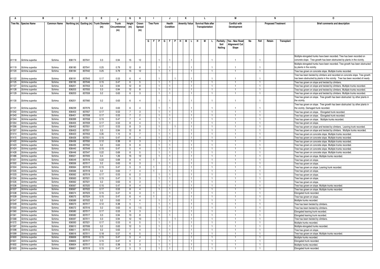|                | в                                |                    | C                | D                | Е.                         |               | G               | н                   |                  |                | J                            |   | К                    |   | L.                         |                      |           | М                    |    |                                  | N                         |            | 0                                                                                                                          |
|----------------|----------------------------------|--------------------|------------------|------------------|----------------------------|---------------|-----------------|---------------------|------------------|----------------|------------------------------|---|----------------------|---|----------------------------|----------------------|-----------|----------------------|----|----------------------------------|---------------------------|------------|----------------------------------------------------------------------------------------------------------------------------|
|                | Tree No. Species Name            | <b>Common Name</b> | Northing (m)     |                  | Easting (m) Trunk Diameter | <b>Trunk</b>  | Height          | Crown               | <b>Tree Form</b> |                | <b>Health</b>                |   | <b>Amenity Value</b> |   | <b>Survival Rate after</b> |                      |           | <b>Conflict with</b> |    |                                  | <b>Proposed Treatment</b> |            | <b>Brief comments and description</b>                                                                                      |
|                |                                  |                    |                  |                  | (m)                        | Circumference | (m)             | Spread              |                  |                | Condition                    |   |                      |   | Transplantation            |                      |           | Development          |    |                                  |                           |            |                                                                                                                            |
|                |                                  |                    |                  |                  |                            | (m)           |                 | (m)                 |                  |                |                              |   |                      |   |                            |                      |           |                      |    |                                  |                           |            |                                                                                                                            |
|                |                                  |                    |                  |                  |                            |               |                 |                     |                  |                |                              |   |                      |   |                            |                      |           |                      |    |                                  |                           |            |                                                                                                                            |
|                |                                  |                    |                  |                  |                            |               |                 |                     |                  | G F P G F P    |                              | H | M                    | H | М                          | L.                   | Paritally | Yes - New Road       | No | Fell                             | Retain                    | Transplant |                                                                                                                            |
|                |                                  |                    |                  |                  |                            |               |                 |                     |                  |                |                              |   |                      |   |                            |                      | Soil      | Alignment/ Cut       |    |                                  |                           |            |                                                                                                                            |
|                |                                  |                    |                  |                  |                            |               |                 |                     |                  |                |                              |   |                      |   |                            |                      | Nailing   | Slope                |    |                                  |                           |            |                                                                                                                            |
|                |                                  |                    |                  |                  |                            |               |                 |                     |                  |                |                              |   |                      |   |                            |                      |           |                      |    |                                  |                           |            |                                                                                                                            |
|                |                                  |                    |                  |                  |                            |               |                 |                     |                  |                |                              |   |                      |   |                            |                      |           |                      |    |                                  |                           |            | Multiple elongated trunks have been recorded. Tree has been recorded on                                                    |
| A1118          | Schima superba                   | Schima             | 836174           | 837041           | 0.3                        | 0.94          | 15              | 12                  |                  | $\overline{1}$ |                              |   |                      |   |                            |                      |           | $\overline{1}$       |    |                                  |                           |            | concrete slope. Tree growth has been obstructed by plants in the vicinity.                                                 |
|                |                                  |                    |                  |                  |                            |               |                 |                     |                  |                |                              |   |                      |   |                            |                      |           |                      |    |                                  |                           |            | Multiple elongated trunks have been recorded. Tree growth has been obstructed                                              |
| A1119          | Schima superba                   | Schima             | 836180           | 837041           | 0.25                       | 0.79          | 12              | $\mathbf{R}$        |                  |                |                              |   |                      |   |                            |                      |           | $\overline{1}$       |    |                                  |                           |            | by plants in the vicinity.                                                                                                 |
| A1120          | Schima superba                   | Schima             | 836184           | 837042           | 0.25                       | 0.79          | 15              | 12                  |                  |                | $\mathbf{1}$                 |   |                      |   |                            | $\overline{1}$       |           |                      |    | $\overline{1}$                   |                           |            | Tree has grown on concrete slope. Multiple trunks recorded.                                                                |
|                |                                  |                    |                  |                  |                            |               |                 |                     |                  |                |                              |   |                      |   |                            |                      |           |                      |    |                                  |                           |            | Tree has been twisted by climbers and recorded on concrete slope. Tree growth                                              |
| A1122          | Schima superba                   | Schima             | 836191           | 837043           | 0.17                       | 0.53          | -6              | $\Delta$            |                  |                |                              |   |                      |   |                            |                      |           | $\overline{1}$       |    |                                  |                           |            | has been obstructed by plants in the vicinity. Tree has been recorded of nearly                                            |
| A1125          | Schima superba                   | Schima             | 836195           | 837046           | 0.15                       | 0.47          | 6               | -5                  |                  |                |                              |   |                      |   |                            |                      |           |                      |    | - 1                              |                           |            | Tree has grown on slope and twisted by climbers.                                                                           |
| A1127          | Schima superba                   | Schima             | 836201           | 837053           | 0.3                        | 0.94          | 12              | -8                  |                  |                | $\mathbf{1}$                 |   |                      |   |                            | $\mathbf{1}$         |           | $\overline{1}$       |    | $\overline{1}$                   |                           |            | Tree has grown on slope and twisted by climbers. Multiple trunks recorded.                                                 |
| A1128          | Schima superba                   | Schima             | 836203           | 837055           | 0.3                        | 0.94          | 12              | 8                   |                  |                | $\mathbf{1}$                 |   |                      |   |                            | -1.                  |           |                      |    | -1                               |                           |            | Tree has grown on slope and twisted by climbers. Multiple trunks recorded.                                                 |
| A1129          | Schima superba                   | Schima             | 836203           | 837059           | 0.2                        | 0.63          | 6               | 3                   |                  |                | $\mathbf{1}$                 |   |                      |   |                            | -1                   |           | -1                   |    | $\overline{1}$                   |                           |            | Tree has grown on slope and twisted by climbers. Multiple trunks recorded.                                                 |
|                |                                  |                    |                  |                  |                            |               |                 |                     |                  |                |                              |   |                      |   |                            |                      |           |                      |    |                                  |                           |            | Tree has grown on slope. Tree growth has been obstructed by other plants in                                                |
| A1130          | Schima superba                   | Schima             | 836201           | 837060           | 0.2                        | 0.63          | 6               | $\overline{4}$      |                  |                |                              |   |                      |   |                            |                      |           |                      |    |                                  |                           |            | the vicinity.                                                                                                              |
|                |                                  |                    |                  |                  |                            |               |                 |                     |                  |                |                              |   |                      |   |                            |                      |           |                      |    |                                  |                           |            | Tree has grown on slope. Tree growth has been obstructed by other plants in                                                |
| A1131          | Schima superba                   | Schima             | 836239           | 837076           | 0.2                        | 0.63          | 6               | $\Delta$            |                  | $\overline{1}$ |                              |   |                      |   |                            | $\overline{1}$       |           | $\mathbf{1}$         |    |                                  |                           |            | the vicinity. Damaged trunk recorded.                                                                                      |
| A1342          | Schima superba                   | Schima             | 836403           | 837057           | 0.17                       | 0.53          | $\overline{7}$  | 3                   |                  |                | $\mathbf{1}$                 |   |                      |   |                            | $\mathbf{1}$         |           |                      |    | $\overline{1}$                   |                           |            | Tree has grown on slope. Elongated trunk recorded.                                                                         |
| A1343          | Schima superba                   | Schima             | 836401           | 837058           | 0.17                       | 0.53          | $\overline{7}$  | $\overline{2}$      |                  |                | $\mathbf{1}$                 |   |                      |   |                            | $\overline{1}$       |           | $\overline{1}$       |    | $\overline{1}$                   |                           |            | Tree has grown on slope. Elongated trunk recorded.                                                                         |
| A1344          | Schima superba                   | Schima             | 836399           | 837058           | 0.15                       | 0.47          | $\overline{7}$  | 4                   | $\mathbf{1}$     |                | $\mathbf{1}$                 |   | $\mathbf{1}$         |   |                            | $\overline{1}$       |           |                      |    | - 1                              |                           |            | Tree has grown on slope. Multiple trunks recorded.                                                                         |
| A1354<br>A1356 | Schima superba                   | Schima             | 836405           | 837059           | 0.17                       | 0.53          | 8<br>8          | $\overline{a}$<br>3 |                  |                | $\mathbf{1}$                 |   |                      |   |                            | -1<br>$\mathbf{1}$   |           | $\overline{1}$       |    | - 1<br>$\overline{1}$            |                           |            | Tree has grown on slope.                                                                                                   |
| A1357          | Schima superba                   | Schima<br>Schima   | 836402<br>836403 | 837051<br>837051 | 0.17<br>0.3                | 0.53<br>0.94  | 12              |                     |                  |                |                              |   |                      |   |                            | $\mathbf{1}$         |           |                      |    | -1                               |                           |            | Tree has grown on slope and twisted by climbers. Leaning trunk recorded.                                                   |
| A1414          | Schima superba<br>Schima superba | Schima             | 836423           | 837053           | 0.35                       | 1.10          | 8               | 8<br>7              |                  |                | $\mathbf{1}$<br>-1           |   |                      |   |                            | -1                   |           |                      |    | -1                               |                           |            | Tree has grown on slope and twisted by climbers. Multiple trunks recorded.                                                 |
| A1415          | Schima superba                   | Schima             | 836426           | 837051           | 0.15                       | 0.47          | 6               | $\overline{4}$      |                  |                | $\mathbf{1}$                 |   |                      |   |                            | $\overline{1}$       |           | $\overline{1}$       |    | $\overline{1}$                   |                           |            | Tree has grown on concrete slope. Multiple trunks recorded.<br>Tree has grown on concrete slope. Multiple trunks recorded. |
| A1422          | Schima superba                   | Schima             | 836436           | 837050           | 0.12                       | 0.38          | 6               | $\mathbf{3}$        |                  |                | $\mathbf{1}$                 |   |                      |   |                            | $\mathbf{1}$         |           |                      |    | $\overline{1}$                   |                           |            | Tree has grown on concrete slope. Multiple trunks recorded.                                                                |
| A1423          | Schima superba                   | Schima             | 836435           | 837052           | 0.2                        | 0.63          | 9               | - 6                 |                  |                | $\mathbf{1}$                 |   |                      |   |                            | $\mathbf{1}$         |           |                      |    | $\overline{1}$                   |                           |            | Tree has grown on concrete slope. Multiple trunks recorded.                                                                |
| A1424          | Schima superba                   | Schima             | 836440           | 837049           | 0.15                       | 0.47          | $5\overline{)}$ | $\overline{4}$      |                  |                | $\overline{1}$               |   |                      |   |                            | $\mathbf{1}$         |           |                      |    | $\overline{1}$                   |                           |            | Tree has grown on concrete slope. Multiple trunks recorded.                                                                |
| A1428          | Schima superba                   | Schima             | 836446           | 837047           | 0.22                       | 0.69          | 8               | $5\overline{5}$     |                  |                | $\mathbf{1}$                 |   |                      |   |                            | $\mathbf{1}$         |           |                      |    |                                  |                           |            | Tree has grown on concrete slope. Multiple trunks recorded.                                                                |
| A1486          | Schima superba                   | Schima             | 836521           | 837005           | 0.4                        | 1.26          | 15              | 12                  |                  |                | $\mathbf{1}$                 |   | $\mathbf{1}$         |   |                            | $\overline{1}$       |           | $\mathbf{1}$         |    | $\overline{1}$                   |                           |            | Tree has grown on slope. Multiple trunks recorded.                                                                         |
| A1501          | Schima superba                   | Schima             | 836549           | 837016           | 0.22                       | 0.69          | 8               | $\overline{a}$      |                  |                | $\mathbf{1}$                 |   |                      |   |                            | -1.                  |           |                      |    | -1                               |                           |            | Tree has grown on slope.                                                                                                   |
| A1502          | Schima superba                   | Schima             | 836556           | 837017           | 0.2                        | 0.63          | 6               | 3                   |                  |                | $\mathbf{1}$                 |   |                      |   |                            | $\mathbf{1}$         |           |                      |    | -1                               |                           |            | Tree has grown on slope.                                                                                                   |
| A1504          | Schima superba                   | Schima             | 836564           | 837018           | 0.15                       | 0.47          | 5               | $\mathbf{3}$        |                  |                | $\mathbf{1}$                 |   |                      |   |                            | $\mathbf{1}$         |           | $\overline{1}$       |    | $\overline{1}$                   |                           |            | Tree has grown on slope. Leaning trunk recorded.                                                                           |
| A1505          | Schima superba                   | Schima             | 836566           | 837018           | 0.2                        | 0.63          | $\overline{7}$  | $\overline{4}$      |                  |                | $\mathbf{1}$                 |   |                      |   |                            | 1                    |           |                      |    | $\overline{1}$                   |                           |            | Tree has grown on slope.                                                                                                   |
| A1533          | Schima superba                   | Schima             | 836562           | 837019           | 0.17                       | 0.53          | 6               | $\overline{2}$      |                  |                | -1                           |   |                      |   |                            | -1.                  |           |                      |    | -1                               |                           |            | Tree has grown on slope.                                                                                                   |
| A1534          | Schima superba                   | Schima             | 836563           | 837021           | 0.15                       | 0.47          | -5              | $\mathbf{3}$        | $\mathbf{1}$     |                | $\mathbf{1}$                 |   | $\mathbf{1}$         |   |                            | $\overline{1}$       |           | $\overline{1}$       |    | $\overline{1}$                   |                           |            | Tree has grown on slope                                                                                                    |
| A1535          | Schima superba                   | Schima             | 836562           | 837021           | 0.2                        | 0.63          | 6               | 3                   |                  |                | $\mathbf{1}$                 |   |                      |   |                            | $\overline{1}$       |           |                      |    | $\overline{1}$                   |                           |            | Tree has grown on slope.                                                                                                   |
| A1536          | Schima superba                   | Schima             | 836567           | 837020           | 0.15                       | 0.47          | 9               | $\overline{4}$      |                  |                | $\mathbf{1}$                 |   |                      |   |                            | $\mathbf{1}$         |           |                      |    | $\overline{1}$                   |                           |            | Tree has grown on slope. Multiple trunks recorded                                                                          |
| A1537          | Schima superba                   | Schima             | 836567           | 837022           | 0.17                       | 0.53          | 8               | $\overline{a}$      |                  |                | $\mathbf{1}$                 |   |                      |   |                            | $\mathbf{1}$         |           | $\overline{1}$       |    | $\overline{1}$                   |                           |            | Tree has grown on slope. Multiple trunks recorded.                                                                         |
| A1538          | Schima superba                   | Schima             | 836574           | 837023           | 0.15                       | 0.47          | 6               | $\mathbf{3}$        |                  |                | $\mathbf{1}$                 |   |                      |   |                            | 1                    |           |                      |    |                                  |                           |            | Elongated trunk recorded.                                                                                                  |
| A1539          | Schima superba                   | Schima             | 836575           | 837024           | 0.15                       | 0.47          | 6               | $\overline{4}$      |                  |                | $\mathbf{1}$                 |   |                      |   |                            | $\mathbf{1}$         |           | -1                   |    | $\overline{1}$                   |                           |            | Tree has grown on slope.                                                                                                   |
| A1547<br>A1549 | Schima superba                   | Schima             | 836589           | 837022<br>837017 | 0.2<br>0.12                | 0.63          | $\overline{7}$  | $\overline{4}$      |                  |                | $\mathbf{1}$<br>$\mathbf{1}$ |   |                      |   |                            | $\overline{1}$<br>1. |           | -1                   |    | $\overline{1}$<br>$\overline{1}$ |                           |            | Multiple trunks recorded                                                                                                   |
| A1550          | Schima superba<br>Schima superba | Schima<br>Schima   | 836573<br>836572 | 837016           | 0.2                        | 0.38<br>0.63  | 5<br>6          | 1.5                 |                  |                | $\mathbf{1}$                 |   |                      |   |                            | -1                   |           | -1                   |    | $\overline{1}$                   |                           |            | Tree has been twisted by climbers.                                                                                         |
| A1560          | Schima superba                   | Schima             | 836580           | 837017           | 0.17                       | 0.53          | 9               | 3                   |                  |                | $\overline{1}$               |   |                      |   |                            | -1.                  |           |                      |    | -1                               |                           |            | Tree has been twisted by climbers.<br>Elongated leaning trunk recorded.                                                    |
| A1561          | Schima superba                   | Schima             | 836582           | 837017           | 0.3                        | 0.94          | 13              | 8                   |                  |                | $\mathbf{1}$                 |   |                      |   |                            | $\mathbf{1}$         |           |                      |    | -1                               |                           |            | Elongated leaning trunk recorded.                                                                                          |
| A1568          | Schima superba                   | Schima             | 836597           | 837011           | 0.3                        | 0.94          | 12              | 10                  | $\mathbf{1}$     |                |                              |   |                      |   |                            | $\overline{1}$       |           | $\overline{1}$       |    | $\overline{1}$                   |                           |            | Tree has been twisted by climbers.                                                                                         |
| A1572          | Schima superba                   | Schima             | 836593           | 837021           | 0.17                       | 0.53          | 6               | 5                   |                  |                | $\mathbf{1}$                 |   |                      |   |                            | $\mathbf{1}$         |           |                      |    | -1                               |                           |            | Multiple trunks recorded                                                                                                   |
| A1597          | Schima superba                   | Schima             | 836610           | 837006           | 0.2                        | 0.63          | 12              | -5                  |                  |                | -1                           |   |                      |   |                            | $\mathbf{1}$         |           | - 11                 |    | $\overline{1}$                   |                           |            | Multiple elongated trunks recorded                                                                                         |
| A1598          | Schima superba                   | Schima             | 836611           | 837012           | 0.2                        | 0.63          | $\overline{7}$  | $\overline{a}$      |                  |                | $\mathbf{1}$                 |   |                      |   |                            | $\mathbf{1}$         |           | $\overline{1}$       |    | $\overline{1}$                   |                           |            | Tree has grown on slope                                                                                                    |
| A1599          | Schima superba                   | Schima             | 836616           | 837011           | 0.18                       | 0.57          | 6               | 5                   |                  |                | $\mathbf{1}$                 |   |                      |   |                            | $\mathbf{1}$         |           |                      |    |                                  |                           |            | Tree has grown on slope. Multiple trunks recorded.                                                                         |
| A1600          | Schima superba                   | Schima             | 836606           | 837016           | 0.15                       | 0.47          | 5               | $\overline{4}$      |                  |                | -1                           |   |                      |   |                            | -1                   |           |                      |    | -1                               |                           |            | Multiple trunks recorded.                                                                                                  |
| A1601          | Schima superba                   | Schima             | 836605           | 837017           | 0.15                       | 0.47          | 6               | 2                   |                  |                | $\mathbf{1}$                 |   |                      |   |                            | $\overline{1}$       |           |                      |    | $\overline{1}$                   |                           |            | Elongated trunk recorded.                                                                                                  |
| A1602          | Schima superba                   | Schima             | 836604           | 837017           | 0.12                       | 0.38          | 5               | 3                   |                  |                | $\mathbf{1}$                 |   |                      |   |                            | $\mathbf{1}$         |           |                      |    |                                  |                           |            | Multiple trunks recorded.                                                                                                  |
| A1603          | Schima superba                   | Schima             | 836601           | 837019           | 0.15                       | 0.47          | 5               | 3                   | -1               |                | $\mathbf{1}$                 |   |                      |   |                            | $\overline{1}$       |           |                      |    | $\overline{1}$                   |                           |            | Elongated trunk recorded.                                                                                                  |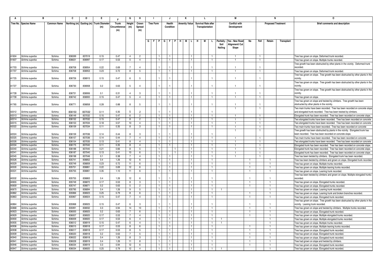|                | в                                |                    | c                |                  | Е                                       | Е             | G                    | н                    |                  |                              | J                            |                      |                |   |                            |                                |                   | М                               |                                |                |                                |            |                                                                                                                                                  |
|----------------|----------------------------------|--------------------|------------------|------------------|-----------------------------------------|---------------|----------------------|----------------------|------------------|------------------------------|------------------------------|----------------------|----------------|---|----------------------------|--------------------------------|-------------------|---------------------------------|--------------------------------|----------------|--------------------------------|------------|--------------------------------------------------------------------------------------------------------------------------------------------------|
|                | Tree No. Species Name            | <b>Common Name</b> |                  |                  | Northing (m) Easting (m) Trunk Diameter | <b>Trunk</b>  | Height               | Crown                | <b>Tree Form</b> |                              | Health                       | <b>Amenity Value</b> |                |   | <b>Survival Rate after</b> |                                |                   | <b>Conflict with</b>            |                                |                | <b>Proposed Treatment</b>      |            | <b>Brief comments and description</b>                                                                                                            |
|                |                                  |                    |                  |                  | (m)                                     | Circumference | (m)                  | Spread               |                  |                              | Condition                    |                      |                |   | Transplantation            |                                |                   | Development                     |                                |                |                                |            |                                                                                                                                                  |
|                |                                  |                    |                  |                  |                                         | (m)           |                      | (m)                  |                  |                              |                              |                      |                |   |                            |                                |                   |                                 |                                |                |                                |            |                                                                                                                                                  |
|                |                                  |                    |                  |                  |                                         |               |                      |                      |                  |                              |                              |                      |                |   |                            |                                |                   |                                 |                                |                |                                |            |                                                                                                                                                  |
|                |                                  |                    |                  |                  |                                         |               |                      |                      |                  |                              |                              |                      |                |   |                            |                                |                   |                                 |                                |                |                                |            |                                                                                                                                                  |
|                |                                  |                    |                  |                  |                                         |               |                      |                      | G                | FPGF                         |                              | м                    |                | H | М                          |                                | Paritally<br>Soil | Yes - New Road<br>Alignment/ Cu | No                             | Fell           | Retain                         | Transplant |                                                                                                                                                  |
|                |                                  |                    |                  |                  |                                         |               |                      |                      |                  |                              |                              |                      |                |   |                            |                                | Nailing           | Slope                           |                                |                |                                |            |                                                                                                                                                  |
|                |                                  |                    |                  |                  |                                         |               |                      |                      |                  |                              |                              |                      |                |   |                            |                                |                   |                                 |                                |                |                                |            |                                                                                                                                                  |
| A1604          | Schima superba                   | Schima             | 836599           | 837019           | 0.15                                    | 0.47          | $\overline{a}$       | 2                    |                  | $\mathbf{1}$                 | -1                           |                      |                |   |                            | -1                             |                   | -1                              |                                | $\mathbf{1}$   |                                |            | Tree has grown on slope. Deformed trunk recorded.                                                                                                |
| A1607          | Schima superba                   | Schima             | 836631           | 836997           | 0.17                                    | 0.53          | 5                    | $\overline{4}$       |                  | $\mathbf{1}$                 | $\mathbf{1}$                 |                      |                |   |                            |                                |                   |                                 |                                | $\overline{1}$ |                                |            | Free has grown on slope. Multiple trunks recorded.                                                                                               |
|                |                                  |                    |                  |                  |                                         |               |                      |                      |                  |                              |                              |                      |                |   |                            |                                |                   |                                 |                                |                |                                |            | Tree growth has been obstructed by other plants in the vicinity. Deformed trunk                                                                  |
| A1703          | Schima superba                   | Schima             | 836708           | 836954           | 0.22                                    | 0.69          | $\overline{7}$       | $\Delta$             |                  |                              |                              |                      |                |   |                            |                                |                   | $\mathbf{1}$                    |                                |                |                                |            | recorded                                                                                                                                         |
| A1707          | Schima superba                   | Schima             | 836708           | 836953           | 0.23                                    | 0.72          | 8                    | 5                    |                  | $\overline{1}$               | $\mathbf{1}$                 |                      |                |   |                            | $\overline{1}$                 |                   | $\mathbf{1}$                    |                                | $\overline{1}$ |                                |            | Free has grown on slope. Deformed trunk recorded.                                                                                                |
|                |                                  |                    |                  |                  |                                         |               |                      |                      |                  |                              |                              |                      |                |   |                            |                                |                   |                                 |                                |                |                                |            | Tree has grown on slope. Tree growth has been obstructed by other plants in the                                                                  |
| A1725          | Schima superba                   | Schima             | 836726           | 836915           | 0.15                                    | 0.47          | 6                    | 5                    |                  |                              |                              |                      |                |   |                            |                                |                   | $\overline{1}$                  |                                |                |                                |            | vicinity.                                                                                                                                        |
|                |                                  |                    |                  |                  |                                         |               |                      |                      |                  |                              |                              |                      |                |   |                            |                                |                   |                                 |                                |                |                                |            | Tree has grown on slope. Tree growth has been obstructed by other plants in the                                                                  |
| A1727          | Schima superba                   | Schima             | 836730           | 836908           | 0.2                                     | 0.63          | 5                    | $\overline{4}$       |                  |                              |                              |                      |                |   |                            |                                |                   | $\mathbf{1}$                    |                                |                |                                |            | vicinitv                                                                                                                                         |
|                |                                  |                    |                  |                  |                                         |               |                      |                      |                  |                              |                              |                      |                |   |                            |                                |                   |                                 |                                |                |                                |            | Tree has grown on slope. Tree growth has been obstructed by other plants in the                                                                  |
| A1728          | Schima superba                   | Schima             | 836731           | 836906           | 0.1                                     | 0.31          | $\overline{4}$       |                      |                  |                              |                              |                      |                |   |                            |                                |                   | -1                              |                                |                |                                |            | vicinity.                                                                                                                                        |
| A1739          | Schima superba                   | Schima             | 836742           | 836900           | 0.15                                    | 0.47          | 5                    | $\overline{4}$       |                  | $\blacksquare$               | $\mathbf{1}$                 |                      |                |   |                            | $\mathbf{1}$                   |                   | $\mathbf{1}$                    |                                | $\overline{1}$ |                                |            | Tree has grown on slope.                                                                                                                         |
|                |                                  |                    |                  |                  | 0.28                                    |               | 8                    | 5                    |                  |                              |                              |                      |                |   |                            | 1                              |                   |                                 |                                |                |                                |            | Tree has grown on slope and twisted by climbers. Tree growth has been                                                                            |
| A1765          | Schima superba                   | Schima             | 836771           | 836858           |                                         | 0.88          |                      |                      |                  |                              |                              |                      |                |   |                            |                                |                   | -1<br>$\overline{1}$            |                                | $\overline{1}$ |                                |            | obstructed by other plants in the vicinity.                                                                                                      |
| A2012          | Schima superba                   | Schima             | 836150           | 837032           | 0.11                                    | 0.35          | 5                    |                      |                  |                              |                              |                      |                |   |                            |                                |                   |                                 |                                |                |                                |            | Two main trunks have been recorded. Tree has been recorded on concrete slope<br>and elongated trunk recorded. Tree has been twisted by climbers. |
| A2013          | Schima superba                   | Schima             | 836149           | 837032           | 0.15                                    | 0.47          | 6                    | $\overline{2}$       |                  | $\blacksquare$               | $\mathbf{1}$                 |                      | $\overline{1}$ |   |                            | $\overline{1}$                 |                   | $\overline{1}$                  |                                | $\overline{1}$ |                                |            | Elongated trunk has been recorded. Tree has been recorded on concrete slope.                                                                     |
| A2014          | Schima superba                   | Schima             | 836152           | 837032           | 0.15                                    | 0.47          | 8                    | $\overline{2}$       |                  | $\mathbf{1}$                 | $\mathbf{1}$                 |                      | $\overline{1}$ |   |                            | $\overline{1}$                 |                   | $\mathbf{1}$                    |                                | $\overline{1}$ |                                |            | Two elongated trunks have been recorded. Tree has been recorded on concrete                                                                      |
| A2015          | Schima superba                   | Schima             | 836153           | 837034           | 0.18                                    | 0.57          | 10 <sup>10</sup>     | $\overline{4}$       |                  | $\mathbf{1}$                 | 1                            |                      |                |   |                            | $\mathbf{1}$                   |                   | $\overline{1}$                  |                                | $\overline{1}$ |                                |            | Two elongated trunks have been recorded. Tree has been recorded on concrete                                                                      |
| A2022          | Schima superba                   | Schima             | 836159           | 837034           | 0.11                                    | 0.35          | 8                    | 3                    |                  | $\mathbf{1}$                 | $\mathbf{1}$                 |                      | $\overline{1}$ |   |                            | $\overline{1}$                 |                   | $\overline{1}$                  |                                | $\mathbf{1}$   |                                |            | Two main trunks have been recorded. Tree has been recorded on concrete                                                                           |
|                |                                  |                    |                  |                  |                                         |               |                      |                      |                  |                              |                              |                      |                |   |                            |                                |                   | $\overline{1}$                  |                                |                |                                |            | Free growth has been obstructed by plants in the vicinity. Elongated trunk has                                                                   |
| A2024          | Schima superba                   | Schima             | 836159           | 837036           | 0.14                                    | 0.44          | 8                    | $\boldsymbol{\beta}$ |                  |                              |                              |                      |                |   |                            |                                |                   |                                 |                                |                |                                |            | been recorded. Tree has been recorded on concrete slope.                                                                                         |
| A2025          | Schima superba                   | Schima             | 836157           | 837036           | 0.14                                    | 0.44          | $\overline{7}$       | $\overline{a}$       |                  | $\mathbf{1}$                 | $\mathbf{1}$                 |                      |                |   |                            | $\mathbf{1}$                   |                   | $\overline{1}$                  |                                | $\mathbf{1}$   |                                |            | Two main trunks have been recorded. Tree has been recorded on concrete                                                                           |
| A2026          | Schima superba                   | Schima             | 836154           | 837035           | 0.13                                    | 0.41          | 8                    | $\overline{4}$       |                  | $\overline{1}$               | $\mathbf{1}$                 |                      | $\overline{1}$ |   |                            | $\mathbf{1}$                   |                   | $\overline{1}$                  |                                | $\overline{1}$ |                                |            | Two elongated trunks have been recorded. Tree has been recorded on concrete                                                                      |
| A2034          | Schima superba                   | Schima             | 836175           | 837040           | 0.11                                    | 0.35          | 8                    | $\overline{a}$       |                  | $\mathbf{1}$                 | $\mathbf{1}$                 |                      |                |   |                            | -1                             |                   | $\overline{1}$                  |                                | $\overline{1}$ |                                |            | Elongated trunk has been recorded. Tree has been recorded on concrete slope.                                                                     |
| A2040          | Schima superba                   | Schima             | 836188           | 837040           | 0.21                                    | 0.66          | 8                    | 5                    |                  | $\mathbf{1}$                 |                              |                      |                |   |                            | $\mathbf{1}$                   |                   | $\overline{1}$                  |                                | $\mathbf{1}$   |                                |            | Elongated trunk has been recorded. Tree has been recorded on concrete slope.                                                                     |
| A2041<br>A2045 | Schima superba                   | Schima             | 836187           | 837040           | 0.13                                    | 0.41          | 10                   | 6<br>$\overline{4}$  |                  | $\overline{1}$               |                              |                      |                |   |                            | $\mathbf{1}$                   |                   | $\mathbf{1}$                    |                                | $\mathbf{1}$   |                                |            | Elongated trunk has been recorded. Tree has been recorded on concrete slope.                                                                     |
| A0526          | Schima superba<br>Schima superba | Schima<br>Schima   | 836198<br>835741 | 837046<br>836852 | 0.1<br>0.4                              | 0.38<br>1.26  | 7<br>12              | 6                    |                  | $\mathbf{1}$<br>$\mathbf{1}$ | 1                            |                      |                |   |                            | $\mathbf{1}$                   |                   | 1                               | -1                             | $\mathbf{1}$   |                                |            | Tree has been twisted by climbers. Elongated trunk has been recorded.                                                                            |
| A0529          | Schima superba                   | Schima             | 835749           | 836859           | 0.23                                    | 0.72          | 11                   | 6                    |                  | $\overline{1}$               | 1                            |                      |                |   |                            | -1                             |                   |                                 | -1                             |                |                                |            | Free has been twisted by climbers and grown on slope. Elongated trunk recorded<br>Free has grown on slope. Multiple trunks recorded.             |
| A0530          | Schima superba                   | Schima             | 835751           | 836861           | 0.22                                    | 0.69          | 12                   | 6                    |                  | $\blacksquare$               | $\mathbf{1}$                 |                      |                |   |                            | $\overline{1}$                 |                   |                                 | $\overline{1}$                 |                | $\overline{1}$                 |            | Free has grown on slope. Multiple leaning trunks recorded                                                                                        |
| A0531          | Schima superba                   | Schima             | 835755           | 836861           | 0.35                                    | 1.10          | 11                   | 6                    |                  | $\overline{1}$               | $\mathbf{1}$                 |                      | -1             |   |                            | $\mathbf{1}$                   |                   |                                 | -1                             |                | $\mathbf{1}$                   |            | Tree has grown on slope. Leaning trunk recorded.                                                                                                 |
|                |                                  |                    |                  |                  |                                         |               |                      |                      |                  |                              |                              |                      |                |   |                            |                                |                   |                                 |                                |                |                                |            | Tree has been twisted by climbers and grown on slope. Multiple elongated trunks                                                                  |
| A0532          | Schima superba                   | Schima             | 835755           | 836863           | 0.4                                     | 1.26          | 12                   |                      |                  |                              |                              |                      |                |   |                            |                                |                   |                                 |                                |                |                                |            | recorded                                                                                                                                         |
| A0655          | Schima superba                   | Schima             | 835749           | 836872           | 0.17                                    | 0.53          | 8                    | 3                    |                  | $\overline{1}$               | $\mathbf{1}$                 |                      | -1.            |   |                            | -1                             |                   |                                 | -1                             |                | $\mathbf{1}$                   |            | Tree has grown on slope. Elongated trunks recorded.                                                                                              |
| A0659          | Schima superba                   | Schima             | 835747           | 836871           | 0.2                                     | 0.63          | 5                    | 2                    |                  | -1                           | $\mathbf{1}$                 |                      |                |   |                            | -1                             |                   |                                 | -1                             |                |                                |            | Tree has grown on slope. Elongated trunks recorded                                                                                               |
| A0670          | Schima superba                   | Schima             | 835795           | 836894           | 0.4                                     | 1.26          | 9                    | $5\overline{5}$      |                  | $\mathbf{1}$                 | $\mathbf{1}$                 |                      |                |   |                            | $\overline{1}$                 |                   |                                 |                                |                | $\overline{1}$                 |            | Tree has grown on slope. Leaning trunk recorded.                                                                                                 |
| A0862          | Schima superba                   | Schima             | 835966           | 836923           | 0.25                                    | 0.79          | 8                    | 6                    |                  | $\mathbf{1}$                 | $\mathbf{1}$                 |                      |                |   |                            | $\mathbf{1}$                   |                   |                                 | $\overline{1}$                 |                |                                |            | Free has grown on slope. Leaning trunk and broken branches recorded.                                                                             |
| A0863          | Schima superba                   | Schima             | 835967           | 836924           | 0.15                                    | 0.47          | $\overline{7}$       | $\overline{4}$       |                  | $\mathbf{1}$                 | 1                            |                      |                |   |                            | $\overline{1}$                 |                   |                                 | -1                             |                | $\mathbf{1}$                   |            | Tree has grown on slope. Elongated trunk recorded.                                                                                               |
|                |                                  |                    |                  |                  |                                         |               |                      |                      |                  |                              |                              |                      |                |   |                            |                                |                   |                                 |                                |                |                                |            | Free has grown on slope. Tree growth has been obstructed by other plants in the                                                                  |
| A0864<br>A0868 | Schima superba                   | Schima             | 835968           | 836925           | 0.15                                    | 0.47          | 6                    | 3                    |                  |                              |                              |                      |                |   |                            |                                |                   |                                 |                                |                |                                |            | vicinity. Leaning trunk recorded.                                                                                                                |
| A0923          | Schima superba<br>Schima superba | Schima<br>Schima   | 835991<br>836000 | 836932<br>836925 | 0.3<br>0.2                              | 0.94<br>0.63  | 14<br>$\overline{7}$ | 10<br>6              |                  | $\mathbf{1}$<br>$\mathbf{1}$ | $\mathbf{1}$<br>$\mathbf{1}$ |                      |                |   |                            | $\overline{1}$<br>$\mathbf{1}$ |                   |                                 | $\overline{1}$<br>$\mathbf{1}$ |                | $\overline{1}$<br>$\mathbf{1}$ |            | Tree has grown on slope and twisted by climbers. Multiple trunks recorded.                                                                       |
| A0929          | Schima superba                   | Schima             | 836007           | 836920           | 0.17                                    | 0.53          |                      | $\overline{4}$       |                  | $\mathbf{1}$                 | 1                            |                      |                |   |                            | -1                             |                   |                                 | -1                             |                |                                |            | Tree has grown on slope. Elongated trunk recorded.<br>Tree has grown on slope. Multiple elongated trunks recorded.                               |
| A0930          | Schima superba                   | Schima             | 836009           | 836920           | 0.17                                    | 0.53          | 6                    | 4                    |                  | $\overline{1}$               | $\mathbf{1}$                 |                      |                |   |                            | $\overline{1}$                 |                   |                                 |                                |                | $\mathbf{1}$                   |            | Tree has grown on slope. Multiple elongated trunks recorded.                                                                                     |
| A0935          | Schima superba                   | Schima             | 836012           | 836919           | 0.15                                    | 0.47          | 6                    | $\overline{a}$       |                  | $\overline{1}$               | $\mathbf{1}$                 |                      | $\overline{1}$ |   |                            | $\mathbf{1}$                   |                   |                                 |                                |                | $\mathbf{1}$                   |            | Free has grown on slope. Multiple trunks recorded                                                                                                |
| A0936          | Schima superba                   | Schima             | 836015           | 836918           | 0.17                                    | 0.53          | 8                    | 6                    |                  | -1                           | 1.                           |                      |                |   |                            | -1.                            |                   |                                 | -1                             |                |                                |            | Tree has grown on slope. Multiple leaning trunks recorded.                                                                                       |
| A0938          | Schima superba                   | Schima             | 836017           | 836918           | 0.17                                    | 0.53          | 8                    | -5                   |                  | $\overline{1}$               | $\mathbf{1}$                 |                      |                |   |                            | $\overline{1}$                 |                   |                                 | $\overline{1}$                 |                |                                |            | Free has grown on slope. Elongated trunk recorded.                                                                                               |
| A0939          | Schima superba                   | Schima             | 836020           | 836918           | 0.2                                     | 0.63          |                      | -5                   |                  | $\overline{1}$               | $\mathbf{1}$                 |                      | $\mathbf{1}$   |   |                            | -1                             |                   |                                 |                                |                |                                |            | Free has grown on slope. Elongated trunk recorded.                                                                                               |
| A0940          | Schima superba                   | Schima             | 836022           | 836918           | 0.4                                     | 1.26          | 8                    | $\mathbf{3}$         |                  | -1                           | 1                            |                      |                |   |                            | $\mathbf{1}$                   |                   |                                 | -1                             |                |                                |            | Tree has grown on slope. Elongated trunk recorded.                                                                                               |
| A0941          | Schima superba                   | Schima             | 836028           | 836919           | 0.4                                     | 1.26          | 11                   | 8                    |                  | $\overline{1}$               | 1                            |                      |                |   |                            | $\mathbf{1}$                   |                   |                                 |                                |                |                                |            | Free had grown on slope and twisted by climbers.                                                                                                 |
| A0946          | Schima superba                   | Schima             | 836034           | 836919           | 0.3                                     | 0.94          | 12                   | -6                   |                  | $\mathbf{1}$                 | $\mathbf{1}$                 |                      |                |   |                            |                                |                   |                                 |                                |                |                                |            | Free has grown on slope. Elongated trunk recorded.                                                                                               |
| A0947          | Schima superba                   | Schima             | 836034           | 836920           | 0.25                                    | 0.79          | 12                   | $\Delta$             |                  |                              |                              |                      |                |   |                            |                                |                   |                                 |                                |                |                                |            | Tree has grown on slope. Elongated trunk recorded.                                                                                               |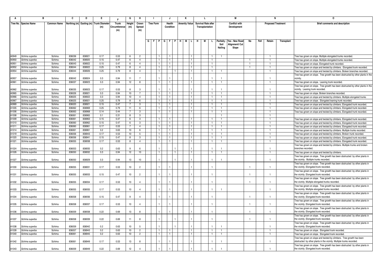|                |                                  |                    | c                |                  | Е                                      |               | G              | н                   |                         | J                            |     |                      |                            |                    |                   | М                    |                |      |                           |            |                                                                                                                                          |
|----------------|----------------------------------|--------------------|------------------|------------------|----------------------------------------|---------------|----------------|---------------------|-------------------------|------------------------------|-----|----------------------|----------------------------|--------------------|-------------------|----------------------|----------------|------|---------------------------|------------|------------------------------------------------------------------------------------------------------------------------------------------|
|                | Tree No. Species Name            | <b>Common Name</b> |                  |                  | Northing (m) Easting (m) Trunk Diamete | Trunk         | Height         | Crown               | <b>Tree Form</b>        | Health                       |     | <b>Amenity Value</b> | <b>Survival Rate after</b> |                    |                   | <b>Conflict with</b> |                |      | <b>Proposed Treatment</b> |            | Brief comments and description                                                                                                           |
|                |                                  |                    |                  |                  | (m)                                    | Circumference | (m)            | Spread              |                         | Condition                    |     |                      | Transplantation            |                    |                   | Development          |                |      |                           |            |                                                                                                                                          |
|                |                                  |                    |                  |                  |                                        | (m)           |                | (m)                 |                         |                              |     |                      |                            |                    |                   |                      |                |      |                           |            |                                                                                                                                          |
|                |                                  |                    |                  |                  |                                        |               |                |                     |                         |                              |     |                      |                            |                    |                   |                      |                |      |                           |            |                                                                                                                                          |
|                |                                  |                    |                  |                  |                                        |               |                |                     |                         |                              | - H | M I                  | н                          |                    |                   | Yes - New Road       |                | Fell |                           |            |                                                                                                                                          |
|                |                                  |                    |                  |                  |                                        |               |                |                     | $G$ $F$ $P$ $G$ $F$ $P$ |                              |     |                      |                            |                    | Paritally<br>Soil | Alignment/ Cut       | No             |      | Retain                    | Transplant |                                                                                                                                          |
|                |                                  |                    |                  |                  |                                        |               |                |                     |                         |                              |     |                      |                            |                    | Nailing           | Slope                |                |      |                           |            |                                                                                                                                          |
|                |                                  |                    |                  |                  |                                        |               |                |                     |                         |                              |     |                      |                            |                    |                   |                      |                |      |                           |            |                                                                                                                                          |
| A0949          | Schima superba                   | Schima             | 836036           | 836921           | 0.17                                   | 0.53          | -6             | $\overline{2}$      |                         | $\mathbf{1}$                 |     |                      |                            |                    |                   |                      |                |      |                           |            | Tree has grown on slope. Multiple elongated trunks recorded.                                                                             |
| A0950          | Schima superba                   | Schima             | 836042           | 836920           | 0.15                                   | 0.47          | -6             | $\overline{4}$      |                         | $\overline{1}$               |     |                      |                            | -1.                |                   |                      |                |      |                           |            | ree has grown on slope. Multiple elongated trunks recorded.                                                                              |
| A0951          | Schima superba                   | Schima             | 836043           | 836922           | 0.15                                   | 0.47          | 6              | $\overline{4}$      |                         | -1                           |     |                      |                            | -1                 |                   |                      | -1             |      |                           |            | Free has grown on slope. Elongated trunk recorded                                                                                        |
| A0952          | Schima superba                   | Schima             | 836044           | 836922           | 0.25                                   | 0.79          | 8              | $\overline{a}$      |                         | $\mathbf{1}$                 |     |                      |                            |                    |                   |                      | $\overline{1}$ |      |                           |            | Free has grown on slope and twisted by climbers. Elongated trunk recorded.                                                               |
| A0954          | Schima superba                   | Schima             | 836044           | 836926           | 0.25                                   | 0.79          | 8              | $\overline{4}$      |                         |                              |     |                      |                            | $\mathbf{1}$       |                   |                      |                |      |                           |            | ree has grown on slope and twisted by climbers. Broken branches recorded.                                                                |
|                |                                  |                    |                  |                  |                                        |               |                |                     |                         |                              |     |                      |                            |                    |                   |                      |                |      |                           |            | Free has grown on slope. Tree growth has been obstructed by other plants in the                                                          |
| A0957          | Schima superba                   | Schima             | 836042           | 836924           | 0.3                                    | 0.94          | 11             | $\overline{7}$      |                         |                              |     |                      |                            |                    |                   |                      |                |      |                           |            | icinitv                                                                                                                                  |
| A0961          | Schima superba                   | Schima             | 836037           | 836923           | 0.3                                    | 0.94          | 12             | 8                   |                         | $\overline{1}$               |     |                      |                            | $\mathbf{1}$       |                   |                      |                |      |                           |            | ree has grown on slope. Leaning trunk recorded.                                                                                          |
|                |                                  |                    |                  |                  |                                        |               |                |                     |                         |                              |     |                      |                            |                    |                   |                      |                |      |                           |            | Tree has grown on slope. Tree growth has been obstructed by other plants in the                                                          |
| A0962          | Schima superba                   | Schima             | 836035           | 836923           | 0.17                                   | 0.53          | $\mathbf{R}$   | $\mathbf{R}$        |                         |                              |     |                      |                            |                    |                   |                      |                |      | -1                        |            | vicinity. Leaning trunk recorded.                                                                                                        |
| A0965<br>A0966 | Schima superba                   | Schima             | 836026           | 836921           | 0.3                                    | 0.94          | 10             | $7\phantom{.0}$     |                         | $\mathbf{1}$                 |     |                      |                            | $\mathbf{1}$<br>-1 |                   |                      |                |      |                           |            | Tree has grown on slope. Broken branches recorded.                                                                                       |
| A0967          | Schima superba<br>Schima superba | Schima<br>Schima   | 836025<br>836025 | 836922<br>836921 | 0.3<br>0.25                            | 0.94<br>0.79  | 10<br>8        | $\overline{4}$<br>6 |                         | $\mathbf{1}$<br>$\mathbf{1}$ |     |                      |                            | -1.                | $\overline{1}$    |                      |                |      | -1                        |            | Free has grown on slope and twisted by climbers. Multiple elongated trunks                                                               |
| A0969          | Schima superba                   | Schima             | 836020           | 836921           | 0.15                                   | 0.47          | $\overline{7}$ | 3                   |                         | $\mathbf{1}$                 |     |                      |                            |                    |                   |                      |                |      |                           |            | Free has grown on slope. Elongated leaning trunk recorded.<br>Free has grown on slope and twisted by climbers. Elongated trunk recorded. |
| A1005          | Schima superba                   | Schima             | 836062           | 836969           | 0.25                                   | 0.79          | 11             | 6                   |                         | $\mathbf{1}$                 |     |                      |                            | $\overline{1}$     | $\overline{1}$    |                      |                |      |                           |            | Tree has grown on slope and twisted by climbers. Elongated trunk recorded.                                                               |
| A1006          | Schima superba                   | Schima             | 836063           | 836968           | 0.14                                   | 0.44          | $\overline{7}$ | $\mathbf{3}$        |                         | $\overline{1}$               |     |                      |                            |                    | -1                |                      |                |      |                           |            | Free has grown on slope and twisted by climbers. Elongated trunk recorded.                                                               |
| A1008          | Schima superba                   | Schima             | 836061           | 836965           | 0.1                                    | 0.31          | 8              | $\mathbf{3}$        |                         |                              |     |                      |                            |                    |                   |                      |                |      |                           |            |                                                                                                                                          |
| A1009          | Schima superba                   | Schima             | 836061           | 836963           | 0.15                                   | 0.47          | 6              | $\mathbf{3}$        |                         | $\overline{1}$               |     |                      |                            | $\mathbf{1}$       | $\overline{1}$    |                      |                |      |                           |            | Tree has grown on slope and twisted by climbers. Elongated trunk recorded.                                                               |
| A1010          | Schima superba                   | Schima             | 836060           | 836962           | 0.15                                   | 0.47          | 6              | $\mathbf{3}$        |                         | $\mathbf{1}$                 |     |                      |                            |                    | $\mathbf{1}$      |                      |                |      |                           |            | ree has grown on slope and twisted by climbers. Elongated trunk recorded.                                                                |
| A1011          | Schima superba                   | Schima             | 836060           | 836961           | 0.17                                   | 0.53          | $\overline{7}$ | $\overline{a}$      |                         | $\mathbf{1}$                 |     |                      |                            |                    |                   |                      |                |      |                           |            | Tree has grown on slope and twisted by climbers. Elongated trunk recorded.                                                               |
| A1014          | Schima superba                   | Schima             | 836061           | 836961           | 0.2                                    | 0.63          | 10             | - 6                 |                         | $\overline{1}$               |     |                      |                            |                    |                   |                      |                |      |                           |            | ree has grown on slope and twisted by climbers. Multiple trunks recorded.                                                                |
| A1019          | Schima superba                   | Schima             | 836056           | 836943           | 0.17                                   | 0.53          | 10             | $5\overline{)}$     |                         | $\mathbf{1}$                 |     |                      |                            | $\mathbf{1}$       | $\overline{1}$    |                      |                |      |                           |            | Free has grown on slope and twisted by climbers. Broken trunk recorded.                                                                  |
| A1020          | Schima superba                   | Schima             | 836056           | 836941           | 0.15                                   | 0.47          | 8              | -3                  |                         | -1                           |     |                      |                            | -1.                |                   |                      |                |      |                           |            | Free has grown on slope and twisted by climbers. Elongated trunk recorded.                                                               |
| A1021          | Schima superba                   | Schima             | 836055           | 836938           | 0.17                                   | 0.53          | 8              | 4                   |                         | $\mathbf{1}$                 |     |                      |                            |                    |                   |                      |                |      |                           |            | Tree has grown on slope and twisted by climbers. Elongated trunk recorded                                                                |
| A1024          |                                  | Schima             | 836053           | 836935           | 0.2                                    | 0.63          |                | $\kappa$            |                         |                              |     |                      |                            |                    |                   |                      |                |      |                           |            | ree has grown on slope and twisted by climbers. Multiple trunks and broken<br>oranches recorded.                                         |
| A1026          | Schima superba<br>Schima superba | Schima             | 836050           | 836932           | 0.3                                    | 0.94          | 12             | 10                  | $\mathbf{1}$            | $\overline{1}$               |     |                      |                            |                    | 1                 |                      |                |      |                           |            | Free has grown on slope and twisted by climbers                                                                                          |
|                |                                  |                    |                  |                  |                                        |               |                |                     |                         |                              |     |                      |                            |                    |                   |                      |                |      |                           |            | ree has grown on slope. Tree growth has been obstructed by other plants in                                                               |
| A1027          | Schima superba                   | Schima             | 836050           | 836929           | 0.3                                    | 0.94          | 13             | 10                  |                         |                              |     |                      |                            |                    |                   |                      |                |      |                           |            | the vicinity. Multiple trunks recorded.                                                                                                  |
|                |                                  |                    |                  |                  |                                        |               |                |                     |                         |                              |     |                      |                            |                    |                   |                      |                |      |                           |            | ree has grown on slope. Tree growth has been obstructed by other plants in                                                               |
| A1030          | Schima superba                   | Schima             | 836055           | 836931           | 0.17                                   | 0.53          | 10             | $\overline{2}$      |                         |                              |     |                      |                            |                    |                   |                      |                |      |                           |            | he vicinity. Elongated trunk recorded.                                                                                                   |
|                |                                  |                    |                  |                  |                                        |               |                |                     |                         |                              |     |                      |                            |                    |                   |                      |                |      |                           |            | Tree has grown on slope. Tree growth has been obstructed by other plants in                                                              |
| A1031          | Schima superba                   | Schima             | 836055           | 836933           | 0.15                                   | 0.47          | 10             | $\overline{2}$      |                         |                              |     |                      |                            |                    |                   |                      |                |      |                           |            | the vicinity. Elongated trunk recorded.                                                                                                  |
|                |                                  |                    |                  |                  |                                        |               |                |                     |                         |                              |     |                      |                            |                    |                   |                      |                |      |                           |            | Tree has grown on slope. Tree growth has been obstructed by other plants in                                                              |
| A1032          | Schima superba                   | Schima             | 836055           | 836934           | 0.17                                   | 0.53          | 10             |                     |                         |                              |     |                      |                            |                    |                   |                      |                |      |                           |            | the vicinity. Multiple elongated trunks recorded.                                                                                        |
|                |                                  |                    |                  |                  |                                        |               |                |                     |                         |                              |     |                      |                            |                    |                   |                      |                |      |                           |            | Free has grown on slope. Tree growth has been obstructed by other plants in                                                              |
| A1033          | Schima superba                   | Schima             | 836055           | 836935           | 0.17                                   | 0.53          | 10             | $\overline{a}$      |                         |                              |     |                      |                            |                    |                   |                      |                |      |                           |            | the vicinity. Multiple elongated trunks recorded.                                                                                        |
|                |                                  |                    |                  |                  |                                        |               |                |                     |                         |                              |     |                      |                            |                    |                   |                      |                |      |                           |            | Tree has grown on slope. Tree growth has been obstructed by other plants in                                                              |
| A1034          | Schima superba                   | Schima             | 836058           | 836936           | 0.15                                   | 0.47          | 9              | -4                  |                         |                              |     |                      |                            |                    |                   |                      |                |      |                           |            | the vicinity. Elongated trunk recorded.                                                                                                  |
| A1035          | Schima superba                   | Schima             | 836058           | 836937           | 0.17                                   | 0.53          | 10             | $\overline{4}$      |                         |                              |     |                      |                            |                    |                   |                      | -1             |      |                           |            | Free has grown on slope. Tree growth has been obstructed by other plants in<br>the vicinity. Elongated trunk recorded.                   |
|                |                                  |                    |                  |                  |                                        |               |                |                     |                         |                              |     |                      |                            |                    |                   |                      |                |      |                           |            | Free has grown on slope. Tree growth has been obstructed by other plants in                                                              |
| A1036          | Schima superba                   | Schima             | 836059           | 836938           | 0.22                                   | 0.69          | 13             | -8                  |                         |                              |     |                      |                            |                    |                   |                      |                |      |                           |            | the vicinity. Elongated trunk recorded.                                                                                                  |
|                |                                  |                    |                  |                  |                                        |               |                |                     |                         |                              |     |                      |                            |                    |                   |                      |                |      |                           |            | Free has grown on slope. Tree growth has been obstructed by other plants in                                                              |
| A1037          | Schima superba                   | Schima             | 836058           | 836939           | 0.22                                   | 0.69          | 11             | $\mathbf{R}$        |                         |                              |     |                      |                            |                    |                   |                      |                |      |                           |            | the vicinity. Elongated trunk recorded.                                                                                                  |
|                |                                  |                    |                  |                  |                                        |               |                |                     |                         |                              |     |                      |                            |                    |                   |                      |                |      |                           |            | Tree has grown on slope. Tree growth has been obstructed by other plants in                                                              |
| A1038          | Schima superba                   | Schima             | 836059           | 836942           | 0.2                                    | 0.63          | 10             | -5                  |                         |                              |     |                      |                            |                    |                   |                      |                |      |                           |            | the vicinity. Elongated trunk recorded.                                                                                                  |
| A1039          | Schima superba                   | Schima             | 836057           | 836943           | 0.2                                    | 0.63          | 10             | $\overline{2}$      |                         |                              |     |                      |                            |                    |                   |                      |                |      |                           |            | Tree has grown on slope. Elongated trunk recorded.                                                                                       |
| A1040          | Schima superba                   | Schima             | 836061           | 836945           | 0.2                                    | 0.63          | 10             | $\overline{2}$      |                         | $\overline{1}$               |     |                      |                            | $\mathbf{1}$       | $\overline{1}$    |                      |                |      |                           |            | Free has grown on slope. Elongated trunk recorded                                                                                        |
|                |                                  |                    |                  |                  |                                        |               |                |                     |                         |                              |     |                      |                            |                    |                   |                      |                |      |                           |            | ree has grown on slope and twisted by climbers. Tree growth has been                                                                     |
| A1042          | Schima superba                   | Schima             | 836061           | 836949           | 0.17                                   | 0.53          | 13             | $\mathbf{R}$        |                         |                              |     |                      |                            |                    |                   |                      |                |      |                           |            | obstructed by other plants in the vicinity. Multiple trunks recorded.                                                                    |
|                |                                  |                    |                  |                  |                                        |               |                |                     |                         |                              |     |                      |                            |                    |                   |                      |                |      |                           |            | Tree has grown on slope. Tree growth has been obstructed by other plants in                                                              |
| A1043          | Schima superba                   | Schima             | 836059           | 836949           | 0.22                                   | 0.69          | 12             | $\overline{a}$      |                         |                              |     |                      |                            |                    |                   |                      |                |      |                           |            | the vicinity. Elongated trunk recorded.                                                                                                  |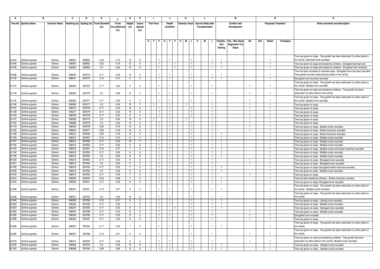|                | в                                |                    | C                | D                | E.                         |               | G                      | н                     | -1                      |              | J                  |                | К                    |                |    | L                          |              |                | М                    |              |      |                | N                         | 0                                                                            |
|----------------|----------------------------------|--------------------|------------------|------------------|----------------------------|---------------|------------------------|-----------------------|-------------------------|--------------|--------------------|----------------|----------------------|----------------|----|----------------------------|--------------|----------------|----------------------|--------------|------|----------------|---------------------------|------------------------------------------------------------------------------|
|                | Tree No. Species Name            | <b>Common Name</b> | Northing (m)     |                  | Easting (m) Trunk Diameter | Trunk         | Height                 | Crown                 | <b>Tree Form</b>        |              | <b>Health</b>      |                | <b>Amenity Value</b> |                |    | <b>Survival Rate after</b> |              |                | <b>Conflict with</b> |              |      |                | <b>Proposed Treatment</b> | Brief comments and description                                               |
|                |                                  |                    |                  |                  | (m)                        | Circumference | (m)                    | Spread                |                         |              | Condition          |                |                      |                |    | Transplantation            |              |                | Development          |              |      |                |                           |                                                                              |
|                |                                  |                    |                  |                  |                            | (m)           |                        | (m)                   |                         |              |                    |                |                      |                |    |                            |              |                |                      |              |      |                |                           |                                                                              |
|                |                                  |                    |                  |                  |                            |               |                        |                       |                         |              |                    |                |                      |                |    |                            |              |                |                      |              |      |                |                           |                                                                              |
|                |                                  |                    |                  |                  |                            |               |                        |                       | $G$ $F$ $P$ $G$ $F$ $P$ |              |                    |                | н.<br>M              |                | н. | м                          | L.           | Paritally      | Yes - New Road       | No           | Fell | Retain         | Transplant                |                                                                              |
|                |                                  |                    |                  |                  |                            |               |                        |                       |                         |              |                    |                |                      |                |    |                            |              | Soil           | Alignment/ Cut       |              |      |                |                           |                                                                              |
|                |                                  |                    |                  |                  |                            |               |                        |                       |                         |              |                    |                |                      |                |    |                            |              | Nailing        | Slope                |              |      |                |                           |                                                                              |
|                |                                  |                    |                  |                  |                            |               |                        |                       |                         |              |                    |                |                      |                |    |                            |              |                |                      |              |      |                |                           |                                                                              |
|                |                                  |                    |                  |                  |                            |               |                        |                       |                         |              |                    |                |                      |                |    |                            |              |                |                      |              |      |                |                           | Tree has grown on slope. Tree growth has been obstructed by other plants in  |
| A1044          | Schima superba                   | Schima             | 836061           | 836950           | 0.23                       | 0.72          | 12                     | - 6                   |                         |              |                    |                |                      |                |    |                            |              |                |                      |              |      | -1             |                           | the vicinity. Deformed trunk recorded                                        |
| A1045          | Schima superba                   | Schima             | 836061           | 836952           | 0.25                       | 0.79          | 12                     | - 6                   |                         |              |                    |                |                      |                |    |                            |              |                |                      |              |      |                |                           | Tree has grown on slope and twisted by climbers. Elongated leaning trunk     |
| A1046          | Schima superba                   | Schima             | 836062           | 836963           | 0.2                        | 0.63          | 13                     | 6                     |                         |              |                    | $\overline{1}$ |                      |                |    |                            |              |                |                      |              |      |                |                           | Tree has grown on slope and twisted by climbers. Elongated trunk recorded.   |
|                |                                  |                    |                  |                  |                            |               |                        |                       |                         |              |                    |                |                      |                |    |                            |              |                |                      |              |      |                |                           | Tree has been recorded on concrete slope. Elongated trunk has been recorded. |
| A1096          | Schima superba                   | Schima             | 836097           | 837015           | 0.17                       | 0.53          | 10                     | $\cdot$ 3             |                         |              |                    |                |                      |                |    |                            |              |                |                      |              |      |                |                           | Tree growth has been obstructed by plants in the vicinity                    |
| A1132          | Schima superba                   | Schima             | 836241           | 837075           | 0.15                       | 0.47          | 6                      | $\overline{2}$        |                         |              | $\mathbf{1}$       |                |                      |                |    |                            |              | $\overline{1}$ |                      |              |      | $\overline{1}$ |                           | Elongated trunk has been recorded.                                           |
|                |                                  |                    |                  |                  |                            |               |                        |                       |                         |              |                    |                |                      |                |    |                            |              |                |                      |              |      |                |                           | Free has grown on slope. Tree growth has been obstructed by other plants in  |
| A1147          | Schima superba                   | Schima             | 836264           | 837073           | 0.17                       | 0.53          | 6                      | $\overline{4}$        |                         |              |                    |                |                      |                |    |                            |              |                |                      |              |      | -1             |                           | the vicinity. Multiple trunk recorded.                                       |
|                |                                  |                    |                  |                  |                            |               |                        |                       |                         |              |                    |                |                      |                |    |                            |              |                |                      |              |      |                |                           | Tree has grown on slope and twisted by climbers. Tree growth has been        |
| A1149          | Schima superba                   | Schima             | 836262           | 837078           | 0.2                        | 0.63          | 10                     | $\overline{4}$        |                         |              |                    |                |                      |                |    |                            |              |                |                      |              |      |                |                           | obstructed by other plants in the vicinity.                                  |
|                |                                  |                    |                  |                  |                            |               |                        |                       |                         |              |                    |                |                      |                |    |                            |              |                |                      |              |      |                |                           | Tree has grown on slope. Tree growth has been obstructed by other plants in  |
| A1155          | Schima superba                   | Schima<br>Schima   | 836265<br>836269 | 837077<br>837077 | 0.17                       | 0.53          | 6                      | $\overline{4}$        |                         |              |                    |                |                      |                |    |                            |              |                |                      |              |      | -1             |                           | the vicinity. Multiple trunk recorded.                                       |
| A1156<br>A1157 | Schima superba                   | Schima             | 836274           | 837078           | 0.3<br>0.17                | 0.94<br>0.53  | 12<br>10 <sup>10</sup> | 6                     |                         |              | -1<br>$\mathbf{1}$ |                |                      |                |    |                            | $\mathbf{1}$ |                |                      |              |      |                |                           | Tree has grown on slope                                                      |
| A1158          | Schima superba<br>Schima superba | Schima             | 836277           | 837079           | 0.17                       | 0.53          | 10                     | 6                     |                         |              | $\mathbf{1}$       |                |                      |                |    |                            |              |                |                      |              |      |                |                           | Tree has grown on slope                                                      |
| A1159          | Schima superba                   | Schima             | 836278           | 837078           | 0.17                       | 0.53          |                        | -4                    |                         |              | -1                 |                |                      |                |    |                            |              |                |                      |              |      |                |                           | Tree has grown on slope.                                                     |
| A1161          | Schima superba                   | Schima             | 836283           | 837079           | 0.3                        | 0.94          | 8<br>13                | 8                     |                         |              | $\mathbf{1}$       |                |                      |                |    |                            |              |                |                      |              |      |                |                           | Tree has grown on slope.<br>Tree has grown on slope.                         |
| A1162          | Schima superba                   | Schima             | 836286           | 837079           | 0.3                        | 0.94          | 12                     | 6                     |                         |              | $\mathbf{1}$       |                |                      |                |    |                            |              |                |                      |              |      |                |                           | Tree has grown on slope.                                                     |
| A1178          | Schima superba                   | Schima             | 836303           | 837078           | 0.25                       | 0.79          | 10                     | -8                    |                         |              | $\overline{1}$     |                |                      |                |    |                            | -1.          |                |                      |              |      |                |                           | Tree has grown on slope. Multiple trunks recorded.                           |
| A1180          | Schima superba                   | Schima             | 836304           | 837077           | 0.25                       | 0.79          | 10                     | 6                     |                         |              | $\overline{1}$     |                |                      |                |    |                            | $\mathbf{1}$ |                |                      |              |      | -1             |                           | Tree has grown on slope. Broken branches recorded.                           |
| A1189          | Schima superba                   | Schima             | 836313           | 837069           | 0.25                       | 0.79          | 10                     | 5                     |                         |              | $\mathbf{1}$       |                |                      |                |    |                            |              |                |                      |              |      |                |                           | Free has grown on slope. Broken branches recorded.                           |
| A1190          | Schima superba                   | Schima             | 836313           | 837067           | 0.15                       | 0.47          | 8                      | 4                     |                         |              | $\mathbf{1}$       |                |                      |                |    |                            | $\mathbf{1}$ |                |                      |              |      | $\overline{1}$ |                           | Tree has grown on slope. Multiple trunks recorded.                           |
| A1191          | Schima superba                   | Schima             | 836314           | 837066           | 0.17                       | 0.53          | 10                     | $\overline{7}$        |                         |              | $\mathbf{1}$       |                |                      |                |    |                            |              | $\overline{1}$ |                      |              |      | $\mathbf{1}$   |                           | Tree has grown on slope. Multiple trunks recorded.                           |
| A1192          | Schima superba                   | Schima             | 836315           | 837063           | 0.17                       | 0.53          | 9                      | 6                     |                         |              | $\mathbf{1}$       |                |                      |                |    |                            |              |                |                      |              |      |                |                           | Tree has grown on slope. Multiple trunks recorded.                           |
| A1193          | Schima superba                   | Schima             | 836316           | 837061           | 0.15                       | 0.47          | $\overline{7}$         | $\mathbf{3}$          |                         |              | $\mathbf{1}$       |                |                      |                |    |                            | $\mathbf{1}$ |                |                      |              |      | $\mathbf{1}$   |                           | Tree has grown on slope. Multiple trunks and broken branches recorded        |
| A1194          | Schima superba                   | Schima             | 836316           | 837059           | 0.17                       | 0.53          | 8                      | 6                     |                         |              | $\mathbf{1}$       |                |                      |                |    |                            |              |                |                      |              |      | $\mathbf{1}$   |                           | Tree has grown on slope. Multiple trunks recorded.                           |
| A1195          | Schima superba                   | Schima             | 836315           | 837060           | 0.2                        | 0.63          | 8                      | 6                     |                         |              | $\mathbf{1}$       |                |                      |                |    |                            |              |                |                      |              |      |                |                           | Tree has grown on slope. Multiple trunks recorded.                           |
| A1200          | Schima superba                   | Schima             | 836313           | 837064           | 0.17                       | 0.53          | 9                      | $\overline{2}$        |                         |              | $\mathbf{1}$       |                |                      |                |    |                            |              |                |                      |              |      |                |                           | Tree has grown on slope. Elongated trunk recorded                            |
| A1201          | Schima superba                   | Schima             | 836312           | 837064           | 0.2                        | 0.63          | 11                     | $\overline{2}$        |                         |              | $\mathbf{1}$       |                |                      |                |    |                            |              |                |                      |              |      | $\mathbf{1}$   |                           | Tree has grown on slope. Elongated trunk recorded.                           |
| A1238          | Schima superba                   | Schima             | 836316           | 837055           | 0.17                       | 0.53          | 7                      | 5                     |                         |              | $\mathbf{1}$       |                |                      |                |    |                            |              |                |                      |              |      |                |                           | Tree has grown on slope. Elongated broken branches recorded.                 |
| A1239          | Schima superba                   | Schima             | 836316           | 837052           | 0.2                        | 0.63          | 8                      | 6                     |                         |              | $\mathbf{1}$       |                |                      |                |    |                            |              |                |                      |              |      |                |                           | Tree has grows on slope. Multiple trunks recorded                            |
| A1240          | Schima superba                   | Schima             | 836316           | 837050           | 0.17                       | 0.53          |                        | 5                     |                         |              | $\mathbf{1}$       |                |                      |                |    |                            |              |                |                      |              |      |                |                           | Tree has grows on slope.                                                     |
| A1244          | Schima superba                   | Schima             | 836326           | 837042           | 0.22                       | 0.69          | 7                      | 5                     |                         |              | -1                 |                |                      |                |    |                            |              |                |                      |              |      |                |                           | Tree has been twisted by climbers. Broken branches recorded.                 |
| A1245          | Schima superba                   | Schima             | 836329           | 837041           | 0.17                       | 0.53          | 8                      | 5                     |                         |              | $\overline{1}$     |                |                      |                |    |                            |              |                |                      |              |      |                |                           | Tree has grown on slope. Elongated trunk recorded                            |
|                |                                  |                    |                  |                  |                            |               |                        |                       |                         |              |                    |                |                      |                |    |                            |              |                |                      |              |      |                |                           | Tree has grown on slope. Tree growth has been obstructed by other plants in  |
| A1246          | Schima superba                   | Schima             | 836331           | 837041           | 0.15                       | 0.47          | -6                     | $\Delta$              |                         |              |                    |                |                      |                |    |                            |              | -1             |                      |              |      | -1             |                           | the vicinity. Multiple trunks recorded.                                      |
| A1248          |                                  |                    |                  | 837040           |                            |               | 10                     | $\boldsymbol{\kappa}$ |                         |              |                    |                |                      |                |    |                            |              |                |                      |              |      |                |                           | Tree has grown on slope. Tree growth has been obstructed by other plants in  |
| A1249          | Schima superba<br>Schima superba | Schima<br>Schima   | 836331<br>836336 | 837038           | 0.3<br>0.15                | 0.94<br>0.47  | 6                      | $\overline{2}$        | $\mathbf{1}$            |              | $\mathbf{1}$       |                |                      |                |    |                            | -1.          | -1             |                      |              |      | $\mathbf{1}$   |                           | the vicinity.<br>Tree has grown on slope. Leaning trunk recorded.            |
| A1253          | Schima superba                   | Schima             | 836345           | 837039           | 0.17                       | 0.53          | $\overline{7}$         | 5                     |                         | $\mathbf{1}$ | $\overline{1}$     |                |                      | $\overline{1}$ |    |                            | -1.          | -1             |                      |              |      | -1             |                           | Tree has grown on slope. Multiple trunks recorded.                           |
| A1254          | Schima superba                   | Schima             | 836347           | 837040           | 0.17                       | 0.53          | 6                      | 3                     |                         |              |                    |                |                      |                |    |                            |              |                |                      |              |      |                |                           | Tree has grown on slope. Damaged trunk recorded.                             |
| A1264          | Schima superba                   | Schima             | 836340           | 837036           | 0.17                       | 0.53          | -6                     | 5                     |                         |              | $\mathbf{1}$       |                |                      |                |    |                            |              |                |                      |              |      |                |                           | Tree has grown on slope. Multiple trunks recorded.                           |
| A1265          | Schima superba                   | Schima             | 836340           | 837036           | 0.17                       | 0.53          | 8                      | 3                     |                         |              | $\overline{1}$     |                |                      |                |    |                            |              |                |                      |              |      |                |                           | Elongated trunk recorded.                                                    |
| A1266          | Schima superba                   | Schima             | 836335           | 837037           | 0.17                       | 0.53          | 8                      | 6                     |                         |              | -1                 |                |                      |                |    |                            |              |                |                      |              |      |                |                           | Tree has grown on slope.                                                     |
|                |                                  |                    |                  |                  |                            |               |                        |                       |                         |              |                    |                |                      |                |    |                            |              |                |                      |              |      |                |                           | Tree has grown on slope. Tree growth has been obstructed by other plants in  |
| A1268          | Schima superba                   | Schima             | 836327           | 837040           | 0.17                       | 0.53          | $\overline{7}$         | -3                    |                         |              |                    |                |                      |                |    |                            |              |                |                      |              |      |                |                           | the vicinity.                                                                |
|                |                                  |                    |                  |                  |                            |               |                        |                       |                         |              |                    |                |                      |                |    |                            |              |                |                      |              |      |                |                           | Tree has grown on slope. Tree growth has been obstructed by other plants in  |
| A1269          | Schima superba                   | Schima             | 836327           | 837038           | 0.15                       | 0.47          | 6                      | $\mathbf{3}$          |                         |              |                    |                |                      |                |    |                            |              |                |                      |              |      | $\overline{1}$ |                           | the vicinity                                                                 |
|                |                                  |                    |                  |                  |                            |               |                        |                       |                         |              |                    |                |                      |                |    |                            |              |                |                      |              |      |                |                           | Tree has grown on slope and twisted by climbers. Tree growth has been        |
| A1278          | Schima superba                   | Schima             | 836314           | 837053           | 0.17                       | 0.53          |                        | $\lambda$             |                         |              |                    |                |                      |                |    |                            |              |                |                      | $\mathbf{1}$ |      |                |                           | obstructed by other plants in the vicinity. Multiple trunks recorded.        |
| A1302          | Schima superba                   | Schima             | 836366           | 837044           | 0.2                        | 0.63          | 10                     | 8                     |                         |              | $\mathbf{1}$       |                |                      |                |    |                            | $\mathbf{1}$ | $\overline{1}$ |                      |              |      | $\overline{1}$ |                           | Tree has grown on slope. Multiple trunks recorded                            |
| A1303          | Schima superba                   | Schima             | 836368           | 837046           | 0.28                       | 0.88          | 12                     | 8                     |                         |              |                    |                |                      |                |    |                            |              |                |                      |              |      |                |                           | Tree has grown on slope. Multiple trunks recorded.                           |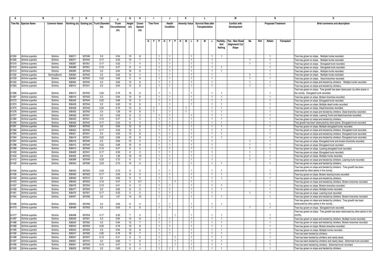|                | в                                |                    | C                | D                | E.                                      |               | G              | н                    |                  |                           | J                            |  | Κ                    |                                | L.                         |              |  |                   | М                                |                |      | N                         |            | 0                                                                                                       |
|----------------|----------------------------------|--------------------|------------------|------------------|-----------------------------------------|---------------|----------------|----------------------|------------------|---------------------------|------------------------------|--|----------------------|--------------------------------|----------------------------|--------------|--|-------------------|----------------------------------|----------------|------|---------------------------|------------|---------------------------------------------------------------------------------------------------------|
|                | Tree No. Species Name            | <b>Common Name</b> |                  |                  | Northing (m) Easting (m) Trunk Diameter | Trunk         | Height         | Crown                | <b>Tree Form</b> |                           | Health                       |  | <b>Amenity Value</b> |                                | <b>Survival Rate after</b> |              |  |                   | <b>Conflict with</b>             |                |      | <b>Proposed Treatment</b> |            | Brief comments and description                                                                          |
|                |                                  |                    |                  |                  | (m)                                     | Circumference | (m)            | Spread               |                  |                           | Condition                    |  |                      |                                | Transplantation            |              |  |                   | Development                      |                |      |                           |            |                                                                                                         |
|                |                                  |                    |                  |                  |                                         | (m)           |                | (m)                  |                  |                           |                              |  |                      |                                |                            |              |  |                   |                                  |                |      |                           |            |                                                                                                         |
|                |                                  |                    |                  |                  |                                         |               |                |                      |                  |                           |                              |  |                      |                                |                            |              |  |                   |                                  |                |      |                           |            |                                                                                                         |
|                |                                  |                    |                  |                  |                                         |               |                |                      |                  |                           |                              |  |                      |                                |                            |              |  |                   |                                  |                |      |                           |            |                                                                                                         |
|                |                                  |                    |                  |                  |                                         |               |                |                      |                  | G   F   P   G   F   P   H |                              |  |                      | MLIH                           | M                          |              |  | Paritally<br>Soil | Yes - New Road<br>Alignment/ Cut | No             | Fell | Retain                    | Transplant |                                                                                                         |
|                |                                  |                    |                  |                  |                                         |               |                |                      |                  |                           |                              |  |                      |                                |                            |              |  | Nailing           | Slope                            |                |      |                           |            |                                                                                                         |
|                |                                  |                    |                  |                  |                                         |               |                |                      |                  |                           |                              |  |                      |                                |                            |              |  |                   |                                  |                |      |                           |            |                                                                                                         |
| A1304          | Schima superba                   | Schima             | 836371           | 837046           | 0.3                                     | 0.94          | 13             |                      |                  |                           | $\mathbf{1}$                 |  |                      | $\overline{1}$                 |                            |              |  |                   |                                  |                |      |                           |            | Tree has grown on slope. Multiple trunks recorded                                                       |
| A1305          | Schima superba                   | Schima             | 836371           | 837044           | 0.17                                    | 0.53          | 12             | 7                    | $\overline{1}$   |                           | $\mathbf{1}$                 |  |                      | $\overline{1}$                 |                            |              |  |                   |                                  | $\overline{1}$ |      |                           |            | ree has grown on slope. Multiple trunks recorded.                                                       |
| A1310          | Schima superba                   | Schima             | 836387           | 837051           | 0.17                                    | 0.53          | $\overline{7}$ | $\overline{4}$       |                  |                           | $\mathbf{1}$                 |  |                      | $\mathbf{1}$                   |                            |              |  |                   |                                  | -1             |      |                           |            | Free has grown on slope. Elongated trunk recorded                                                       |
| A1312          | Schima superba                   | Schima             | 836389           | 837051           | 0.15                                    | 0.47          | 8              | $\overline{4}$       |                  |                           | $\mathbf{1}$                 |  |                      | $\mathbf{1}$                   |                            |              |  |                   |                                  |                |      |                           |            | Free has grown on slope. Elongated trunk recorded.                                                      |
| A1314          | Schima superba                   | Schima             | 836390           | 837053           | 0.3                                     | 0.94          | 16             | 8                    |                  |                           | $\mathbf{1}$                 |  |                      | $\overline{1}$                 |                            |              |  |                   |                                  |                |      |                           |            | ree has grown on slope. Multiple trunks recorded.                                                       |
| A1332          | Schima superba                   | Schima(Burnt       | 836364           | 837042           | 0.2                                     | 0.63          | 12             | $\overline{4}$       |                  |                           | $\mathbf{1}$                 |  |                      | $\mathbf{1}$                   |                            |              |  |                   |                                  | -1             |      |                           |            | Free has grown on slope. Multiple trunks recorded                                                       |
| A1333          | Schima superba                   | Schima             | 836364           | 837043           | 0.22                                    | 0.69          | $\mathbf{q}$   | $\mathbf{R}$         |                  |                           | $\mathbf{1}$                 |  |                      | $\overline{1}$                 |                            |              |  |                   |                                  | $\mathbf{1}$   |      |                           |            | ree has grown on slope. Dead branches recorded                                                          |
| A1334          | Schima superba                   | Schima             | 836364           | 837042           | 0.2                                     | 0.63          | 12             | $\mathbf{R}$         |                  |                           | $\mathbf{1}$                 |  |                      | $\mathbf{1}$                   |                            |              |  |                   |                                  |                |      |                           |            | ree has grown on slope and twisted by climbers. Multiple trunks recorded                                |
| A1363          | Schima superba                   | Schima             | 836410           | 837041           | 0.3                                     | 0.94          | 14             | 8                    | $\overline{1}$   |                           | $\mathbf{1}$                 |  |                      | $\mathbf{1}$                   |                            | -1           |  |                   |                                  | $\mathbf{1}$   |      |                           |            | Tree has grown on slope and twisted by climbers                                                         |
|                |                                  |                    |                  |                  |                                         |               |                |                      |                  |                           |                              |  |                      |                                |                            |              |  |                   |                                  |                |      |                           |            | Tree has grown on slope. Tree growth has been obstructed by other plants in                             |
| A1366          | Schima superba                   | Schima             | 836414           | 837042           | 0.25                                    | 0.79          | 15             |                      |                  |                           |                              |  |                      |                                |                            |              |  |                   |                                  |                |      | -1                        |            | the vicinity. Elongated trunk recorded.                                                                 |
| A1367          | Schima superba                   | Schima             | 836416           | 837043           | 0.3                                     | 0.94          | 13             | 8                    |                  |                           | $\mathbf{1}$                 |  |                      | $\mathbf{1}$                   |                            |              |  |                   |                                  |                |      |                           |            | Free has grown on slope. Broken branches recorded.                                                      |
| A1373          | Schima superba                   | Schima             | 836425           | 837044           | 0.22                                    | 0.69          | 10             | 5                    |                  |                           | $\mathbf{1}$                 |  |                      | $\mathbf{1}$                   |                            |              |  |                   |                                  |                |      |                           |            | Free has grown on slope. Elongated trunk recorded                                                       |
| A1374          | Schima superba                   | Schima             | 836426           | 837044           | 0.2                                     | 0.63          | 12             | -6                   |                  |                           | $\mathbf{1}$                 |  |                      | $\mathbf{1}$                   |                            |              |  |                   |                                  |                |      |                           |            | Free has grown on slope. Multiple dead trunks recorded.                                                 |
| A1375          | Schima superba                   | Schima             | 836428           | 837043           | 0.25                                    | 0.79          | 10             | 6                    |                  |                           | $\mathbf{1}$                 |  |                      |                                |                            |              |  |                   |                                  |                |      |                           |            | Free has grown on slope. Dead branches recorded.                                                        |
| A1376          | Schima superba                   | Schima             | 836430           | 837042           | 0.4                                     | 1.26          | 14             | 8                    |                  |                           | $\mathbf{1}$                 |  | 1.                   |                                |                            |              |  |                   |                                  |                |      |                           |            | ree has grown on slope and twisted by climbers. Dead branches recorded.                                 |
| A1377          | Schima superba                   | Schima             | 836428           | 837041           | 0.2                                     | 0.63          | 8              | 3                    |                  |                           | $\mathbf{1}$                 |  |                      | -1                             |                            |              |  |                   |                                  |                |      |                           |            | Free has grown on slope. Leaning Trunk and dead branches recorded.                                      |
| A1380          | Schima superba                   | Schima             | 836433           | 837041           | 0.15                                    | 0.47          | $\mathsf{R}$   | $\overline{2}$       |                  |                           | $\mathbf{1}$                 |  |                      | $\overline{1}$                 |                            |              |  |                   |                                  |                |      |                           |            | ree has grown on slope and twisted by climbers                                                          |
| A1390          | Schima superba                   | Schima             | 836426           | 837042           | 0.17                                    | 0.53          | 8              | $\cdot$ <sub>3</sub> |                  |                           | $\mathbf{1}$                 |  |                      | $\mathbf{1}$                   |                            |              |  |                   |                                  |                |      |                           |            | ree growth has been obstructed by other plants. Elongated trunk recorded.                               |
| A1391          | Schima superba                   | Schima             | 836424           | 837042           | 0.2                                     | 0.63          | 12             | 8                    |                  |                           | $\mathbf{1}$                 |  |                      | $\mathbf{1}$                   |                            |              |  |                   |                                  |                |      |                           |            | Free has grown on slope. Multiple elongated trunks recorded                                             |
| A1392          | Schima superba                   | Schima             | 836422           | 837042           | 0.17                                    | 0.53          | 12             | $\overline{5}$       |                  |                           | $\mathbf{1}$                 |  |                      | $\mathbf{1}$                   |                            |              |  |                   |                                  |                |      |                           |            | ree has grown on slope and twisted by climbers. Elongated trunk recorded                                |
| A1393          | Schima superba                   | Schima             | 836421           | 837041           | 0.2                                     | 0.63          | 13             | R                    |                  |                           | $\mathbf{1}$                 |  |                      | $\mathbf{1}$                   |                            |              |  |                   |                                  |                |      |                           |            | Free has grown on slope and twisted by climbers. Elongated trunk recorded.                              |
| A1394          | Schima superba                   | Schima             | 836419           | 837041           | 0.22                                    | 0.69          | 15             | 8                    | $\mathbf{1}$     |                           | $\mathbf{1}$                 |  |                      | $\overline{1}$                 |                            |              |  |                   |                                  |                |      |                           |            | Free has grown on slope and twisted by climbers. Elongated trunk recorded.                              |
| A1397          | Schima superba                   | Schima             | 836416           | 837040           | 0.2                                     | 0.63          | 12             | $\mathbf{3}$         | -1               |                           | $\overline{1}$               |  |                      | $\overline{1}$                 |                            | -1           |  |                   |                                  | -1             |      | $\overline{1}$            |            | Tree has grown on slope. Elongated trunk and broken branches recorded.                                  |
| A1398          | Schima superba                   | Schima             | 836415           | 837040           | 0.22                                    | 0.69          | 15             | 6<br>$\overline{4}$  | $\overline{1}$   |                           | $\mathbf{1}$                 |  |                      | $\mathbf{1}$                   |                            |              |  |                   |                                  |                |      |                           |            | Free has grown on slope. Elongated trunk recorded                                                       |
| A1399<br>A1402 | Schima superba                   | Schima<br>Schima   | 836415<br>836409 | 837040<br>837041 | 0.15<br>0.17                            | 0.47<br>0.53  | 9              |                      |                  |                           | $\mathbf{1}$<br>$\mathbf{1}$ |  |                      | $\overline{1}$<br>$\mathbf{1}$ |                            |              |  |                   |                                  | $\overline{1}$ |      |                           |            | Tree has grown on slope. Leaning elongated trunk recorded.                                              |
| A1404          | Schima superba<br>Schima superba | Schima             | 836405           | 837043           | 0.4                                     | 1.26          | 8<br>16        | 3<br>13              |                  |                           | $\mathbf{1}$                 |  |                      | -1.                            |                            |              |  |                   |                                  |                |      | л.                        |            | Free has grown on slope. Elongated trunk recorded<br>Free has grown on slope. Multiple trunks recorded. |
| A1412          | Schima superba                   | Schima             | 836399           | 837049           | 0.23                                    | 0.72          | 6              | -5                   | $\overline{1}$   |                           | $\mathbf{1}$                 |  |                      | $\overline{1}$                 |                            | $\mathbf{1}$ |  |                   |                                  | $\overline{1}$ |      |                           |            | Tree has grown on slope and twisted by climbers. Leaning trunk recorded.                                |
| A1432          | Schima superba                   | Schima             | 836452           | 837026           | 0.23                                    | 0.72          | 12             | 5                    | $\mathbf{1}$     |                           | $\mathbf{1}$                 |  |                      | $\mathbf{1}$                   |                            | $\mathbf{1}$ |  | 1                 |                                  |                |      |                           |            | ree has grown on slope and twisted by climbers.                                                         |
|                |                                  |                    |                  |                  |                                         |               |                |                      |                  |                           |                              |  |                      |                                |                            |              |  |                   |                                  |                |      |                           |            | Tree has grown on slope and twisted by climbers. Tree growth has been                                   |
| A1434          | Schima superba                   | Schima             | 836453           | 837024           | 0.23                                    | 0.72          | $\mathbf{q}$   | $\mathbf{B}$         |                  |                           |                              |  |                      |                                |                            |              |  |                   |                                  |                |      | $\mathbf{1}$              |            | obstructed by other plants in the vicinity                                                              |
| A1435          | Schima superba                   | Schima             | 836455           | 837023           | 0.17                                    | 0.53          | 6              | $\overline{c}$       |                  |                           | $\mathbf{1}$                 |  |                      | $\mathbf{1}$                   |                            |              |  |                   |                                  |                |      |                           |            | Free has grown on slope. Broken leaning trunks recorded                                                 |
| A1440          | Schima superba                   | Schima             | 836463           | 837015           | 0.2                                     | 0.63          | 8              | -5                   | -1               |                           | 1.                           |  |                      | $\overline{1}$                 |                            |              |  |                   |                                  |                |      |                           |            | Free has grown on slope and twisted by climbers                                                         |
| A1443          | Schima superba                   | Schima             | 836453           | 837023           | 0.15                                    | 0.47          | 3              | 0.7                  |                  |                           |                              |  |                      | $\mathbf{1}$                   |                            |              |  |                   |                                  | $\mathbf{1}$   |      |                           |            | Free has grown on slope and twisted by climbers. Broken branches recorded.                              |
| A1457          | Schima superba                   | Schima             | 836476           | 837004           | 0.13                                    | 0.41          | 6              | 3                    |                  |                           | $\mathbf{1}$                 |  |                      | $\mathbf{1}$                   |                            |              |  |                   |                                  |                |      |                           |            | Free has grown on slope. Broken branches recorded.                                                      |
| A1458          | Schima superba                   | Schima             | 836477           | 837003           | 0.2                                     | 0.63          | 8              | $\mathbf{3}$         | $\overline{1}$   |                           | $\mathbf{1}$                 |  |                      | $\overline{1}$                 |                            |              |  |                   |                                  |                |      |                           |            | Free has grown on slope. Multiple trunks recorded                                                       |
| A1461          | Schima superba                   | Schima             | 836470           | 837001           | 0.17                                    | 0.53          | 5              | -5                   | -1               |                           | $\mathbf{1}$                 |  |                      | $\mathbf{1}$                   |                            |              |  |                   |                                  | -1             |      |                           |            | Tree has grown on slope. Leaning trunk recorded.                                                        |
| A1464          | Schima superba                   | Schima             | 836491           | 837006           | 0.5                                     | 1.57          | 14             | 10 <sup>10</sup>     |                  |                           | $\mathbf{1}$                 |  |                      | $\overline{1}$                 |                            |              |  |                   |                                  |                |      |                           |            | Free has grown on slope and twisted by climbers. Broken branches recorded.                              |
|                |                                  |                    |                  |                  |                                         |               |                |                      |                  |                           |                              |  |                      |                                |                            |              |  |                   |                                  |                |      |                           |            | Tree has grown on slope and twisted by climbers. Tree growth has been                                   |
| A1466          | Schima superba                   | Schima             | 836500           | 837006           | 0.2                                     | 0.63          |                | $\Delta$             |                  |                           |                              |  |                      |                                |                            |              |  |                   |                                  |                |      |                           |            | obstructed by other plants in the vicinity                                                              |
| A1473          | Schima superba                   | Schima             | 836489           | 837003           | 0.2                                     | 0.63          | 6              | 6                    |                  |                           | $\mathbf{1}$                 |  |                      | $\mathbf{1}$                   |                            |              |  |                   |                                  | $\mathbf{1}$   |      | $\mathbf{1}$              |            | Tree has grown on slope. Elongated trunk recorded.                                                      |
|                |                                  |                    |                  |                  |                                         |               |                |                      |                  |                           |                              |  |                      |                                |                            |              |  |                   |                                  |                |      |                           |            | Tree has grown on slope. Tree growth has been obstructed by other plants in the                         |
| A1477          | Schima superba                   | Schima             | 836498           | 837004           | 0.17                                    | 0.53          | $\overline{7}$ | $\Delta$             |                  |                           |                              |  |                      |                                |                            |              |  |                   |                                  |                |      |                           |            | <i>r</i> icinitv                                                                                        |
| A1487          | Schima superba                   | Schima             | 836539           | 837001           | 0.3                                     | 0.94          | 14             | 8                    |                  |                           | $\mathbf{1}$                 |  |                      | $\overline{1}$                 |                            |              |  |                   |                                  |                |      |                           |            | Free has grown on slope and twisted by climbers. Multiple trunks recorded.                              |
| A1488          | Schima superba                   | Schima             | 836542           | 837002           | 0.3                                     | 0.94          | 12             | $\overline{7}$       |                  |                           | $\mathbf{1}$                 |  |                      | $\mathbf{1}$                   |                            |              |  |                   |                                  |                |      |                           |            | Free has grown on slope and twisted by climbers. Broken branches recorded.                              |
| A1489          | Schima superba                   | Schima             | 836542           | 837004           | 0.25                                    | 0.79          | 13             | $\mathbf{R}$         |                  |                           | $\mathbf{1}$                 |  |                      | $\mathbf{1}$                   |                            |              |  |                   |                                  |                |      |                           |            | ree has grown on slope. Broken branches recorded.                                                       |
| A1490          | Schima superba                   | Schima             | 836545           | 837004           | 0.3                                     | 0.94          | 13             | 8                    | $\overline{1}$   |                           | $\mathbf{1}$                 |  |                      | $\overline{1}$                 |                            |              |  |                   |                                  |                |      |                           |            | Free has grown on slope. Multiple trunks recorded                                                       |
| A1492          | Schima superba                   | Schima             | 836547           | 837005           | 0.25                                    | 0.79          | 10             |                      |                  |                           | $\mathbf{1}$                 |  |                      | $\mathbf{1}$                   |                            |              |  |                   |                                  |                |      |                           |            | Tree has been twisted by climbers.                                                                      |
| A1496          | Schima superba                   | Schima             | 836557           | 837007           | 0.13                                    | 0.41          | 6              | -5                   |                  |                           |                              |  |                      | $\overline{1}$                 |                            |              |  |                   |                                  |                |      |                           |            | Free has been twisted by climbers and nearly dead.                                                      |
| A1497          | Schima superba                   | Schima             | 836561           | 837010           | 0.2                                     | 0.63          | $\overline{7}$ | -6                   | $\overline{1}$   |                           | $\overline{1}$               |  |                      | $\vert$ 1                      |                            |              |  | 1                 |                                  |                |      |                           |            | Tree has been twisted by climbers and nearly dead. Deformed trunk recorded.                             |
| A1499<br>A1500 | Schima superba<br>Schima superba | Schima<br>Schima   | 836561<br>836529 | 837009<br>837003 | 0.15<br>0.2                             | 0.47<br>0.63  | 6              | 3<br>$\overline{4}$  | -1               |                           | $\overline{1}$               |  |                      | $\mathbf{1}$                   |                            |              |  | -1                |                                  |                |      | $\mathbf{1}$              |            | Tree has been twisted by climbers. Deformed trunk recorded.                                             |
|                |                                  |                    |                  |                  |                                         |               | 6              |                      |                  |                           |                              |  |                      |                                |                            |              |  |                   |                                  |                |      |                           |            | Tree has grown on slope and twisted by climbers.                                                        |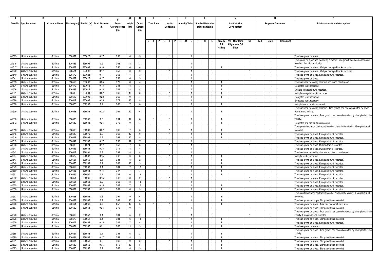|                | в                     |                         | C                | D                | Е.                                      | Е             | G              | н                   | J.                      |                      |  | J                            |  | к                    |                              |    | L                          |    |                   | М                    |                |      | N                         |            | 0                                                                                             |
|----------------|-----------------------|-------------------------|------------------|------------------|-----------------------------------------|---------------|----------------|---------------------|-------------------------|----------------------|--|------------------------------|--|----------------------|------------------------------|----|----------------------------|----|-------------------|----------------------|----------------|------|---------------------------|------------|-----------------------------------------------------------------------------------------------|
|                | Tree No. Species Name | <b>Common Name</b>      |                  |                  | Northing (m) Easting (m) Trunk Diameter | Trunk         | Height         | Crown               |                         | <b>Tree Form</b>     |  | Health                       |  | <b>Amenity Value</b> |                              |    | <b>Survival Rate after</b> |    |                   | <b>Conflict with</b> |                |      | <b>Proposed Treatment</b> |            | <b>Brief comments and description</b>                                                         |
|                |                       |                         |                  |                  | (m)                                     | Circumference | (m)            | Spread              |                         |                      |  | Condition                    |  |                      |                              |    | Transplantation            |    |                   | Development          |                |      |                           |            |                                                                                               |
|                |                       |                         |                  |                  |                                         | (m)           |                | (m)                 |                         |                      |  |                              |  |                      |                              |    |                            |    |                   |                      |                |      |                           |            |                                                                                               |
|                |                       |                         |                  |                  |                                         |               |                |                     |                         |                      |  |                              |  |                      |                              |    |                            |    |                   |                      |                |      |                           |            |                                                                                               |
|                |                       |                         |                  |                  |                                         |               |                |                     | $G$ $F$ $P$ $G$ $F$ $P$ |                      |  |                              |  |                      | IL.                          |    | M                          |    |                   | Yes - New Road       |                |      |                           |            |                                                                                               |
|                |                       |                         |                  |                  |                                         |               |                |                     |                         |                      |  |                              |  | HIM                  |                              | H. |                            | L. | Paritally<br>Soil | Alignment/ Cut       | No             | Fell | Retain                    | Transplant |                                                                                               |
|                |                       |                         |                  |                  |                                         |               |                |                     |                         |                      |  |                              |  |                      |                              |    |                            |    | Nailing           | Slope                |                |      |                           |            |                                                                                               |
|                |                       |                         |                  |                  |                                         |               |                |                     |                         |                      |  |                              |  |                      |                              |    |                            |    |                   |                      |                |      |                           |            |                                                                                               |
| A1503          | Schima superba        | Schima                  | 836559           | 837020           | 0.17                                    | 0.53          | -6             | $\cdot$ 3           |                         | $\overline{1}$       |  | $\mathbf{1}$                 |  |                      | $\mathbf{1}$                 |    |                            |    |                   |                      | $\overline{1}$ |      |                           |            | Free has grown on slope.                                                                      |
|                |                       |                         |                  |                  |                                         |               |                |                     |                         |                      |  |                              |  |                      |                              |    |                            |    |                   |                      |                |      |                           |            | ree grown on slope and twisted by climbers. Tree growth has been obstructed                   |
| A1515          | Schima superba        | Schima                  | 836533           | 836999           | 0.2                                     | 0.63          | $\mathsf{R}$   | $\mathbf{B}$        |                         |                      |  |                              |  |                      |                              |    |                            |    |                   |                      |                |      |                           |            | by other plants in the vicinity.                                                              |
| A1517          | Schima superba        | Schima                  | 836529           | 837003           | 0.16                                    | 0.50          | 6              | $\overline{a}$      |                         |                      |  |                              |  |                      |                              |    |                            |    |                   |                      |                |      |                           |            | Tree has grown on slope. Multiple damaged trunks recorded.                                    |
| A1520          | Schima superba        | Schima                  | 836521           | 837002           | 0.17                                    | 0.53          | 8              | -6                  |                         |                      |  | $\mathbf{1}$                 |  |                      |                              |    |                            |    |                   |                      |                |      |                           |            | Free has grown on slope. Multiple damaged trunks recorded.                                    |
| A1540          | Schima superba        | Schima                  | 836570           | 837024           | 0.17                                    | 0.53          | 7              | -3                  |                         |                      |  | 1.                           |  |                      | $\mathbf{1}$                 |    |                            |    |                   |                      |                |      |                           |            | Tree has grown on slope. Elongated trunk recorded.                                            |
| A1541          | Schima superba        | <b>Schima</b>           | 836569           | 837025           | 0.17                                    | 0.53          | 6              | 3                   |                         |                      |  |                              |  |                      | $\overline{1}$               |    |                            |    |                   |                      |                |      |                           |            | Tree has grown on slope                                                                       |
| A1553          | Schima superba        | Schima                  | 836559           | 837006           | 0.25                                    | 0.79          | 8              | $\overline{4}$      |                         |                      |  |                              |  |                      | $\mathbf{1}$                 |    |                            |    | $\mathbf{1}$      |                      |                |      |                           |            | Tree has been twisted by climbers and found nearly dead.                                      |
| A1574          | Schima superba        | Schima                  | 836579           | 837015           | 0.13                                    | 0.41          | 8              | -3                  |                         | -1                   |  | $\mathbf{1}$                 |  |                      | $\mathbf{1}$                 |    |                            |    | 1                 |                      |                |      |                           |            | Elongated trunk recorded.                                                                     |
| A1576          | Schima superba        | Schima                  | 836583           | 837014           | 0.15                                    | 0.47          | 8              | $\overline{4}$      |                         |                      |  |                              |  |                      | $\mathbf{1}$                 |    |                            |    | -1                |                      |                |      | $\mathbf{1}$              |            | Multiple elongated trunk recorded                                                             |
| A1591          | Schima superba        | Schima                  | 836609           | 837004           | 0.22                                    | 0.69          | 10             | 8                   |                         |                      |  |                              |  |                      |                              |    |                            |    |                   |                      |                |      |                           |            | Multiple elongated trunks recorded.                                                           |
| A1595          | Schima superba        | Schima                  | 836613           | 837002           | 0.22                                    | 0.69          | 9              |                     |                         | $\overline{1}$       |  | 1                            |  |                      | $\mathbf{1}$                 |    |                            |    | -1                |                      |                |      |                           |            | Elongated trunk recorded.                                                                     |
| A1596          | Schima superba        | Schima                  | 836612           | 837002           | 0.25                                    | 0.79          | 13             | 8                   |                         | $\overline{1}$       |  | $\mathbf{1}$                 |  |                      | $\mathbf{1}$                 |    |                            |    |                   |                      | -1             |      | $\mathbf{1}$              |            | Elongated trunk recorded                                                                      |
| A1608          | Schima superba        | Schima                  | 836626           | 836990           | 0.2                                     | 0.63          | $\overline{7}$ | -6                  |                         |                      |  |                              |  |                      | $\mathbf{1}$                 |    |                            |    |                   |                      |                |      |                           |            | Multiple broken trunks recorded.                                                              |
|                |                       |                         |                  |                  |                                         |               |                |                     |                         |                      |  |                              |  |                      |                              |    |                            |    |                   |                      |                |      |                           |            | Tree has been twisted by climbers. Tree growth has been obstructed by other                   |
| A1609          | Schima superba        | Schima                  | 836628           | 836988           | 0.22                                    | 0.69          | 10             | -6                  |                         |                      |  |                              |  |                      |                              |    |                            |    | -1                |                      |                |      | $\mathbf{1}$              |            | plants in the vicinity.                                                                       |
|                |                       |                         |                  |                  |                                         |               |                |                     |                         |                      |  |                              |  |                      |                              |    |                            |    |                   |                      |                |      |                           |            | Tree has grown on slope. Tree growth has been obstructed by other plants in the               |
| A1610          | Schima superba        | Schima                  | 836630           | 836986           | 0.3                                     | 0.94          | 12             | 8<br>$\overline{7}$ |                         |                      |  |                              |  |                      |                              |    |                            |    | $\overline{1}$    |                      |                |      | $\mathbf{1}$              |            | vicinitv                                                                                      |
| A1612          | Schima superba        | Schima                  | 836632           | 836983           | 0.25                                    | 0.79          | 9              |                     |                         | $\overline{1}$       |  | $\mathbf{1}$                 |  |                      | $\mathbf{1}$                 |    |                            |    | $\overline{1}$    |                      |                |      | $\mathbf{1}$              |            | Elongated and broken trunk recorded.                                                          |
| A1613          | Schima superba        | Schima                  | 836636           | 836981           | 0.22                                    | 0.69          | $\overline{7}$ | -6                  |                         |                      |  |                              |  |                      |                              |    |                            |    |                   |                      |                |      | -1                        |            | Tree growth has been obstructed by other plants in the vicinity. Elongated trunk<br>recorded. |
| A1615          | Schima superba        | Schima                  | 836649           | 836970           | 0.2                                     | 0.63          | 12             | 6                   |                         | $\overline{1}$       |  | $\mathbf{1}$                 |  |                      | $\mathbf{1}$                 |    |                            |    | $\mathbf{1}$      |                      |                |      |                           |            | Tree has grown on slope. Elongated trunk recorded.                                            |
| A1616          | Schima superba        | Schima                  | 836648           | 836969           | 0.2                                     | 0.63          | 10             | 5                   |                         | $\overline{1}$       |  | $\mathbf{1}$                 |  |                      | $\mathbf{1}$                 |    |                            |    | 1                 |                      |                |      | 1                         |            | Tree has grown on slope. Elongated trunk recorded.                                            |
| A1619          | Schima superba        | <b>Schima</b>           | 836647           | 836968           | 0.17                                    | 0.53          | 12             | $\overline{7}$      |                         | $\blacksquare$       |  | $\mathbf{1}$                 |  |                      | $\mathbf{1}$                 |    |                            |    |                   |                      | $\overline{1}$ |      | $\overline{1}$            |            | Tree has grown on slope. Elongated trunk recorded.                                            |
| A1626          | Schima superba        | Schima                  | 836638           | 836974           | 0.17                                    | 0.53          |                | 8                   |                         |                      |  | $\mathbf{1}$                 |  |                      | $\mathbf{1}$                 |    |                            |    |                   |                      |                |      |                           |            | Tree has grown on slope. Multiple trunks recorded.                                            |
| A1641          | Schima superba        | Schima                  | 836623           | 836988           | 0.25                                    | 0.79          | 8              | $\overline{4}$      |                         | $\overline{1}$       |  | $\mathbf{1}$                 |  |                      | $\mathbf{1}$                 |    |                            |    |                   |                      | $\overline{1}$ |      |                           |            | Tree has grown on slope. Multiple trunks recorded                                             |
| A1642          | Schima superba        | Schima                  | 836619           | 836991           | 0.3                                     | 0.94          | 8              | 8                   |                         | $\overline{1}$       |  |                              |  |                      | $\overline{1}$               |    |                            |    |                   |                      | $\mathbf{1}$   |      | $\mathbf{1}$              |            | Tree has been twisted by climbers and found nearly dead.                                      |
| A1644          | Schima superba        | Schima                  | 836627           | 836987           | 0.15                                    | 0.47          | 6              | $\mathbf{3}$        |                         | $\mathbf{1}$         |  |                              |  |                      | $\mathbf{1}$                 |    |                            |    |                   |                      |                |      |                           |            | Multiple trunks recorded.                                                                     |
| A1647          | Schima superba        | Schima                  | 836651           | 836969           | 0.1                                     | 0.31          | -8             | $\overline{2}$      |                         | $\blacksquare$       |  | $\mathbf{1}$                 |  |                      | $\mathbf{1}$                 |    |                            |    | $\mathbf{1}$      |                      |                |      | $\mathbf{1}$              |            | Tree has grown on slope. Elongated trunk recorded.                                            |
| A1648          | Schima superba        | Schima                  | 836653           | 836969           | 0.2                                     | 0.63          | 10             | -5                  |                         | $\overline{1}$       |  | $\mathbf{1}$                 |  |                      | $\mathbf{1}$                 |    |                            |    | $\mathbf{1}$      |                      |                |      |                           |            | Free has grown on slope. Elongated trunk recorded.                                            |
| A1649          | Schima superba        | Schima                  | 836652           | 836968           | 0.1                                     | 0.31          | $\overline{7}$ | 1.5                 |                         | -1                   |  | 1.                           |  |                      | $\mathbf{1}$                 |    |                            |    |                   |                      |                |      |                           |            | Tree has grown on slope. Elongated trunk recorded.                                            |
| A1650          | Schima superba        | Schima                  | 836655           | 836968           | 0.15                                    | 0.47          | $\overline{7}$ | -3                  |                         | $\overline{1}$       |  | $\mathbf{1}$                 |  |                      |                              |    |                            |    | $\mathbf{1}$      |                      |                |      |                           |            | Tree has grown on slope. Elongated trunk recorded.                                            |
| A1651          | Schima superba        | Schima                  | 836655           | 836967           | 0.1                                     | 0.31          | 6              | 1.5                 |                         | -1                   |  | $\mathbf{1}$                 |  |                      |                              |    |                            |    |                   |                      |                |      |                           |            | Free has grown on slope. Elongated trunk recorded.                                            |
| A1652          | Schima superba        | Schima                  | 836654           | 836966           | 0.15                                    | 0.47          | 8              | $\overline{2}$      |                         |                      |  | 1.                           |  |                      | 1                            |    |                            |    |                   |                      |                |      |                           |            | Tree has grown on slope. Elongated trunk recorded.                                            |
| A1654          | Schima superba        | <b>Schima</b><br>Schima | 836651           | 836968<br>836969 | 0.2                                     | 0.63<br>0.47  | 8              | 1.5                 |                         | $\overline{1}$       |  | $\mathbf{1}$<br>$\mathbf{1}$ |  |                      | $\overline{1}$               |    |                            |    | 1                 |                      |                |      |                           |            | Free has grown on slope. Elongated trunk recorded.                                            |
| A1655<br>A1656 | Schima superba        | <b>Schima</b>           | 836656<br>836657 | 836969           | 0.15<br>0.22                            | 0.69          | 7<br>-8        | 1.5<br>-5           |                         | $\overline{1}$<br>-1 |  | 1                            |  |                      | $\mathbf{1}$<br>$\mathbf{1}$ |    |                            |    |                   |                      |                |      |                           |            | Free has grown on slope. Elongated trunk recorded.                                            |
|                | Schima superba        |                         |                  |                  |                                         |               |                |                     |                         |                      |  |                              |  |                      |                              |    |                            |    |                   |                      |                |      |                           |            | Tree has grown on slope. Elongated trunk recorded.                                            |
| A1657          | Schima superba        | Schima                  | 836658           | 836968           | 0.3                                     | 0.94          | 9              |                     |                         |                      |  |                              |  |                      |                              |    |                            |    |                   |                      |                |      |                           |            | Tree growth has been obstructed by other plants in the vicinity. Elongated trunk<br>recorded. |
| A1658          | Schima superba        | Schima                  | 836657           | 836965           | 0.2                                     | 0.63          | 10             | 6                   |                         |                      |  | $\mathbf{1}$                 |  |                      | $\mathbf{1}$                 |    |                            |    | -1                |                      |                |      |                           |            | Tree has grown on slope. Elongated trunk recorded.                                            |
| A1666          | Schima superba        | Schima                  | 836661           | 836962           | 0.5                                     | 1.57          | 13             | 10                  |                         |                      |  | $\mathbf{1}$                 |  |                      |                              |    |                            |    | $\mathbf{1}$      |                      |                |      | $\mathbf{1}$              |            | Tree has grown on slope. Tree has been mature in size.                                        |
| A1667          | Schima superba        | Schima                  | 836659           | 836958           | 0.25                                    | 0.79          | 9              | $\overline{4}$      |                         |                      |  | $\mathbf{1}$                 |  |                      |                              |    |                            |    |                   |                      |                |      |                           |            | Tree has grown on slope. Elongated trunk recorded.                                            |
|                |                       |                         |                  |                  |                                         |               |                |                     |                         |                      |  |                              |  |                      |                              |    |                            |    |                   |                      |                |      |                           |            | Tree has grown on slope. Tree growth has been obstructed by other plants in the               |
| A1670          | Schima superba        | Schima                  | 836662           | 836957           | 0.1                                     | 0.31          | $\overline{5}$ | $\mathcal{P}$       |                         |                      |  |                              |  |                      |                              |    |                            |    |                   |                      |                |      | -1                        |            | vicinity. Elongated trunk recorded.                                                           |
| A1676          | Schima superba        | Schima                  | 836673           | 836951           | 0.1                                     | 0.31          | 6              | 1.5                 |                         |                      |  | -1                           |  |                      | $\mathbf{1}$                 |    |                            |    |                   |                      |                |      |                           |            | Tree has grown on slope. Elongated trunk recorded.                                            |
| A1679          | Schima superba        | Schima                  | 836672           | 836952           | 0.15                                    | 0.47          | $\overline{7}$ | $\overline{4}$      |                         | $\overline{1}$       |  | $\mathbf{1}$                 |  |                      | $\mathbf{1}$                 |    |                            |    | $\mathbf{1}$      |                      |                |      | $\mathbf{1}$              |            | Tree has grown on slope. Elongated trunk recorded.                                            |
| A1682          | Schima superba        | Schima                  | 836671           | 836952           | 0.21                                    | 0.66          | 9              | 5                   |                         | $\overline{1}$       |  | $\mathbf{1}$                 |  |                      | $\mathbf{1}$                 |    |                            |    | $\overline{1}$    |                      |                |      | $\overline{1}$            |            | Tree has grown on slope.                                                                      |
|                |                       |                         |                  |                  |                                         |               |                |                     |                         |                      |  |                              |  |                      |                              |    |                            |    |                   |                      |                |      |                           |            | Tree has grown on slope. Tree growth has been obstructed by other plants in the               |
| A1685          | Schima superba        | Schima                  | 836667           | 836953           | 0.1                                     | 0.31          | $\overline{5}$ |                     |                         |                      |  |                              |  |                      |                              |    |                            |    |                   |                      |                |      |                           |            | vicinitv                                                                                      |
| A1690          | Schima superba        | Schima                  | 836661           | 836966           | 0.17                                    | 0.53          | 8              | 3                   |                         | $\overline{1}$       |  | $\mathbf{1}$                 |  |                      | $\mathbf{1}$                 |    |                            |    | $\overline{1}$    |                      |                |      | $\mathbf{1}$              |            | Tree has grown on slope. Elongated trunk recorded.                                            |
| A1691          | Schima superba        | Schima                  | 836684           | 836953           | 0.2                                     | 0.63          | 9              | 5                   |                         |                      |  | $\mathbf{1}$                 |  |                      | $\mathbf{1}$                 |    |                            |    | -1.               |                      |                |      |                           |            | Free has grown on slope. Elongated trunk recorded.                                            |
| A1692          | Schima superba        | Schima                  | 836682           | 836952           | 0.35                                    | 1.10          | 10             | $\overline{5}$      |                         |                      |  |                              |  |                      |                              |    |                            |    |                   |                      |                |      |                           |            | Tree has grown on slope. Elongated trunk recorded.                                            |
| A1693          | Schima superba        | Schima                  | 836680           | 836952           | 0.2                                     | 0.63          | 8              | -3                  |                         |                      |  |                              |  |                      |                              |    |                            |    |                   |                      |                |      |                           |            | Tree has grown on slope. Elongated trunk recorded.                                            |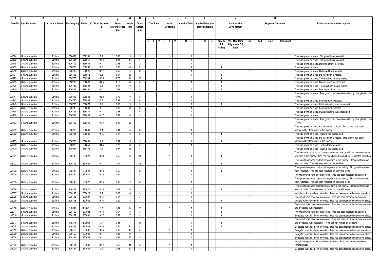|                | в                     |        | C                |                                         | Е            | F             | G              | н                |                           |                                | J                    |   |                            |                 |                      |                      | М                               |                |      |                           |                                       |                                                                                                                                                  |
|----------------|-----------------------|--------|------------------|-----------------------------------------|--------------|---------------|----------------|------------------|---------------------------|--------------------------------|----------------------|---|----------------------------|-----------------|----------------------|----------------------|---------------------------------|----------------|------|---------------------------|---------------------------------------|--------------------------------------------------------------------------------------------------------------------------------------------------|
|                | Tree No. Species Name |        |                  | Northing (m) Easting (m) Trunk Diameter | Trunk        | Height        | Crown          | <b>Tree Form</b> |                           | Health                         | <b>Amenity Value</b> |   | <b>Survival Rate after</b> |                 |                      | <b>Conflict with</b> |                                 |                |      | <b>Proposed Treatment</b> | <b>Brief comments and description</b> |                                                                                                                                                  |
|                |                       |        |                  |                                         | (m)          | Circumference | (m)            | Spread           |                           |                                | Condition            |   |                            | Transplantation |                      |                      | Development                     |                |      |                           |                                       |                                                                                                                                                  |
|                |                       |        |                  |                                         |              | (m)           |                | (m)              |                           |                                |                      |   |                            |                 |                      |                      |                                 |                |      |                           |                                       |                                                                                                                                                  |
|                |                       |        |                  |                                         |              |               |                |                  |                           |                                |                      |   |                            |                 |                      |                      |                                 |                |      |                           |                                       |                                                                                                                                                  |
|                |                       |        |                  |                                         |              |               |                |                  |                           |                                |                      | M | -н                         | М               | L.                   |                      |                                 |                |      |                           |                                       |                                                                                                                                                  |
|                |                       |        |                  |                                         |              |               |                |                  | G   F   P   G   F   P   H |                                |                      |   |                            |                 |                      | Paritally<br>Soil    | Yes - New Road<br>Alignment/ Cu | No             | Fell | Retain                    | Transplant                            |                                                                                                                                                  |
|                |                       |        |                  |                                         |              |               |                |                  |                           |                                |                      |   |                            |                 |                      | Nailing              | Slope                           |                |      |                           |                                       |                                                                                                                                                  |
|                |                       |        |                  |                                         |              |               |                |                  |                           |                                |                      |   |                            |                 |                      |                      |                                 |                |      |                           |                                       |                                                                                                                                                  |
| A1694          | Schima superba        | Schima | 836681           | 836951                                  | 0.2          | 0.63          | 9              | 5                |                           | $\mathbf{1}$                   | 1                    |   |                            |                 | -1                   |                      |                                 | $\overline{1}$ |      | $\overline{1}$            |                                       | Tree has grown on slope. Elongated trunk recorded.                                                                                               |
| A1699          | Schima superba        | Schima | 836684           | 836951                                  | 0.33         | 1.04          | 14             | 8                |                           |                                | $\mathbf{1}$         |   |                            |                 | -1                   |                      |                                 | $\overline{1}$ |      | -1                        |                                       | ree has grown on slope. Elongated trunk recorded.                                                                                                |
| A1705          | Schima superba        | Schima | 836709           | 836955                                  | 0.17         | 0.53          | 6              | $\overline{2}$   |                           | $\mathbf{1}$                   | $\mathbf{1}$         |   |                            |                 | $\overline{1}$       |                      |                                 | $\overline{1}$ |      | -1                        |                                       | Tree has grown on slope. Deformed trunk recorded.                                                                                                |
| A1709          | Schima superba        | Schima | 836708           | 836930                                  | 0.2          | 0.63          | 6              | $\overline{2}$   |                           | $\mathbf{1}$                   |                      |   |                            |                 | $\overline{1}$       | $\mathbf{1}$         |                                 |                |      | $\mathbf{1}$              |                                       | Tree has grown on slope                                                                                                                          |
| A1710          | Schima superba        | Schima | 836706           | 836925                                  | 0.17         | 0.53          | 4              | $\overline{2}$   |                           | $\overline{1}$                 |                      |   |                            |                 |                      |                      |                                 |                |      |                           |                                       | Free has grown on slope. Deformed trunk recorded.                                                                                                |
| A1721          | Schima superba        | Schima | 836715           | 836913                                  | 0.5          | 1.57          | 12             | 7                |                           | -1.                            | 1.                   |   |                            |                 | -1                   |                      |                                 |                |      | 1                         |                                       | Free has grown on slope and twisted by climbers.                                                                                                 |
| A1729          | Schima superba        | Schima | 836726           | 836904                                  | 0.55         | 1.73          | 14             | 10               |                           |                                | 1                    |   |                            |                 | $\overline{1}$       | $\mathbf{1}$         |                                 |                |      | -1                        |                                       | Free has grown on slope. Tree has been mature in size.                                                                                           |
| A1735          | Schima superba        | Schima | 836730           | 836897                                  | 0.35         | 1 1 0         | 8              | 6                |                           |                                | $\mathbf{1}$         |   |                            |                 |                      |                      |                                 |                |      |                           |                                       | Free has grown on slope. Broken branches recorded.                                                                                               |
| A1736          | Schima superba        | Schima | 836732           | 836895                                  | 0.5          | 1.57          | 9              | 8                | -1                        |                                | 1.                   |   |                            |                 | $\mathbf{1}$         | -1                   |                                 |                |      | -1                        |                                       | Free has grown on slope. Tree has been mature in size.                                                                                           |
| A1740          | Schima superba        | Schima | 836746           | 836890                                  | 0.22         | 0.69          | $\overline{7}$ | 5                |                           | $\mathbf{1}$                   | $\mathbf{1}$         |   |                            |                 | $\overline{1}$       | $\overline{1}$       |                                 |                |      | $\overline{1}$            |                                       | Tree has grown on slope. Leaning trunk recorded.                                                                                                 |
|                |                       |        |                  |                                         |              |               |                |                  |                           |                                |                      |   |                            |                 |                      |                      |                                 |                |      |                           |                                       | Free has grown on slope. Tree growth has been obstructed by other plants in the                                                                  |
| A1741          | Schima superba        | Schima | 836748           | 836888                                  | 0.23         | 0.72          | 8              | -5               |                           |                                |                      |   |                            |                 |                      |                      |                                 | $\overline{1}$ |      |                           |                                       | vicinity.                                                                                                                                        |
| A1742          | Schima superba        | Schima | 836750           | 836882                                  | 0.3          | 0.94          | $\mathbf{q}$   | 6                |                           | $\blacksquare$                 | $\mathbf{1}$         |   |                            |                 | $\overline{1}$       |                      |                                 | $\overline{1}$ |      | -1                        |                                       | Free has grown on slope. Leaning trunk recorded.                                                                                                 |
| A1743          | Schima superba        | Schima | 836750           | 836879                                  | 0.2          | 0.63          | 9              | 5                |                           |                                | 1                    |   |                            |                 | $\mathbf{1}$         |                      |                                 |                |      |                           |                                       | Free has grown on slope. Multiple leaning trunks recorded.                                                                                       |
| A1744          | Schima superba        | Schima | 836748           | 836880                                  | 0.2          | 0.63          | -8             | 6                |                           | $\overline{1}$                 | $\mathbf{1}$         |   |                            |                 | $\mathbf{1}$         |                      |                                 | $\overline{1}$ |      | $\overline{1}$            |                                       | Free has grown on slope. Leaning trunk recorded                                                                                                  |
| A1754<br>A1756 | Schima superba        | Schima | 836743<br>836744 | 836887<br>836888                        | 0.17<br>0.17 | 0.53          |                | 5                |                           | $\blacksquare$<br>$\mathbf{1}$ | 1<br>1               |   |                            |                 | -1<br>$\overline{1}$ |                      |                                 | -1             |      | 1                         |                                       | Free has grown on slope. Multiple leaning trunks recorded.                                                                                       |
|                | Schima superba        | Schima |                  |                                         |              | 0.53          | 6              | 3                |                           |                                |                      |   |                            |                 |                      |                      |                                 | -1             |      |                           |                                       | Free has grown on slope.                                                                                                                         |
| A1757          | Schima superba        | Schima | 836740           | 836889                                  | 0.33         | 1.04          | 12             | $\overline{7}$   |                           |                                |                      |   |                            |                 |                      |                      |                                 |                |      |                           |                                       | Free has grown on slope. Tree growth has been obstructed by other plants in the<br>vicinity                                                      |
|                |                       |        |                  |                                         |              |               |                |                  |                           |                                |                      |   |                            |                 |                      |                      |                                 |                |      |                           |                                       | Tree has grown on slope and twisted by climbers. Tree growth has been                                                                            |
| A1759          | Schima superba        | Schima | 836738           | 836889                                  | 01           | 0.31          | -5             | $\mathcal{R}$    |                           |                                |                      |   |                            |                 |                      |                      |                                 | $\overline{1}$ |      |                           |                                       | obstructed by other plants in the vicinity                                                                                                       |
| A1762          | Schima superba        | Schima | 836744           | 836889                                  | 0.15         | 0.47          | 6              | 3                |                           | $\blacksquare$                 | 1                    |   |                            |                 | $\mathbf{1}$         |                      |                                 |                |      |                           |                                       | Free has grown on slope. Multiple trunks recorded.                                                                                               |
|                |                       |        |                  |                                         |              |               |                |                  |                           |                                |                      |   |                            |                 |                      |                      |                                 |                |      |                           |                                       | Free has grown on slope and twisted by climbers. Tree growth has been                                                                            |
| A1763          | Schima superba        | Schima | 836763           | 836856                                  | 0.1          | 0.31          | 3              | -5               |                           |                                |                      |   |                            |                 |                      |                      |                                 |                |      |                           |                                       | obstructed by other plants in the vicinity                                                                                                       |
| A1769          | Schima superba        | Schima | 836978           | 836850                                  | 0.25         | 0.79          | 8              | $\overline{5}$   |                           |                                |                      |   |                            |                 |                      |                      |                                 |                |      |                           |                                       | Free has grown on slope. Broken trunk recorded.                                                                                                  |
| A1770          | Schima superba        | Schima | 836957           | 836836                                  | 0.5          | 1.57          | 13             | 8                |                           |                                | $\mathbf{1}$         |   |                            |                 | $\overline{1}$       |                      |                                 | $\overline{1}$ |      | $\overline{1}$            |                                       | Free has grown on slope. Multiple trunks recorded                                                                                                |
|                |                       |        |                  |                                         |              |               |                |                  |                           |                                |                      |   |                            |                 |                      |                      |                                 |                |      |                           |                                       | Tree has been recorded on concrete slope and tree growth has been obstructed                                                                     |
| A2001          | Schima superba        | Schima | 836146           | 837029                                  | 0.18         | 0.57          | 8              | 2.5              |                           |                                |                      |   |                            |                 |                      |                      |                                 |                |      |                           |                                       | by plants in the vicinity. Tree has been twisted by climbers. Elongated trunk has                                                                |
|                |                       |        |                  |                                         |              |               |                |                  |                           |                                |                      |   |                            |                 |                      |                      |                                 |                |      |                           |                                       | Tree growth has been obstructed by plants in the vicinity. Elongated trunk has                                                                   |
| A2002          | Schima superba        | Schima | 836145           | 837029                                  | 0.14         | 0.44          | $\overline{7}$ | 2.5              |                           |                                |                      |   |                            |                 |                      |                      |                                 |                |      |                           |                                       | been recorded. Tree has been attacked by termites.                                                                                               |
| A2003          | Schima superba        | Schima | 836145           | 837028                                  | 0.16         | 0.50          | $\overline{7}$ | 3                |                           |                                |                      |   |                            |                 |                      |                      |                                 |                |      |                           |                                       | Tree growth has been obstructed by plants in the vicinity. Elongated trunk has<br>been recorded. Tree has been recorded on concrete slope.       |
| A2004          | Schima superba        | Schima | 836144           | 837027                                  | 0.19         | 0.60          | $\overline{7}$ | $\overline{4}$   |                           | $\mathbf{1}$                   | $\mathbf{1}$         |   |                            |                 | $\overline{1}$       |                      |                                 | $\overline{1}$ |      |                           |                                       | Two main trunks have been recorded. Tree has been recorded on concrete                                                                           |
|                |                       |        |                  |                                         |              |               |                |                  |                           |                                |                      |   |                            |                 |                      |                      |                                 | $\overline{1}$ |      | 1                         |                                       | Tree growth has been obstructed by plants in the vicinity. Elongated trunk has                                                                   |
| A2005          | Schima superba        | Schima | 836143           | 837026                                  | 0.15         | 0.47          | $\overline{7}$ | $\mathcal{R}$    |                           |                                |                      |   |                            |                 |                      |                      |                                 |                |      |                           |                                       | been recorded. Tree has been recorded on concrete slope.                                                                                         |
|                |                       |        |                  |                                         |              |               |                |                  |                           |                                |                      |   |                            |                 |                      |                      |                                 |                |      |                           |                                       | Free growth has been obstructed by plants in the vicinity. Elongated trunk has                                                                   |
| A2006          | Schima superba        | Schima | 836141           | 837027                                  | 0.15         | 0.47          | $\overline{5}$ | 3                |                           |                                |                      |   |                            |                 |                      |                      |                                 |                |      |                           |                                       | been recorded. Tree has been recorded on concrete slope.                                                                                         |
| A2007          | Schima superba        | Schima | 836145           | 837026                                  | 0.2          | 0.63          | 6              | $\mathbf{3}$     |                           | $\overline{1}$                 | $\mathbf{1}$         |   |                            |                 | $\mathbf{1}$         |                      |                                 | -1             |      |                           |                                       | Multiple trunks have been recorded. Tree has been recorded on concrete slope.                                                                    |
| A2008          | Schima superba        | Schima | 836148           | 837027                                  | 0.15         | 0.47          |                | 3                |                           |                                |                      |   |                            |                 | $\mathbf{1}$         |                      |                                 | -1             |      |                           |                                       | Two main trunks have been recorded. Tree has been recorded on concrete                                                                           |
| A2009          | Schima superba        | Schima | 836148           | 837029                                  | 0.16         | 0.50          | 8              | 3                |                           | $\overline{1}$                 | $\mathbf{1}$         |   |                            |                 | $\overline{1}$       | $\mathbf{1}$         |                                 |                |      | $\overline{1}$            |                                       | Multiple trunks have been recorded. Tree has been recorded on concrete slope.                                                                    |
|                |                       |        |                  |                                         |              |               |                |                  |                           |                                |                      |   |                            |                 |                      |                      |                                 |                |      |                           |                                       | Two main trunks have been recorded. Tree has been recorded on concrete slope                                                                     |
| A2010          | Schima superba        | Schima | 836149           | 837030                                  | 0.1          | 0.31          | 6              | $\mathcal{P}$    |                           |                                |                      |   |                            |                 |                      |                      |                                 |                |      |                           |                                       | and elongated trunk recorded.                                                                                                                    |
| A2011          | Schima superba        | Schima | 836150           | 837028                                  | 0.18         | 0.57          | 8              | 3                |                           | $\mathbf{1}$                   | $\mathbf{1}$         |   |                            |                 | $\mathbf{1}$         | $\overline{1}$       |                                 |                |      | $\mathbf{1}$              |                                       | Two main trunks have been recorded. Tree has been recorded on concrete                                                                           |
| A2016          | Schima superba        | Schima | 836152           | 837031                                  | 0.17         | 0.53          | 7              | 3                |                           | -1.                            | 1.                   |   |                            |                 | -1                   | -1                   |                                 |                |      | $\mathbf{1}$              |                                       | Elongated trunk has been recorded. Tree has been recorded on concrete slope.                                                                     |
| A2017          | Schima superba        | Schima | 836155           | 837031                                  |              | 0.31          | $\overline{7}$ |                  |                           |                                |                      |   |                            |                 |                      |                      |                                 |                |      |                           |                                       | Two main trunks have been recorded. Tree has been recorded on concrete slope<br>and elongated trunk recorded. Tree has been twisted by climbers. |
| A2018          | Schima superba        | Schima | 836156           | 837033                                  | 0.1<br>0.16  | 0.50          | 10             | $\overline{4}$   |                           | $\blacksquare$                 | $\mathbf{1}$         |   |                            |                 | -1                   |                      |                                 |                |      |                           |                                       | Elongated trunk has been recorded. Tree has been recorded on concrete slope.                                                                     |
| A2019          | Schima superba        | Schima | 836158           | 837032                                  | 0.15         | 0.47          | 10             | 5                |                           | $\overline{1}$                 | $\mathbf{1}$         |   |                            |                 | -1                   |                      |                                 | $\mathbf{1}$   |      | $\overline{1}$            |                                       | Elongated trunk has been recorded. Tree has been recorded on concrete slope.                                                                     |
| A2020          | Schima superba        | Schima | 836159           | 837032                                  | 0.11         | 0.35          | 9              | $\overline{4}$   |                           | $\mathbf{1}$                   | $\mathbf{1}$         |   |                            |                 | $\overline{1}$       |                      |                                 | $\overline{1}$ |      | $\overline{1}$            |                                       | Elongated trunk has been recorded. Tree has been recorded on concrete slope.                                                                     |
| A2028          | Schima superba        | Schima | 836164           | 837034                                  | 0.21         | 0.66          | 10             | 5                |                           |                                |                      |   |                            |                 | $\mathbf{1}$         |                      |                                 | -1             |      |                           |                                       | Elongated trunk has been recorded. Tree has been recorded on concrete slope.                                                                     |
|                |                       |        |                  |                                         |              |               |                |                  |                           |                                |                      |   |                            |                 |                      |                      |                                 |                |      |                           |                                       | Multiple elongated trunks have been recorded. Tree has been recorded on                                                                          |
| A2029          | Schima superba        | Schima | 836164           | 837033                                  | 0.17         | 0.53          | 11             | -5               |                           |                                |                      |   |                            |                 |                      |                      |                                 |                |      |                           |                                       | concrete slope                                                                                                                                   |
| A2030          | Schima superba        | Schima | 836167           | 837034                                  | 0.2          | 0.63          | 10             | $\overline{4}$   |                           |                                |                      |   |                            |                 |                      |                      |                                 |                |      |                           |                                       | Elongated trunk has been recorded. Tree has been recorded on concrete slope.                                                                     |